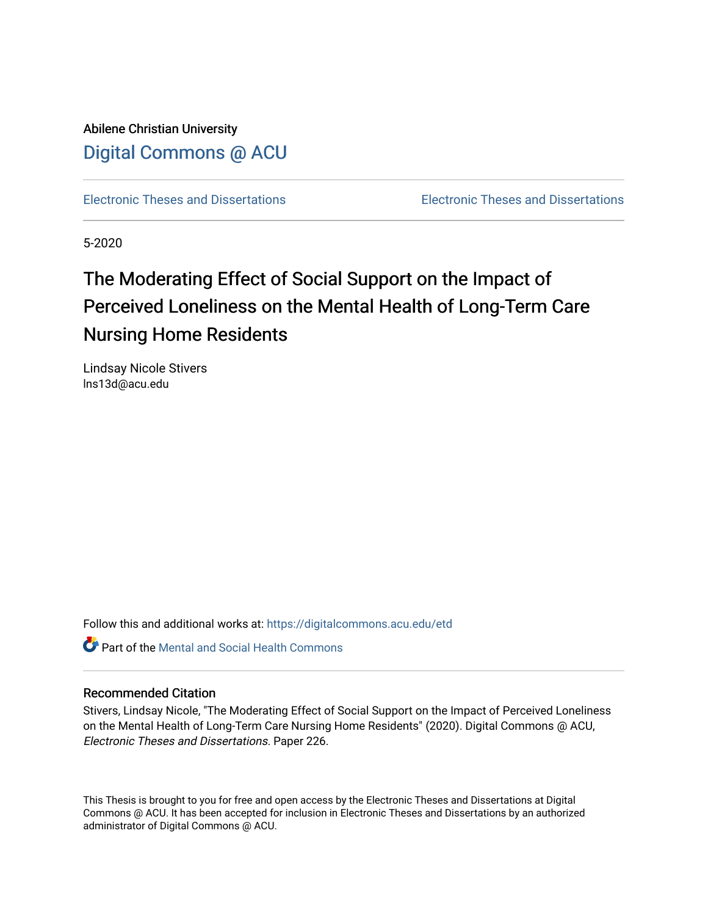Abilene Christian University [Digital Commons @ ACU](https://digitalcommons.acu.edu/)

[Electronic Theses and Dissertations](https://digitalcommons.acu.edu/etd) [Electronic Theses and Dissertations](https://digitalcommons.acu.edu/graduate_works) 

5-2020

# The Moderating Effect of Social Support on the Impact of Perceived Loneliness on the Mental Health of Long-Term Care Nursing Home Residents

Lindsay Nicole Stivers lns13d@acu.edu

Follow this and additional works at: [https://digitalcommons.acu.edu/etd](https://digitalcommons.acu.edu/etd?utm_source=digitalcommons.acu.edu%2Fetd%2F226&utm_medium=PDF&utm_campaign=PDFCoverPages) 

**C** Part of the Mental and Social Health Commons

## Recommended Citation

Stivers, Lindsay Nicole, "The Moderating Effect of Social Support on the Impact of Perceived Loneliness on the Mental Health of Long-Term Care Nursing Home Residents" (2020). Digital Commons @ ACU, Electronic Theses and Dissertations. Paper 226.

This Thesis is brought to you for free and open access by the Electronic Theses and Dissertations at Digital Commons @ ACU. It has been accepted for inclusion in Electronic Theses and Dissertations by an authorized administrator of Digital Commons @ ACU.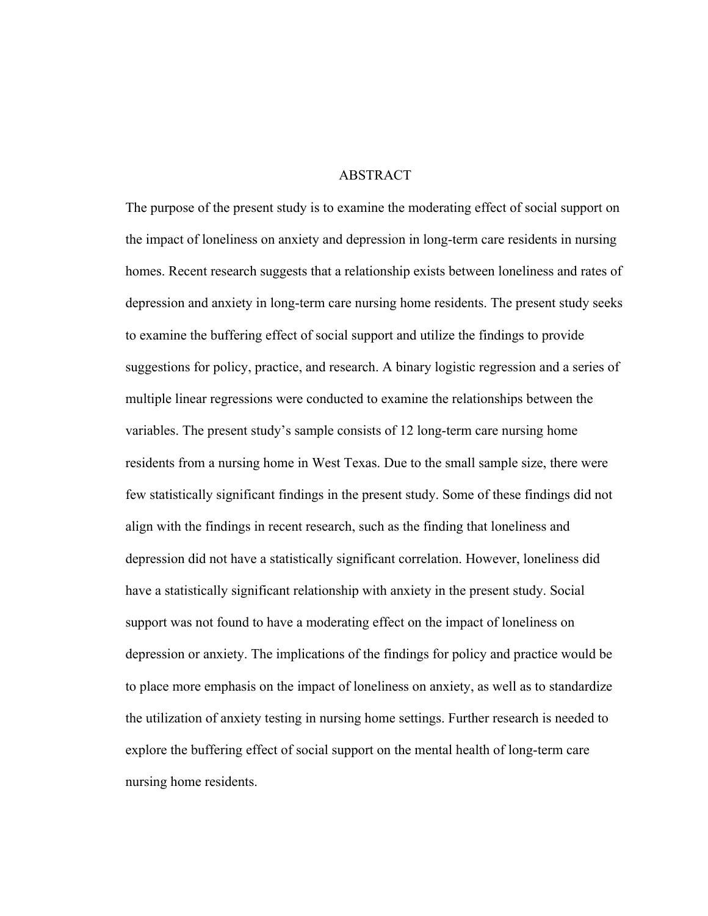## ABSTRACT

The purpose of the present study is to examine the moderating effect of social support on the impact of loneliness on anxiety and depression in long-term care residents in nursing homes. Recent research suggests that a relationship exists between loneliness and rates of depression and anxiety in long-term care nursing home residents. The present study seeks to examine the buffering effect of social support and utilize the findings to provide suggestions for policy, practice, and research. A binary logistic regression and a series of multiple linear regressions were conducted to examine the relationships between the variables. The present study's sample consists of 12 long-term care nursing home residents from a nursing home in West Texas. Due to the small sample size, there were few statistically significant findings in the present study. Some of these findings did not align with the findings in recent research, such as the finding that loneliness and depression did not have a statistically significant correlation. However, loneliness did have a statistically significant relationship with anxiety in the present study. Social support was not found to have a moderating effect on the impact of loneliness on depression or anxiety. The implications of the findings for policy and practice would be to place more emphasis on the impact of loneliness on anxiety, as well as to standardize the utilization of anxiety testing in nursing home settings. Further research is needed to explore the buffering effect of social support on the mental health of long-term care nursing home residents.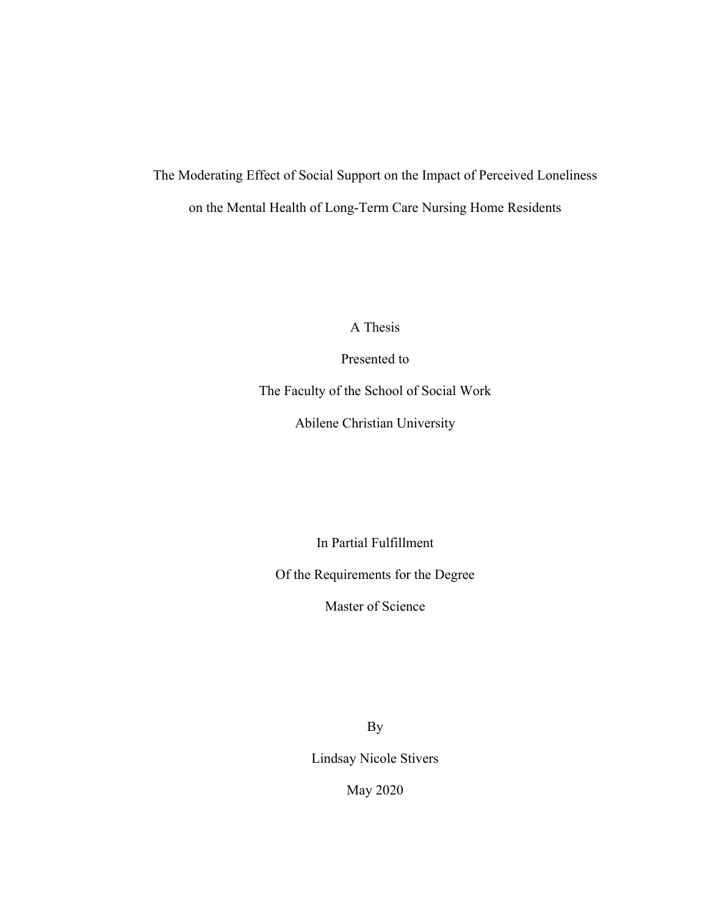# The Moderating Effect of Social Support on the Impact of Perceived Loneliness on the Mental Health of Long-Term Care Nursing Home Residents

A Thesis

Presented to

The Faculty of the School of Social Work

Abilene Christian University

In Partial Fulfillment

Of the Requirements for the Degree

Master of Science

By

Lindsay Nicole Stivers

May 2020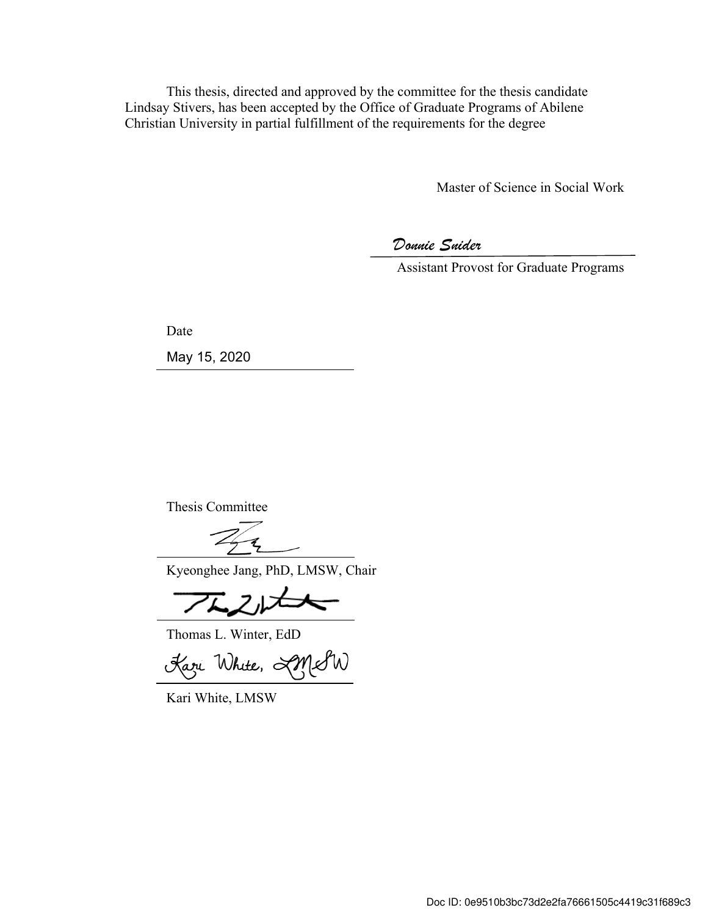This thesis, directed and approved by the committee for the thesis candidate Lindsay Stivers, has been accepted by the Office of Graduate Programs of Abilene Christian University in partial fulfillment of the requirements for the degree

Master of Science in Social Work

*Donnie Snider*

Assistant Provost for Graduate Programs

Date

May 15, 2020

Thesis Committee

Kyeonghee Jang, PhD, LMSW, Chair

Thomas L. Winter, EdD

Kari White, AMSW

Kari White, LMSW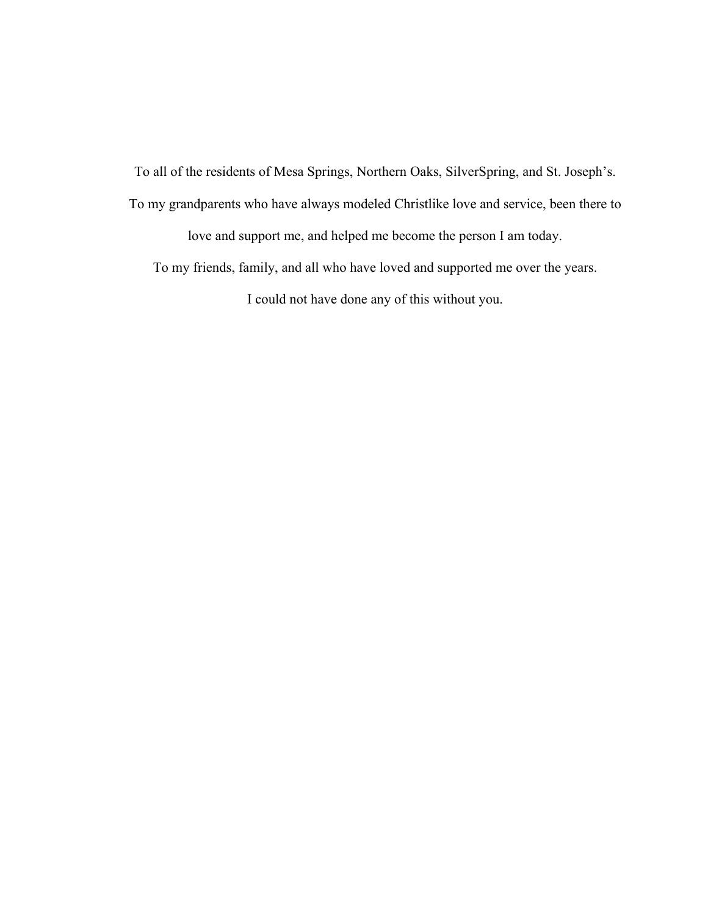To all of the residents of Mesa Springs, Northern Oaks, SilverSpring, and St. Joseph's.

To my grandparents who have always modeled Christlike love and service, been there to

love and support me, and helped me become the person I am today.

To my friends, family, and all who have loved and supported me over the years.

I could not have done any of this without you.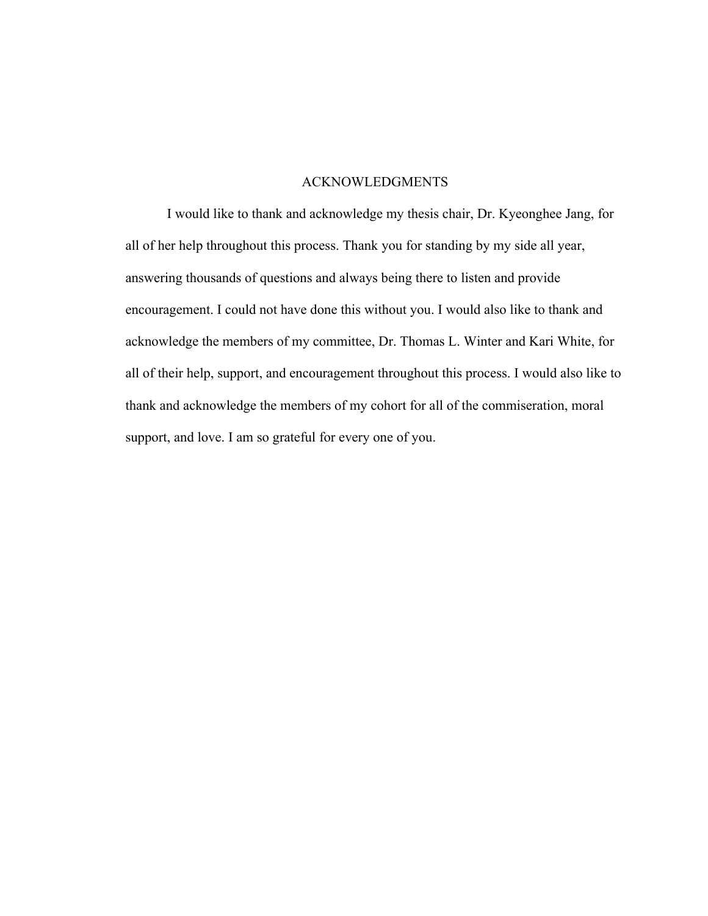## ACKNOWLEDGMENTS

I would like to thank and acknowledge my thesis chair, Dr. Kyeonghee Jang, for all of her help throughout this process. Thank you for standing by my side all year, answering thousands of questions and always being there to listen and provide encouragement. I could not have done this without you. I would also like to thank and acknowledge the members of my committee, Dr. Thomas L. Winter and Kari White, for all of their help, support, and encouragement throughout this process. I would also like to thank and acknowledge the members of my cohort for all of the commiseration, moral support, and love. I am so grateful for every one of you.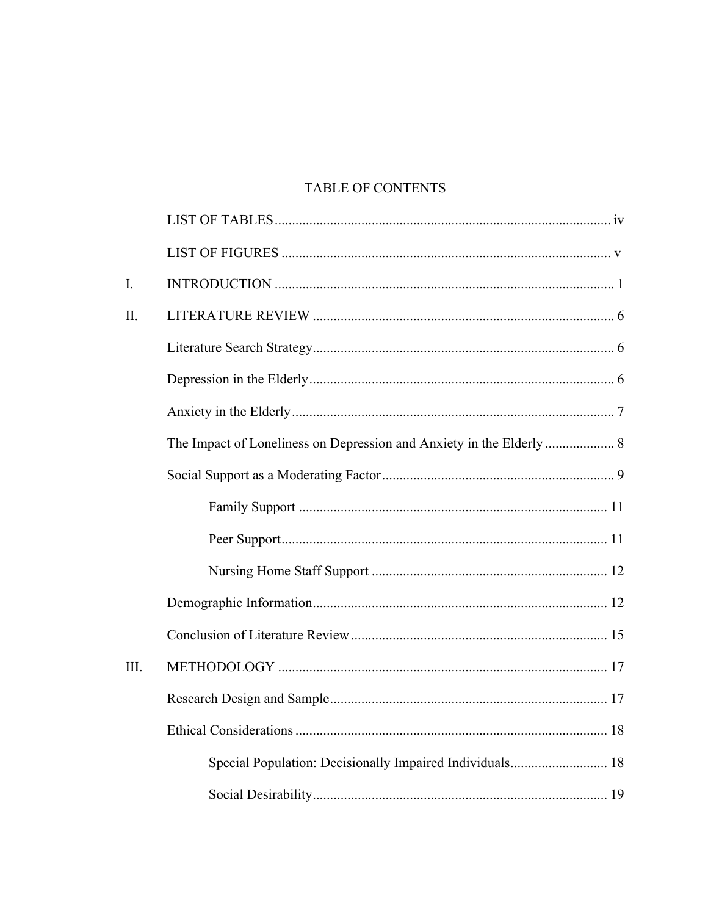# TABLE OF CONTENTS

| I.   |                                                          |  |
|------|----------------------------------------------------------|--|
| II.  |                                                          |  |
|      |                                                          |  |
|      |                                                          |  |
|      |                                                          |  |
|      |                                                          |  |
|      |                                                          |  |
|      |                                                          |  |
|      |                                                          |  |
|      |                                                          |  |
|      |                                                          |  |
|      |                                                          |  |
| III. |                                                          |  |
|      |                                                          |  |
|      |                                                          |  |
|      | Special Population: Decisionally Impaired Individuals 18 |  |
|      |                                                          |  |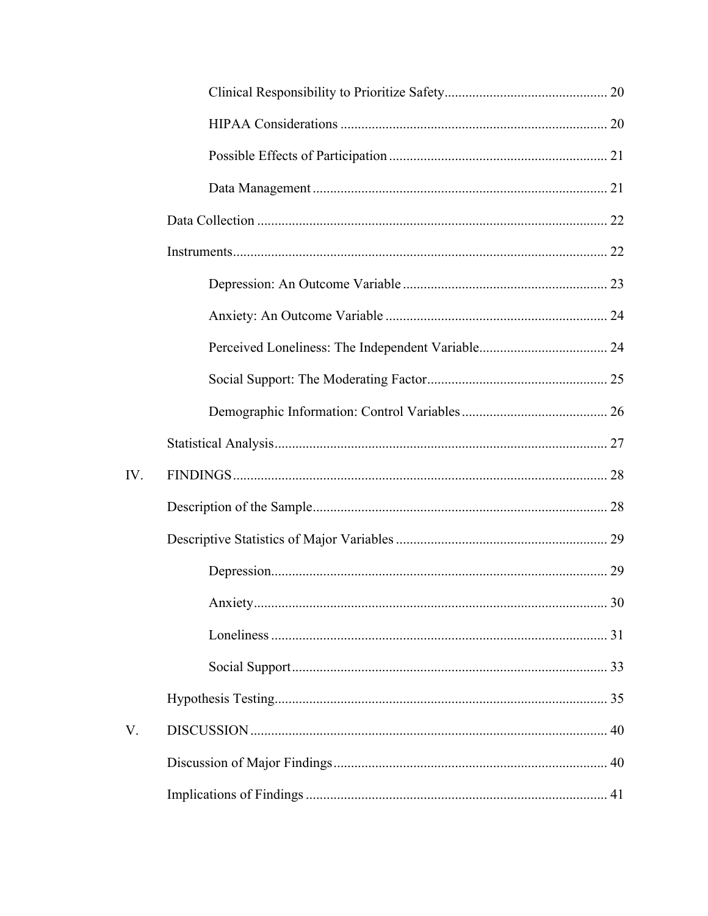| IV. |  |
|-----|--|
|     |  |
|     |  |
|     |  |
|     |  |
|     |  |
|     |  |
|     |  |
| V.  |  |
|     |  |
|     |  |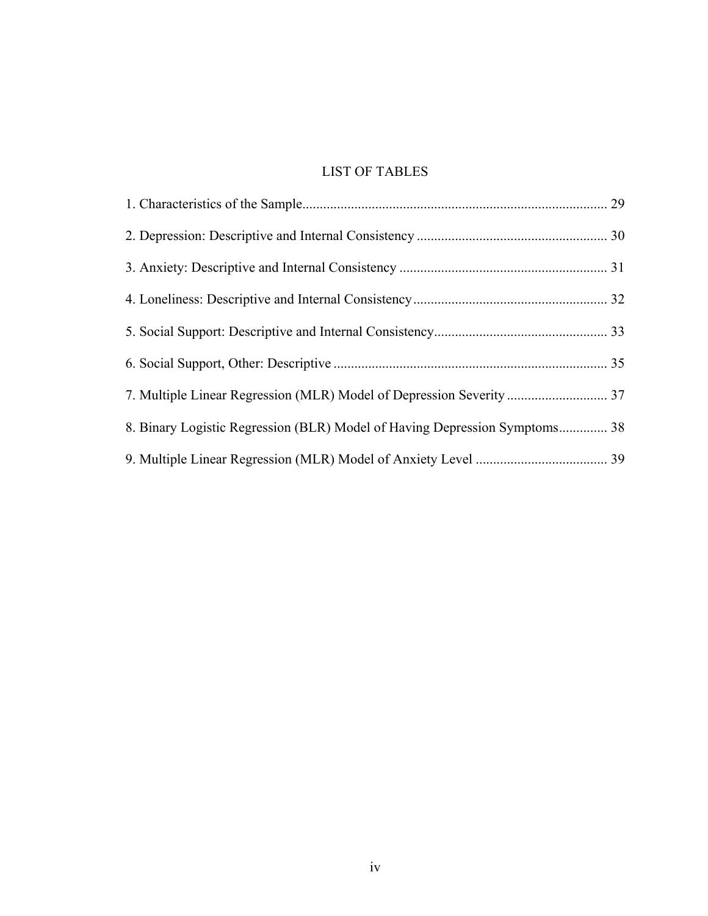## LIST OF TABLES

| 8. Binary Logistic Regression (BLR) Model of Having Depression Symptoms 38 |  |
|----------------------------------------------------------------------------|--|
|                                                                            |  |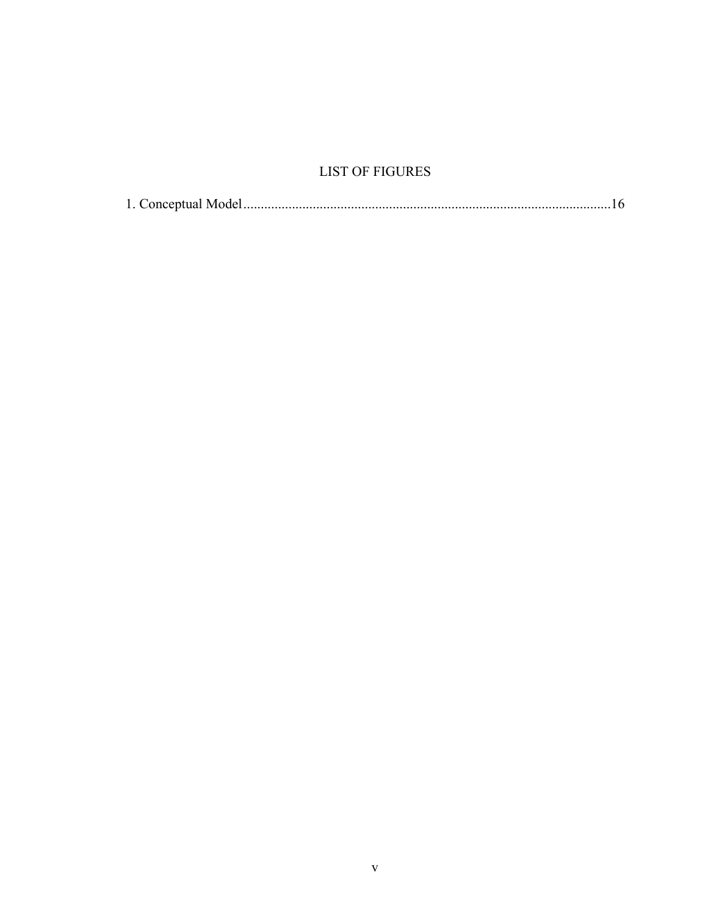## **LIST OF FIGURES**

|--|--|--|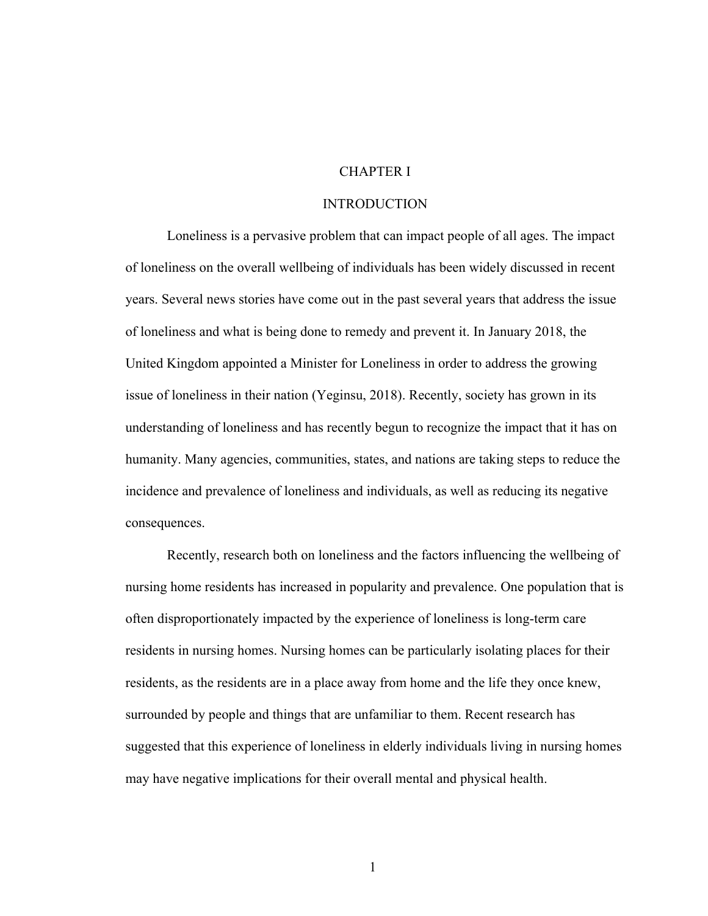## CHAPTER I

## **INTRODUCTION**

Loneliness is a pervasive problem that can impact people of all ages. The impact of loneliness on the overall wellbeing of individuals has been widely discussed in recent years. Several news stories have come out in the past several years that address the issue of loneliness and what is being done to remedy and prevent it. In January 2018, the United Kingdom appointed a Minister for Loneliness in order to address the growing issue of loneliness in their nation (Yeginsu, 2018). Recently, society has grown in its understanding of loneliness and has recently begun to recognize the impact that it has on humanity. Many agencies, communities, states, and nations are taking steps to reduce the incidence and prevalence of loneliness and individuals, as well as reducing its negative consequences.

Recently, research both on loneliness and the factors influencing the wellbeing of nursing home residents has increased in popularity and prevalence. One population that is often disproportionately impacted by the experience of loneliness is long-term care residents in nursing homes. Nursing homes can be particularly isolating places for their residents, as the residents are in a place away from home and the life they once knew, surrounded by people and things that are unfamiliar to them. Recent research has suggested that this experience of loneliness in elderly individuals living in nursing homes may have negative implications for their overall mental and physical health.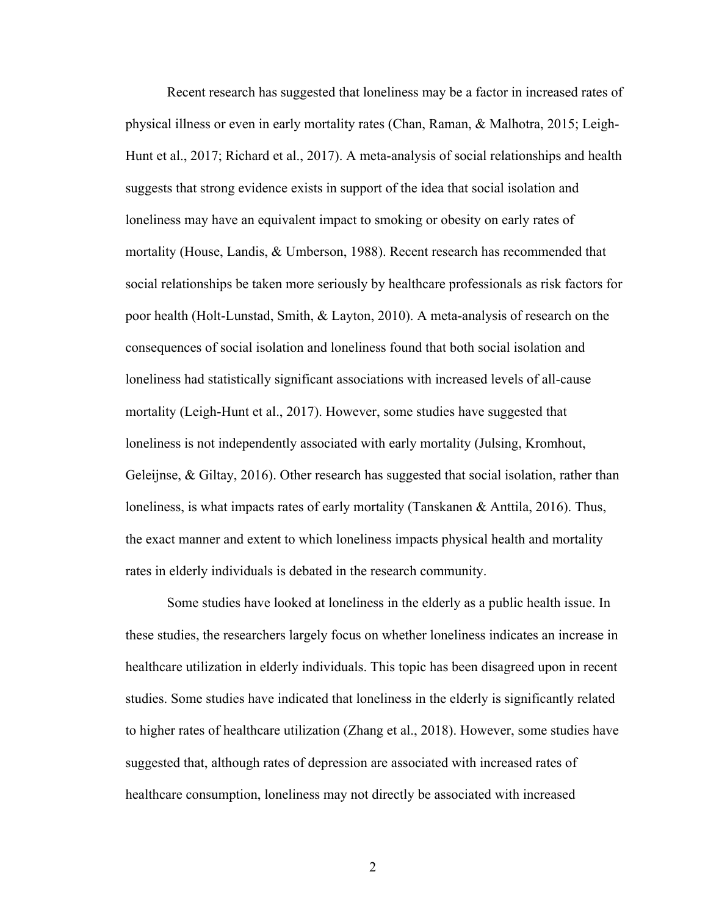Recent research has suggested that loneliness may be a factor in increased rates of physical illness or even in early mortality rates (Chan, Raman, & Malhotra, 2015; Leigh-Hunt et al., 2017; Richard et al., 2017). A meta-analysis of social relationships and health suggests that strong evidence exists in support of the idea that social isolation and loneliness may have an equivalent impact to smoking or obesity on early rates of mortality (House, Landis, & Umberson, 1988). Recent research has recommended that social relationships be taken more seriously by healthcare professionals as risk factors for poor health (Holt-Lunstad, Smith, & Layton, 2010). A meta-analysis of research on the consequences of social isolation and loneliness found that both social isolation and loneliness had statistically significant associations with increased levels of all-cause mortality (Leigh-Hunt et al., 2017). However, some studies have suggested that loneliness is not independently associated with early mortality (Julsing, Kromhout, Geleijnse, & Giltay, 2016). Other research has suggested that social isolation, rather than loneliness, is what impacts rates of early mortality (Tanskanen & Anttila, 2016). Thus, the exact manner and extent to which loneliness impacts physical health and mortality rates in elderly individuals is debated in the research community.

Some studies have looked at loneliness in the elderly as a public health issue. In these studies, the researchers largely focus on whether loneliness indicates an increase in healthcare utilization in elderly individuals. This topic has been disagreed upon in recent studies. Some studies have indicated that loneliness in the elderly is significantly related to higher rates of healthcare utilization (Zhang et al., 2018). However, some studies have suggested that, although rates of depression are associated with increased rates of healthcare consumption, loneliness may not directly be associated with increased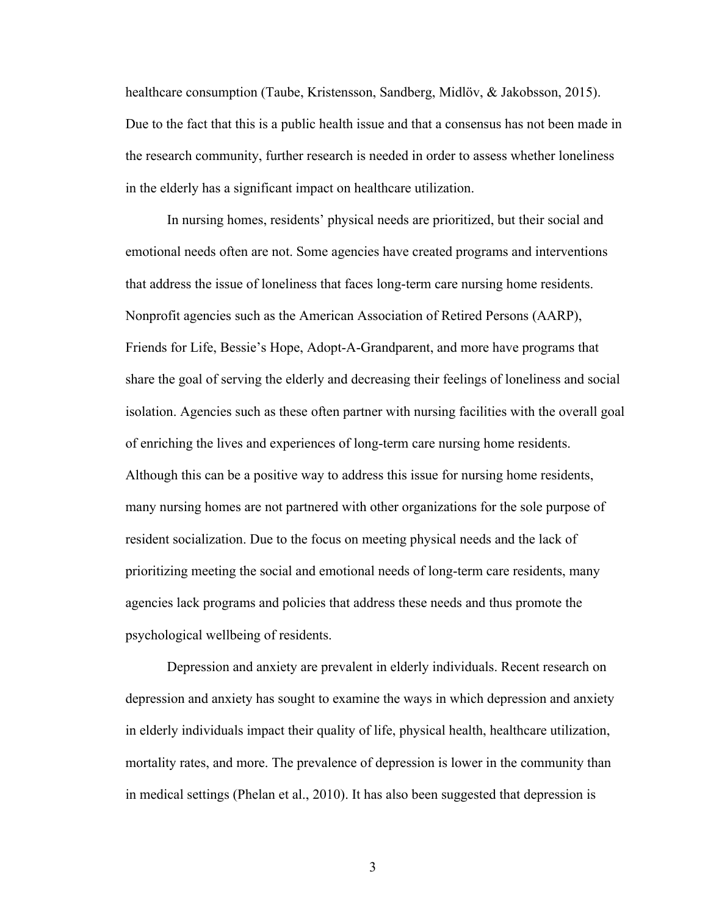healthcare consumption (Taube, Kristensson, Sandberg, Midlöv, & Jakobsson, 2015). Due to the fact that this is a public health issue and that a consensus has not been made in the research community, further research is needed in order to assess whether loneliness in the elderly has a significant impact on healthcare utilization.

In nursing homes, residents' physical needs are prioritized, but their social and emotional needs often are not. Some agencies have created programs and interventions that address the issue of loneliness that faces long-term care nursing home residents. Nonprofit agencies such as the American Association of Retired Persons (AARP), Friends for Life, Bessie's Hope, Adopt-A-Grandparent, and more have programs that share the goal of serving the elderly and decreasing their feelings of loneliness and social isolation. Agencies such as these often partner with nursing facilities with the overall goal of enriching the lives and experiences of long-term care nursing home residents. Although this can be a positive way to address this issue for nursing home residents, many nursing homes are not partnered with other organizations for the sole purpose of resident socialization. Due to the focus on meeting physical needs and the lack of prioritizing meeting the social and emotional needs of long-term care residents, many agencies lack programs and policies that address these needs and thus promote the psychological wellbeing of residents.

Depression and anxiety are prevalent in elderly individuals. Recent research on depression and anxiety has sought to examine the ways in which depression and anxiety in elderly individuals impact their quality of life, physical health, healthcare utilization, mortality rates, and more. The prevalence of depression is lower in the community than in medical settings (Phelan et al., 2010). It has also been suggested that depression is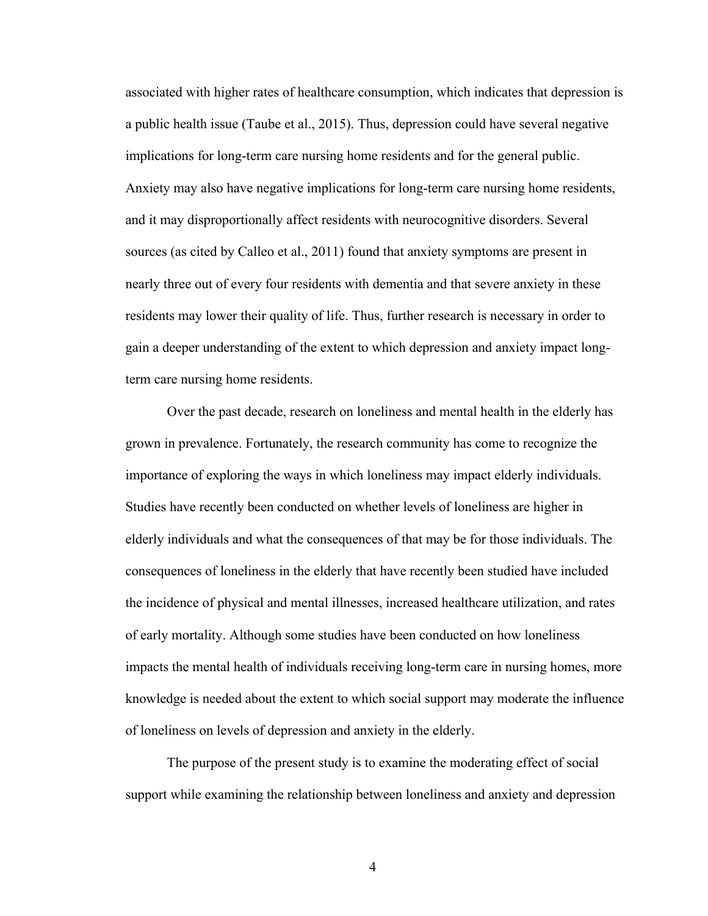associated with higher rates of healthcare consumption, which indicates that depression is a public health issue (Taube et al., 2015). Thus, depression could have several negative implications for long-term care nursing home residents and for the general public. Anxiety may also have negative implications for long-term care nursing home residents, and it may disproportionally affect residents with neurocognitive disorders. Several sources (as cited by Calleo et al., 2011) found that anxiety symptoms are present in nearly three out of every four residents with dementia and that severe anxiety in these residents may lower their quality of life. Thus, further research is necessary in order to gain a deeper understanding of the extent to which depression and anxiety impact longterm care nursing home residents.

Over the past decade, research on loneliness and mental health in the elderly has grown in prevalence. Fortunately, the research community has come to recognize the importance of exploring the ways in which loneliness may impact elderly individuals. Studies have recently been conducted on whether levels of loneliness are higher in elderly individuals and what the consequences of that may be for those individuals. The consequences of loneliness in the elderly that have recently been studied have included the incidence of physical and mental illnesses, increased healthcare utilization, and rates of early mortality. Although some studies have been conducted on how loneliness impacts the mental health of individuals receiving long-term care in nursing homes, more knowledge is needed about the extent to which social support may moderate the influence of loneliness on levels of depression and anxiety in the elderly.

The purpose of the present study is to examine the moderating effect of social support while examining the relationship between loneliness and anxiety and depression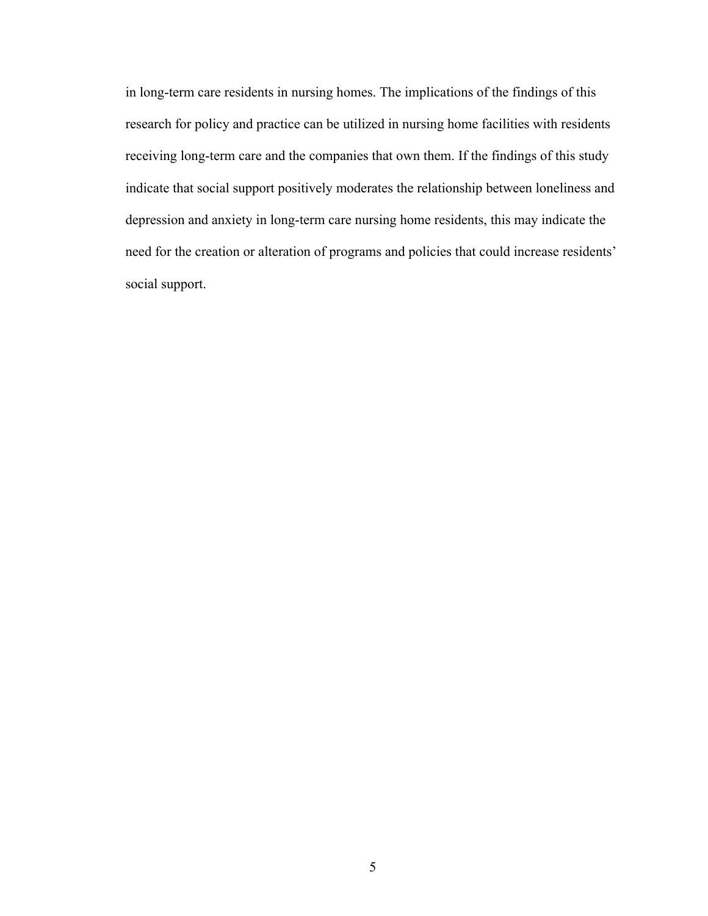in long-term care residents in nursing homes. The implications of the findings of this research for policy and practice can be utilized in nursing home facilities with residents receiving long-term care and the companies that own them. If the findings of this study indicate that social support positively moderates the relationship between loneliness and depression and anxiety in long-term care nursing home residents, this may indicate the need for the creation or alteration of programs and policies that could increase residents' social support.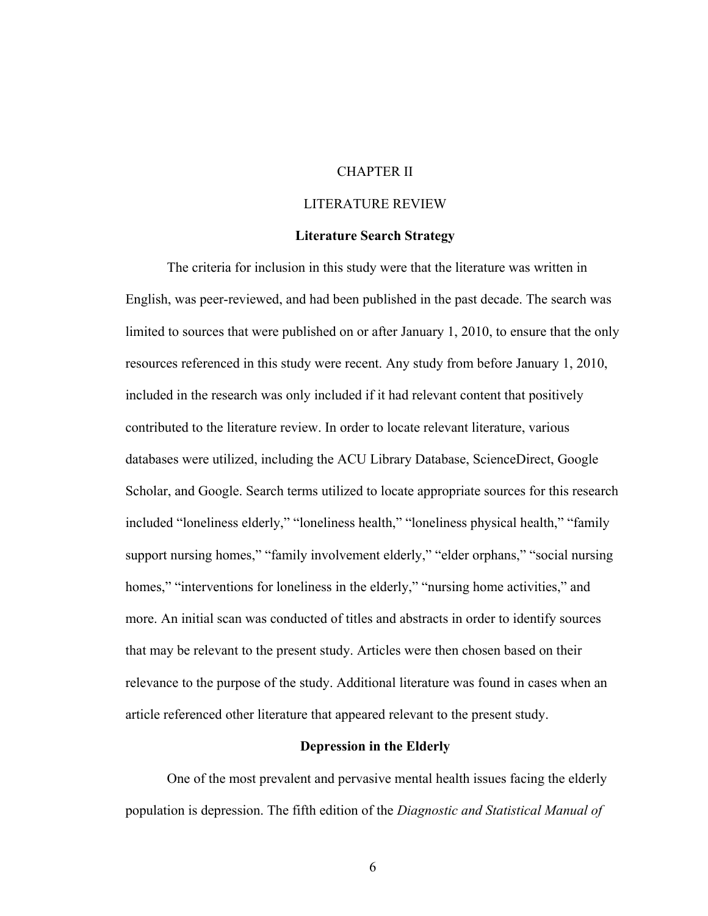## CHAPTER II

## LITERATURE REVIEW

## **Literature Search Strategy**

The criteria for inclusion in this study were that the literature was written in English, was peer-reviewed, and had been published in the past decade. The search was limited to sources that were published on or after January 1, 2010, to ensure that the only resources referenced in this study were recent. Any study from before January 1, 2010, included in the research was only included if it had relevant content that positively contributed to the literature review. In order to locate relevant literature, various databases were utilized, including the ACU Library Database, ScienceDirect, Google Scholar, and Google. Search terms utilized to locate appropriate sources for this research included "loneliness elderly," "loneliness health," "loneliness physical health," "family support nursing homes," "family involvement elderly," "elder orphans," "social nursing homes," "interventions for loneliness in the elderly," "nursing home activities," and more. An initial scan was conducted of titles and abstracts in order to identify sources that may be relevant to the present study. Articles were then chosen based on their relevance to the purpose of the study. Additional literature was found in cases when an article referenced other literature that appeared relevant to the present study.

## **Depression in the Elderly**

One of the most prevalent and pervasive mental health issues facing the elderly population is depression. The fifth edition of the *Diagnostic and Statistical Manual of*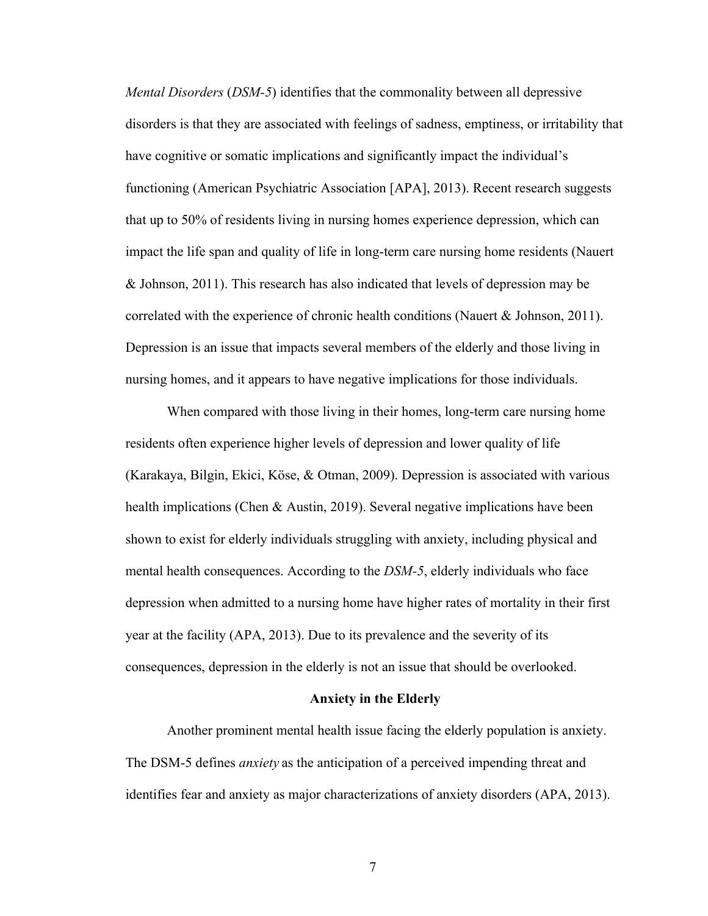*Mental Disorders* (*DSM-5*) identifies that the commonality between all depressive disorders is that they are associated with feelings of sadness, emptiness, or irritability that have cognitive or somatic implications and significantly impact the individual's functioning (American Psychiatric Association [APA], 2013). Recent research suggests that up to 50% of residents living in nursing homes experience depression, which can impact the life span and quality of life in long-term care nursing home residents (Nauert & Johnson, 2011). This research has also indicated that levels of depression may be correlated with the experience of chronic health conditions (Nauert  $\&$  Johnson, 2011). Depression is an issue that impacts several members of the elderly and those living in nursing homes, and it appears to have negative implications for those individuals.

When compared with those living in their homes, long-term care nursing home residents often experience higher levels of depression and lower quality of life (Karakaya, Bilgin, Ekici, Köse, & Otman, 2009). Depression is associated with various health implications (Chen & Austin, 2019). Several negative implications have been shown to exist for elderly individuals struggling with anxiety, including physical and mental health consequences. According to the *DSM-5*, elderly individuals who face depression when admitted to a nursing home have higher rates of mortality in their first year at the facility (APA, 2013). Due to its prevalence and the severity of its consequences, depression in the elderly is not an issue that should be overlooked.

## **Anxiety in the Elderly**

Another prominent mental health issue facing the elderly population is anxiety. The DSM-5 defines *anxiety* as the anticipation of a perceived impending threat and identifies fear and anxiety as major characterizations of anxiety disorders (APA, 2013).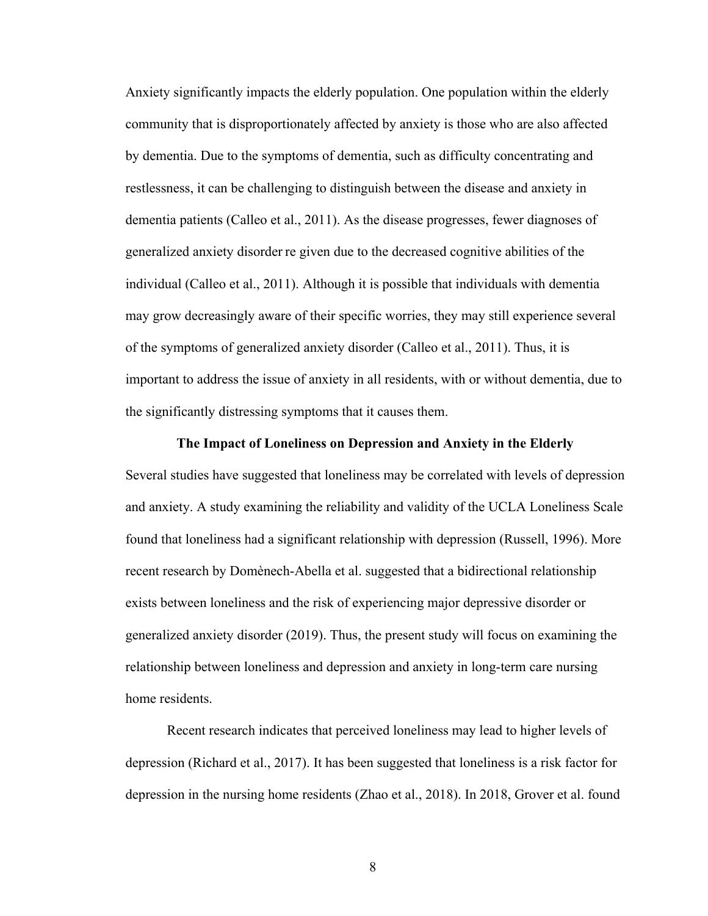Anxiety significantly impacts the elderly population. One population within the elderly community that is disproportionately affected by anxiety is those who are also affected by dementia. Due to the symptoms of dementia, such as difficulty concentrating and restlessness, it can be challenging to distinguish between the disease and anxiety in dementia patients (Calleo et al., 2011). As the disease progresses, fewer diagnoses of generalized anxiety disorder re given due to the decreased cognitive abilities of the individual (Calleo et al., 2011). Although it is possible that individuals with dementia may grow decreasingly aware of their specific worries, they may still experience several of the symptoms of generalized anxiety disorder (Calleo et al., 2011). Thus, it is important to address the issue of anxiety in all residents, with or without dementia, due to the significantly distressing symptoms that it causes them.

#### **The Impact of Loneliness on Depression and Anxiety in the Elderly**

Several studies have suggested that loneliness may be correlated with levels of depression and anxiety. A study examining the reliability and validity of the UCLA Loneliness Scale found that loneliness had a significant relationship with depression (Russell, 1996). More recent research by Domènech-Abella et al. suggested that a bidirectional relationship exists between loneliness and the risk of experiencing major depressive disorder or generalized anxiety disorder (2019). Thus, the present study will focus on examining the relationship between loneliness and depression and anxiety in long-term care nursing home residents.

Recent research indicates that perceived loneliness may lead to higher levels of depression (Richard et al., 2017). It has been suggested that loneliness is a risk factor for depression in the nursing home residents (Zhao et al., 2018). In 2018, Grover et al. found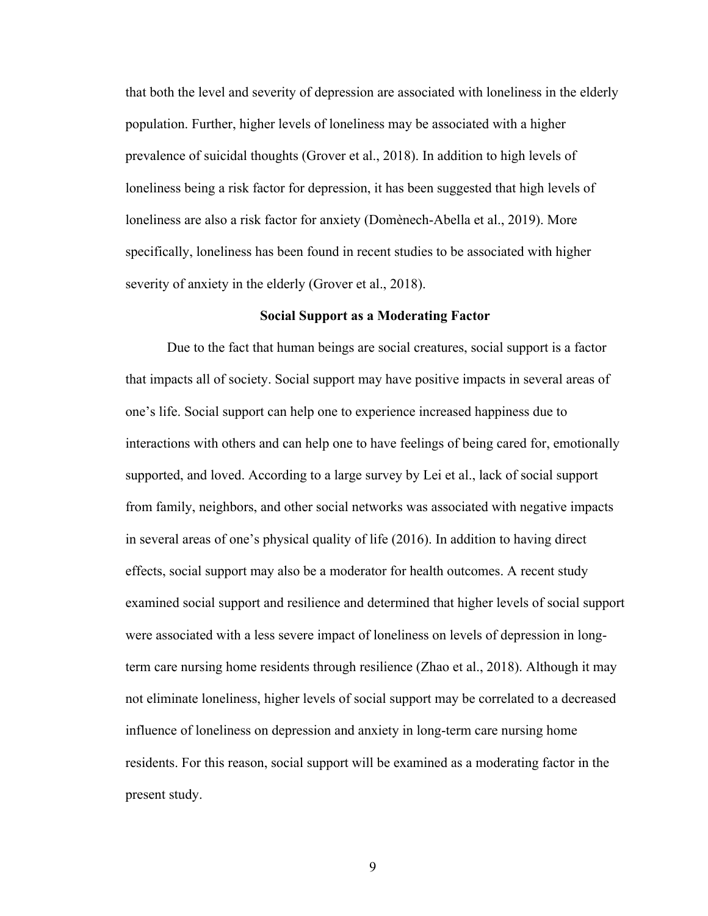that both the level and severity of depression are associated with loneliness in the elderly population. Further, higher levels of loneliness may be associated with a higher prevalence of suicidal thoughts (Grover et al., 2018). In addition to high levels of loneliness being a risk factor for depression, it has been suggested that high levels of loneliness are also a risk factor for anxiety (Domènech-Abella et al., 2019). More specifically, loneliness has been found in recent studies to be associated with higher severity of anxiety in the elderly (Grover et al., 2018).

#### **Social Support as a Moderating Factor**

Due to the fact that human beings are social creatures, social support is a factor that impacts all of society. Social support may have positive impacts in several areas of one's life. Social support can help one to experience increased happiness due to interactions with others and can help one to have feelings of being cared for, emotionally supported, and loved. According to a large survey by Lei et al., lack of social support from family, neighbors, and other social networks was associated with negative impacts in several areas of one's physical quality of life (2016). In addition to having direct effects, social support may also be a moderator for health outcomes. A recent study examined social support and resilience and determined that higher levels of social support were associated with a less severe impact of loneliness on levels of depression in longterm care nursing home residents through resilience (Zhao et al., 2018). Although it may not eliminate loneliness, higher levels of social support may be correlated to a decreased influence of loneliness on depression and anxiety in long-term care nursing home residents. For this reason, social support will be examined as a moderating factor in the present study.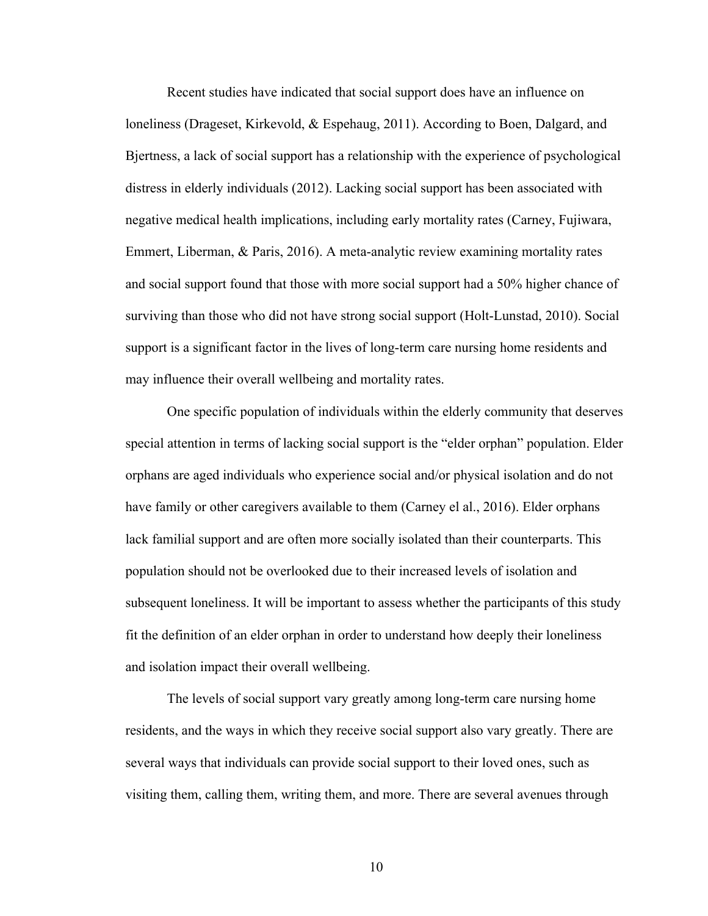Recent studies have indicated that social support does have an influence on loneliness (Drageset, Kirkevold, & Espehaug, 2011). According to Boen, Dalgard, and Bjertness, a lack of social support has a relationship with the experience of psychological distress in elderly individuals (2012). Lacking social support has been associated with negative medical health implications, including early mortality rates (Carney, Fujiwara, Emmert, Liberman, & Paris, 2016). A meta-analytic review examining mortality rates and social support found that those with more social support had a 50% higher chance of surviving than those who did not have strong social support (Holt-Lunstad, 2010). Social support is a significant factor in the lives of long-term care nursing home residents and may influence their overall wellbeing and mortality rates.

One specific population of individuals within the elderly community that deserves special attention in terms of lacking social support is the "elder orphan" population. Elder orphans are aged individuals who experience social and/or physical isolation and do not have family or other caregivers available to them (Carney el al., 2016). Elder orphans lack familial support and are often more socially isolated than their counterparts. This population should not be overlooked due to their increased levels of isolation and subsequent loneliness. It will be important to assess whether the participants of this study fit the definition of an elder orphan in order to understand how deeply their loneliness and isolation impact their overall wellbeing.

The levels of social support vary greatly among long-term care nursing home residents, and the ways in which they receive social support also vary greatly. There are several ways that individuals can provide social support to their loved ones, such as visiting them, calling them, writing them, and more. There are several avenues through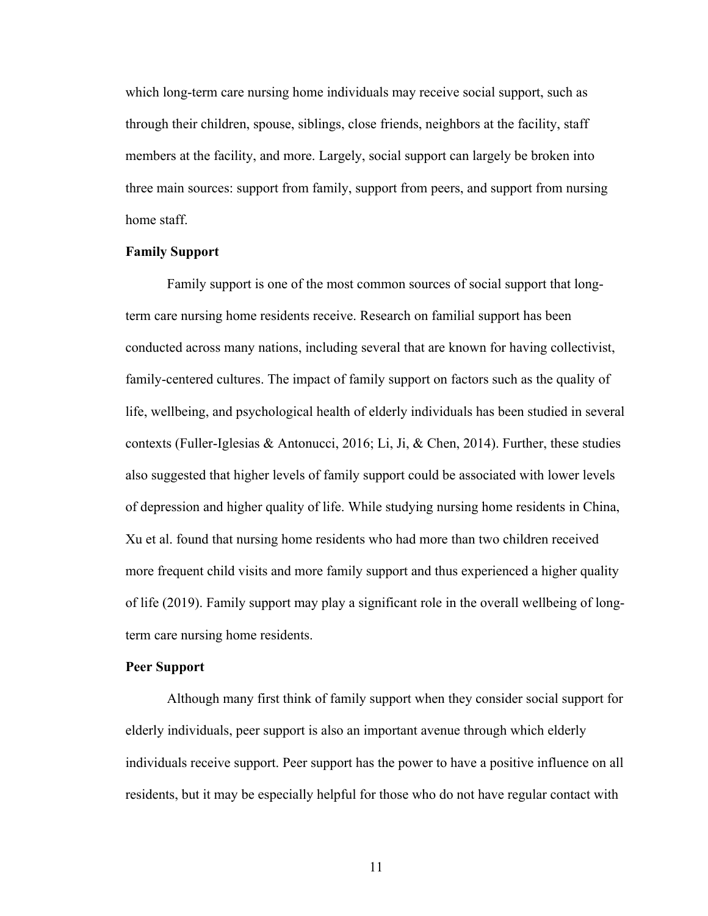which long-term care nursing home individuals may receive social support, such as through their children, spouse, siblings, close friends, neighbors at the facility, staff members at the facility, and more. Largely, social support can largely be broken into three main sources: support from family, support from peers, and support from nursing home staff.

## **Family Support**

Family support is one of the most common sources of social support that longterm care nursing home residents receive. Research on familial support has been conducted across many nations, including several that are known for having collectivist, family-centered cultures. The impact of family support on factors such as the quality of life, wellbeing, and psychological health of elderly individuals has been studied in several contexts (Fuller-Iglesias & Antonucci, 2016; Li, Ji, & Chen, 2014). Further, these studies also suggested that higher levels of family support could be associated with lower levels of depression and higher quality of life. While studying nursing home residents in China, Xu et al. found that nursing home residents who had more than two children received more frequent child visits and more family support and thus experienced a higher quality of life (2019). Family support may play a significant role in the overall wellbeing of longterm care nursing home residents.

## **Peer Support**

Although many first think of family support when they consider social support for elderly individuals, peer support is also an important avenue through which elderly individuals receive support. Peer support has the power to have a positive influence on all residents, but it may be especially helpful for those who do not have regular contact with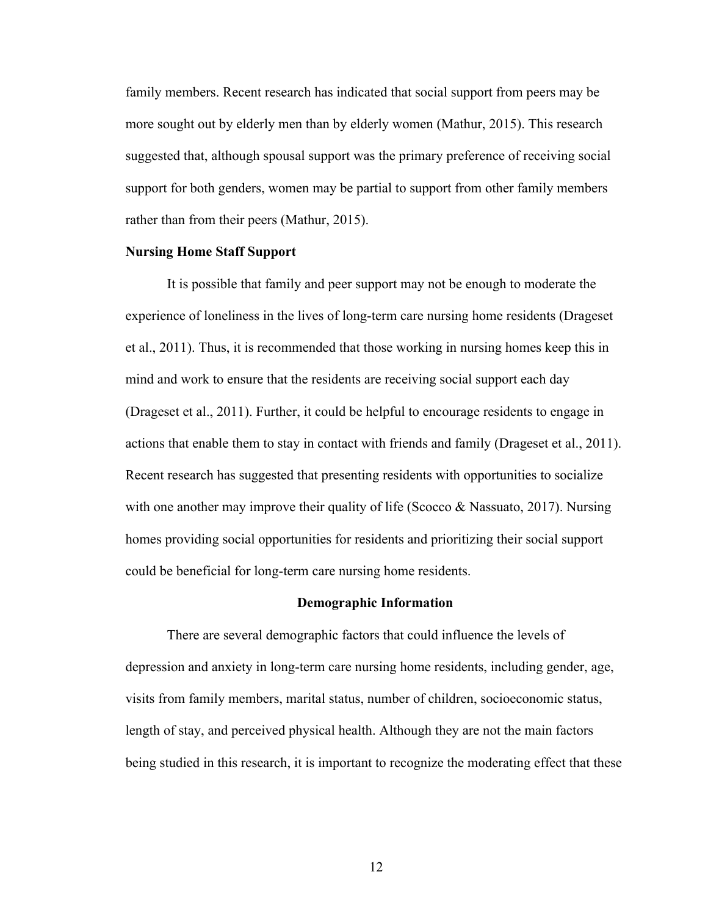family members. Recent research has indicated that social support from peers may be more sought out by elderly men than by elderly women (Mathur, 2015). This research suggested that, although spousal support was the primary preference of receiving social support for both genders, women may be partial to support from other family members rather than from their peers (Mathur, 2015).

## **Nursing Home Staff Support**

It is possible that family and peer support may not be enough to moderate the experience of loneliness in the lives of long-term care nursing home residents (Drageset et al., 2011). Thus, it is recommended that those working in nursing homes keep this in mind and work to ensure that the residents are receiving social support each day (Drageset et al., 2011). Further, it could be helpful to encourage residents to engage in actions that enable them to stay in contact with friends and family (Drageset et al., 2011). Recent research has suggested that presenting residents with opportunities to socialize with one another may improve their quality of life (Scocco  $\&$  Nassuato, 2017). Nursing homes providing social opportunities for residents and prioritizing their social support could be beneficial for long-term care nursing home residents.

#### **Demographic Information**

There are several demographic factors that could influence the levels of depression and anxiety in long-term care nursing home residents, including gender, age, visits from family members, marital status, number of children, socioeconomic status, length of stay, and perceived physical health. Although they are not the main factors being studied in this research, it is important to recognize the moderating effect that these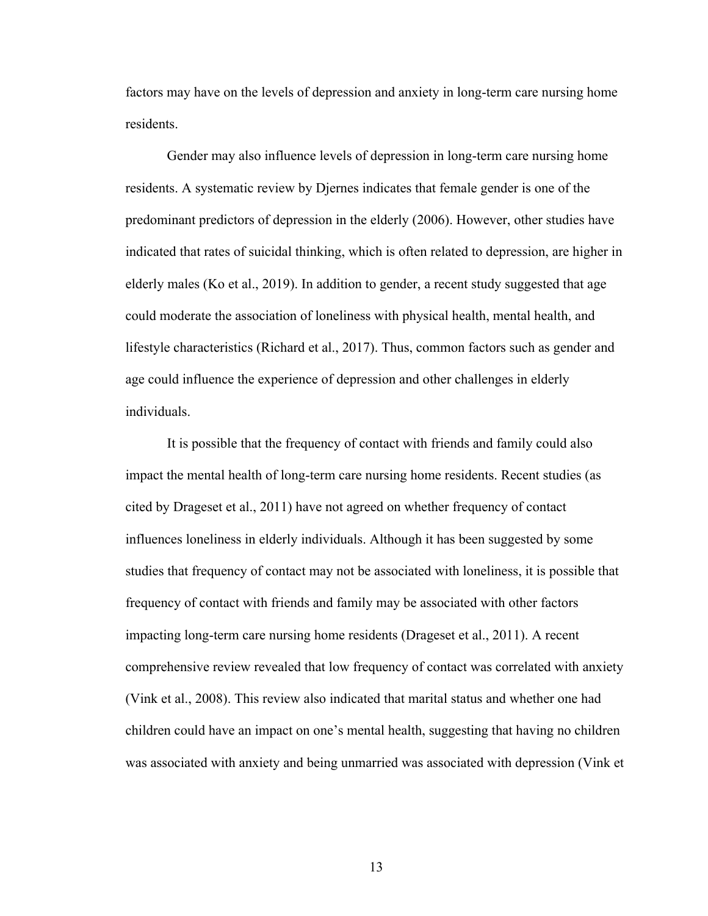factors may have on the levels of depression and anxiety in long-term care nursing home residents.

Gender may also influence levels of depression in long-term care nursing home residents. A systematic review by Djernes indicates that female gender is one of the predominant predictors of depression in the elderly (2006). However, other studies have indicated that rates of suicidal thinking, which is often related to depression, are higher in elderly males (Ko et al., 2019). In addition to gender, a recent study suggested that age could moderate the association of loneliness with physical health, mental health, and lifestyle characteristics (Richard et al., 2017). Thus, common factors such as gender and age could influence the experience of depression and other challenges in elderly individuals.

It is possible that the frequency of contact with friends and family could also impact the mental health of long-term care nursing home residents. Recent studies (as cited by Drageset et al., 2011) have not agreed on whether frequency of contact influences loneliness in elderly individuals. Although it has been suggested by some studies that frequency of contact may not be associated with loneliness, it is possible that frequency of contact with friends and family may be associated with other factors impacting long-term care nursing home residents (Drageset et al., 2011). A recent comprehensive review revealed that low frequency of contact was correlated with anxiety (Vink et al., 2008). This review also indicated that marital status and whether one had children could have an impact on one's mental health, suggesting that having no children was associated with anxiety and being unmarried was associated with depression (Vink et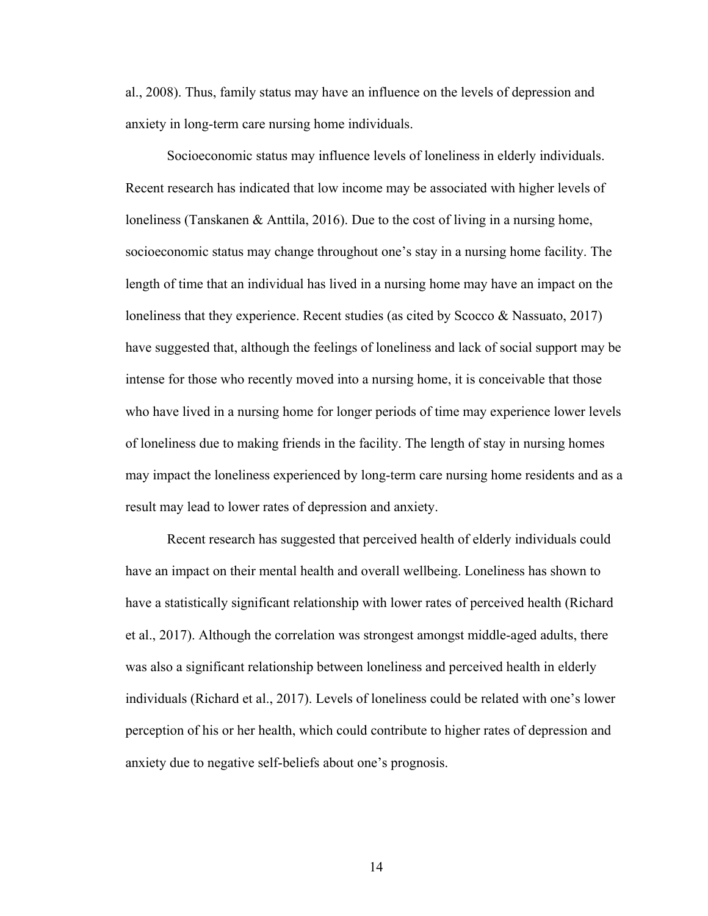al., 2008). Thus, family status may have an influence on the levels of depression and anxiety in long-term care nursing home individuals.

Socioeconomic status may influence levels of loneliness in elderly individuals. Recent research has indicated that low income may be associated with higher levels of loneliness (Tanskanen & Anttila, 2016). Due to the cost of living in a nursing home, socioeconomic status may change throughout one's stay in a nursing home facility. The length of time that an individual has lived in a nursing home may have an impact on the loneliness that they experience. Recent studies (as cited by Scocco & Nassuato, 2017) have suggested that, although the feelings of loneliness and lack of social support may be intense for those who recently moved into a nursing home, it is conceivable that those who have lived in a nursing home for longer periods of time may experience lower levels of loneliness due to making friends in the facility. The length of stay in nursing homes may impact the loneliness experienced by long-term care nursing home residents and as a result may lead to lower rates of depression and anxiety.

Recent research has suggested that perceived health of elderly individuals could have an impact on their mental health and overall wellbeing. Loneliness has shown to have a statistically significant relationship with lower rates of perceived health (Richard et al., 2017). Although the correlation was strongest amongst middle-aged adults, there was also a significant relationship between loneliness and perceived health in elderly individuals (Richard et al., 2017). Levels of loneliness could be related with one's lower perception of his or her health, which could contribute to higher rates of depression and anxiety due to negative self-beliefs about one's prognosis.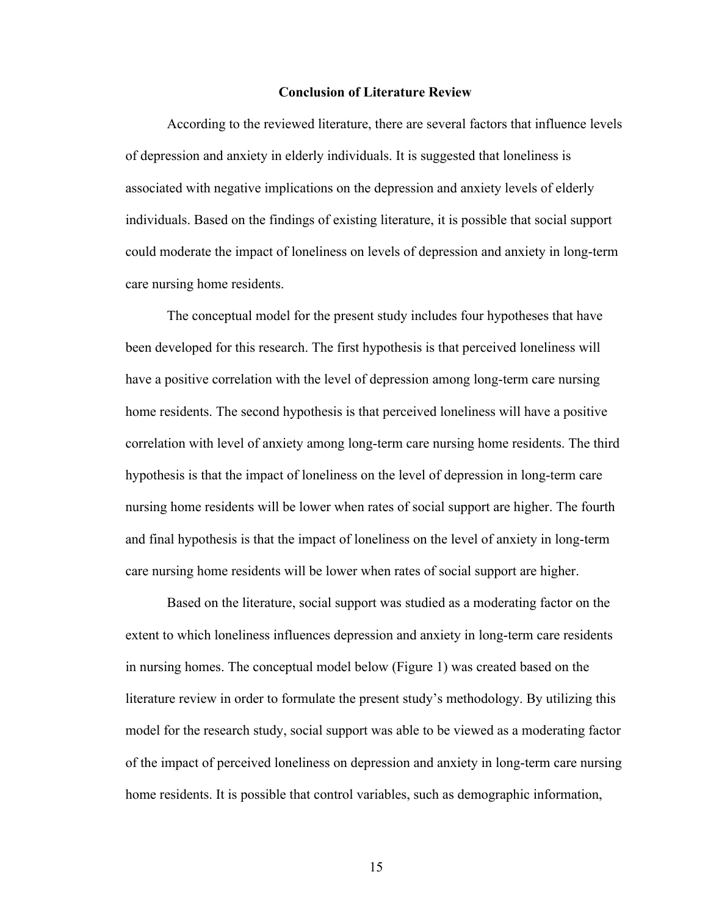### **Conclusion of Literature Review**

According to the reviewed literature, there are several factors that influence levels of depression and anxiety in elderly individuals. It is suggested that loneliness is associated with negative implications on the depression and anxiety levels of elderly individuals. Based on the findings of existing literature, it is possible that social support could moderate the impact of loneliness on levels of depression and anxiety in long-term care nursing home residents.

The conceptual model for the present study includes four hypotheses that have been developed for this research. The first hypothesis is that perceived loneliness will have a positive correlation with the level of depression among long-term care nursing home residents. The second hypothesis is that perceived loneliness will have a positive correlation with level of anxiety among long-term care nursing home residents. The third hypothesis is that the impact of loneliness on the level of depression in long-term care nursing home residents will be lower when rates of social support are higher. The fourth and final hypothesis is that the impact of loneliness on the level of anxiety in long-term care nursing home residents will be lower when rates of social support are higher.

Based on the literature, social support was studied as a moderating factor on the extent to which loneliness influences depression and anxiety in long-term care residents in nursing homes. The conceptual model below (Figure 1) was created based on the literature review in order to formulate the present study's methodology. By utilizing this model for the research study, social support was able to be viewed as a moderating factor of the impact of perceived loneliness on depression and anxiety in long-term care nursing home residents. It is possible that control variables, such as demographic information,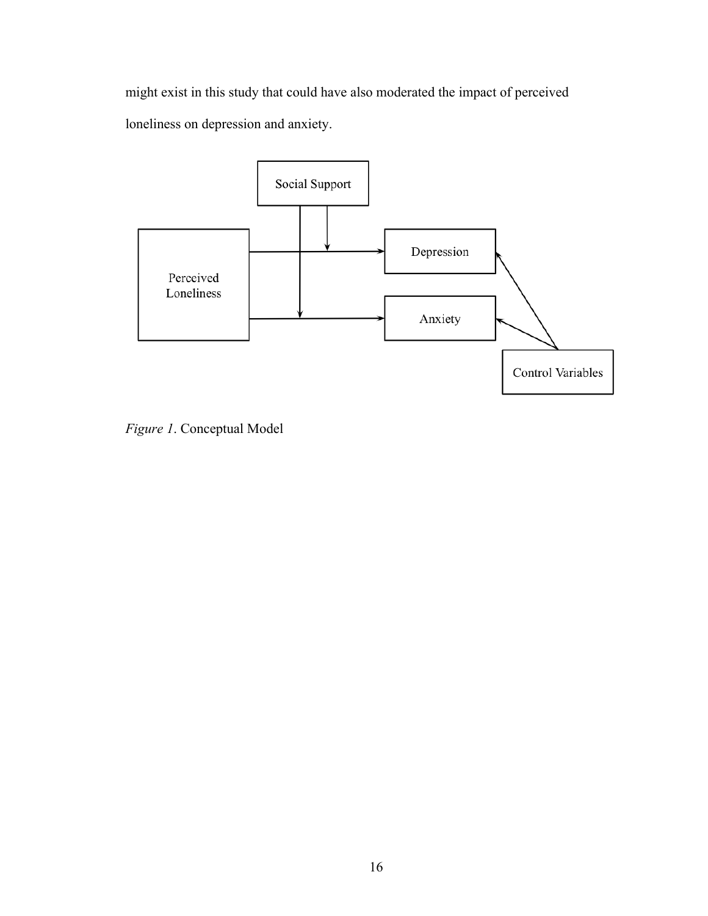might exist in this study that could have also moderated the impact of perceived loneliness on depression and anxiety.



*Figure 1*. Conceptual Model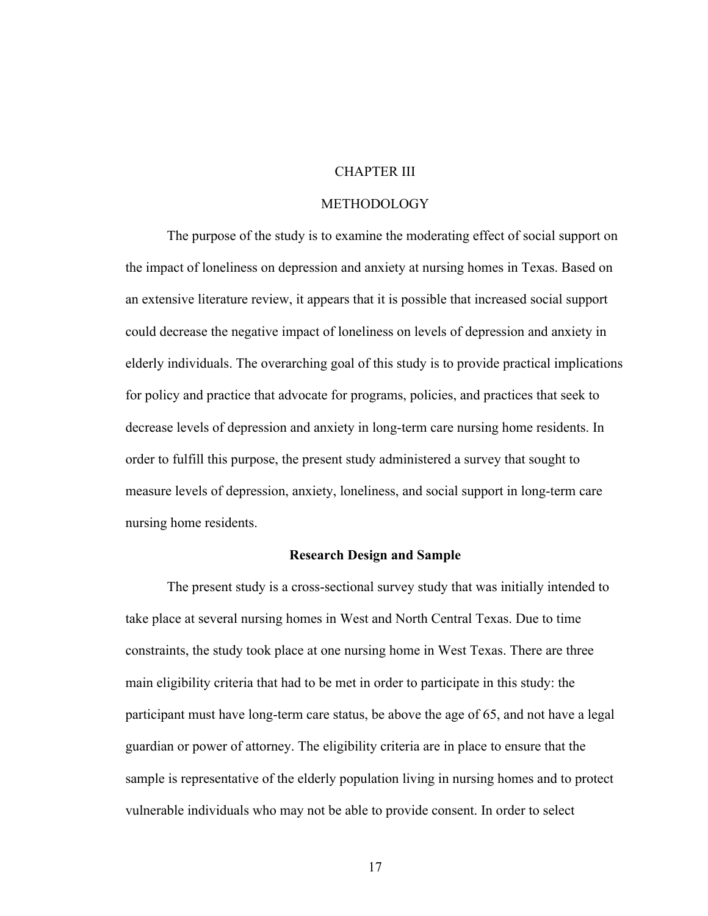## CHAPTER III

## METHODOLOGY

The purpose of the study is to examine the moderating effect of social support on the impact of loneliness on depression and anxiety at nursing homes in Texas. Based on an extensive literature review, it appears that it is possible that increased social support could decrease the negative impact of loneliness on levels of depression and anxiety in elderly individuals. The overarching goal of this study is to provide practical implications for policy and practice that advocate for programs, policies, and practices that seek to decrease levels of depression and anxiety in long-term care nursing home residents. In order to fulfill this purpose, the present study administered a survey that sought to measure levels of depression, anxiety, loneliness, and social support in long-term care nursing home residents.

## **Research Design and Sample**

The present study is a cross-sectional survey study that was initially intended to take place at several nursing homes in West and North Central Texas. Due to time constraints, the study took place at one nursing home in West Texas. There are three main eligibility criteria that had to be met in order to participate in this study: the participant must have long-term care status, be above the age of 65, and not have a legal guardian or power of attorney. The eligibility criteria are in place to ensure that the sample is representative of the elderly population living in nursing homes and to protect vulnerable individuals who may not be able to provide consent. In order to select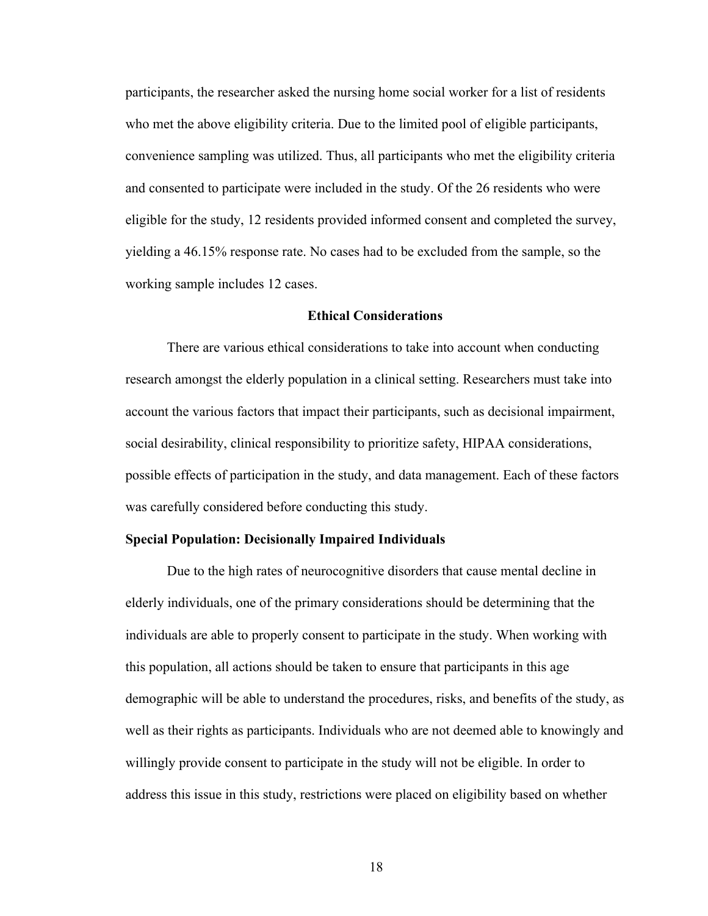participants, the researcher asked the nursing home social worker for a list of residents who met the above eligibility criteria. Due to the limited pool of eligible participants, convenience sampling was utilized. Thus, all participants who met the eligibility criteria and consented to participate were included in the study. Of the 26 residents who were eligible for the study, 12 residents provided informed consent and completed the survey, yielding a 46.15% response rate. No cases had to be excluded from the sample, so the working sample includes 12 cases.

## **Ethical Considerations**

There are various ethical considerations to take into account when conducting research amongst the elderly population in a clinical setting. Researchers must take into account the various factors that impact their participants, such as decisional impairment, social desirability, clinical responsibility to prioritize safety, HIPAA considerations, possible effects of participation in the study, and data management. Each of these factors was carefully considered before conducting this study.

## **Special Population: Decisionally Impaired Individuals**

Due to the high rates of neurocognitive disorders that cause mental decline in elderly individuals, one of the primary considerations should be determining that the individuals are able to properly consent to participate in the study. When working with this population, all actions should be taken to ensure that participants in this age demographic will be able to understand the procedures, risks, and benefits of the study, as well as their rights as participants. Individuals who are not deemed able to knowingly and willingly provide consent to participate in the study will not be eligible. In order to address this issue in this study, restrictions were placed on eligibility based on whether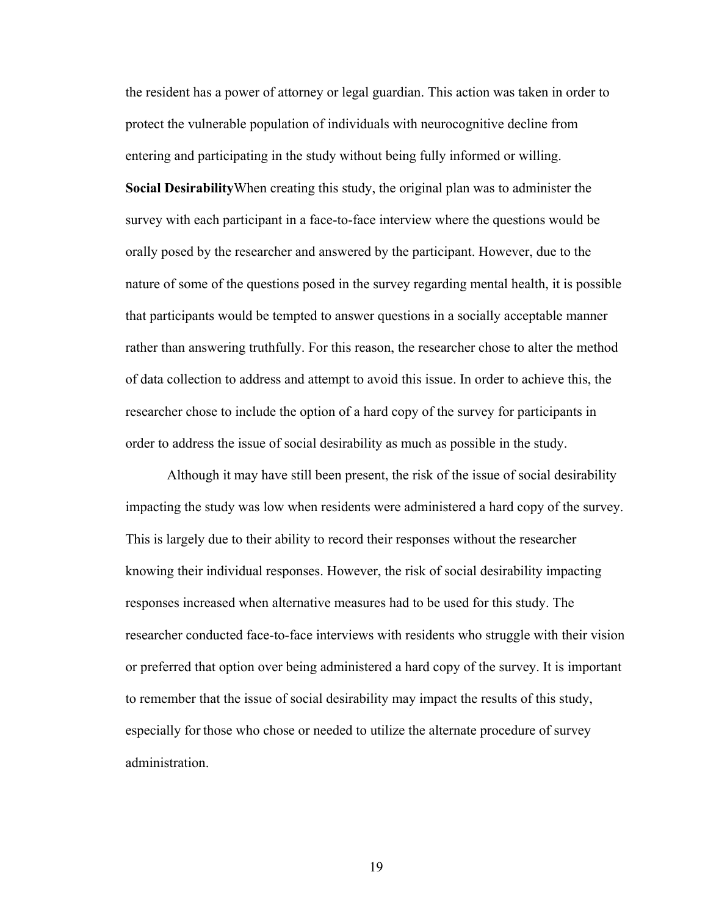the resident has a power of attorney or legal guardian. This action was taken in order to protect the vulnerable population of individuals with neurocognitive decline from entering and participating in the study without being fully informed or willing. **Social Desirability**When creating this study, the original plan was to administer the survey with each participant in a face-to-face interview where the questions would be orally posed by the researcher and answered by the participant. However, due to the nature of some of the questions posed in the survey regarding mental health, it is possible that participants would be tempted to answer questions in a socially acceptable manner rather than answering truthfully. For this reason, the researcher chose to alter the method of data collection to address and attempt to avoid this issue. In order to achieve this, the researcher chose to include the option of a hard copy of the survey for participants in order to address the issue of social desirability as much as possible in the study.

Although it may have still been present, the risk of the issue of social desirability impacting the study was low when residents were administered a hard copy of the survey. This is largely due to their ability to record their responses without the researcher knowing their individual responses. However, the risk of social desirability impacting responses increased when alternative measures had to be used for this study. The researcher conducted face-to-face interviews with residents who struggle with their vision or preferred that option over being administered a hard copy of the survey. It is important to remember that the issue of social desirability may impact the results of this study, especially for those who chose or needed to utilize the alternate procedure of survey administration.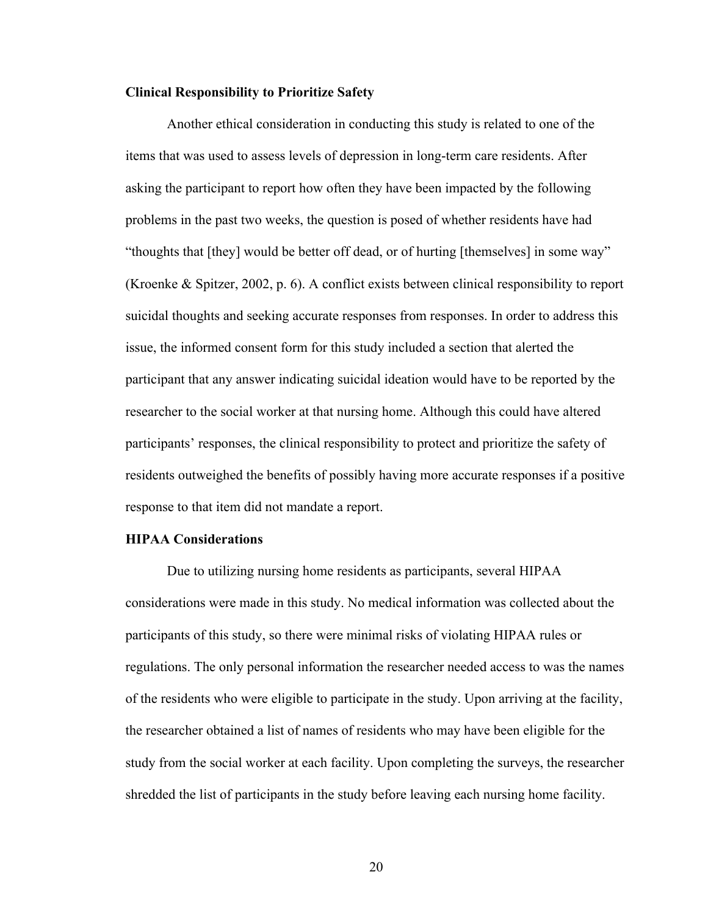## **Clinical Responsibility to Prioritize Safety**

Another ethical consideration in conducting this study is related to one of the items that was used to assess levels of depression in long-term care residents. After asking the participant to report how often they have been impacted by the following problems in the past two weeks, the question is posed of whether residents have had "thoughts that [they] would be better off dead, or of hurting [themselves] in some way" (Kroenke & Spitzer, 2002, p. 6). A conflict exists between clinical responsibility to report suicidal thoughts and seeking accurate responses from responses. In order to address this issue, the informed consent form for this study included a section that alerted the participant that any answer indicating suicidal ideation would have to be reported by the researcher to the social worker at that nursing home. Although this could have altered participants' responses, the clinical responsibility to protect and prioritize the safety of residents outweighed the benefits of possibly having more accurate responses if a positive response to that item did not mandate a report.

## **HIPAA Considerations**

Due to utilizing nursing home residents as participants, several HIPAA considerations were made in this study. No medical information was collected about the participants of this study, so there were minimal risks of violating HIPAA rules or regulations. The only personal information the researcher needed access to was the names of the residents who were eligible to participate in the study. Upon arriving at the facility, the researcher obtained a list of names of residents who may have been eligible for the study from the social worker at each facility. Upon completing the surveys, the researcher shredded the list of participants in the study before leaving each nursing home facility.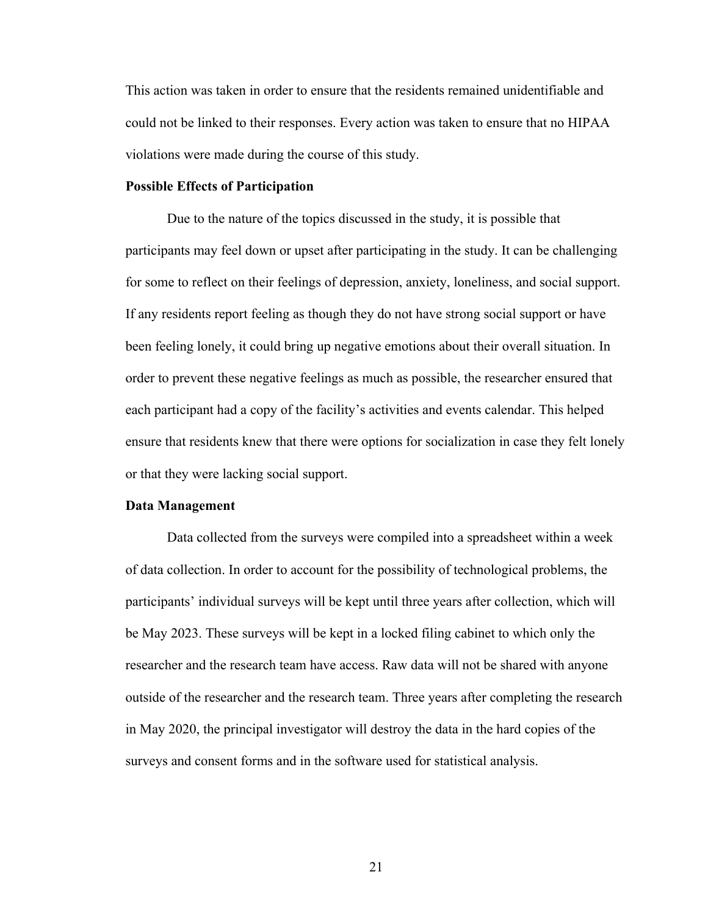This action was taken in order to ensure that the residents remained unidentifiable and could not be linked to their responses. Every action was taken to ensure that no HIPAA violations were made during the course of this study.

## **Possible Effects of Participation**

Due to the nature of the topics discussed in the study, it is possible that participants may feel down or upset after participating in the study. It can be challenging for some to reflect on their feelings of depression, anxiety, loneliness, and social support. If any residents report feeling as though they do not have strong social support or have been feeling lonely, it could bring up negative emotions about their overall situation. In order to prevent these negative feelings as much as possible, the researcher ensured that each participant had a copy of the facility's activities and events calendar. This helped ensure that residents knew that there were options for socialization in case they felt lonely or that they were lacking social support.

## **Data Management**

Data collected from the surveys were compiled into a spreadsheet within a week of data collection. In order to account for the possibility of technological problems, the participants' individual surveys will be kept until three years after collection, which will be May 2023. These surveys will be kept in a locked filing cabinet to which only the researcher and the research team have access. Raw data will not be shared with anyone outside of the researcher and the research team. Three years after completing the research in May 2020, the principal investigator will destroy the data in the hard copies of the surveys and consent forms and in the software used for statistical analysis.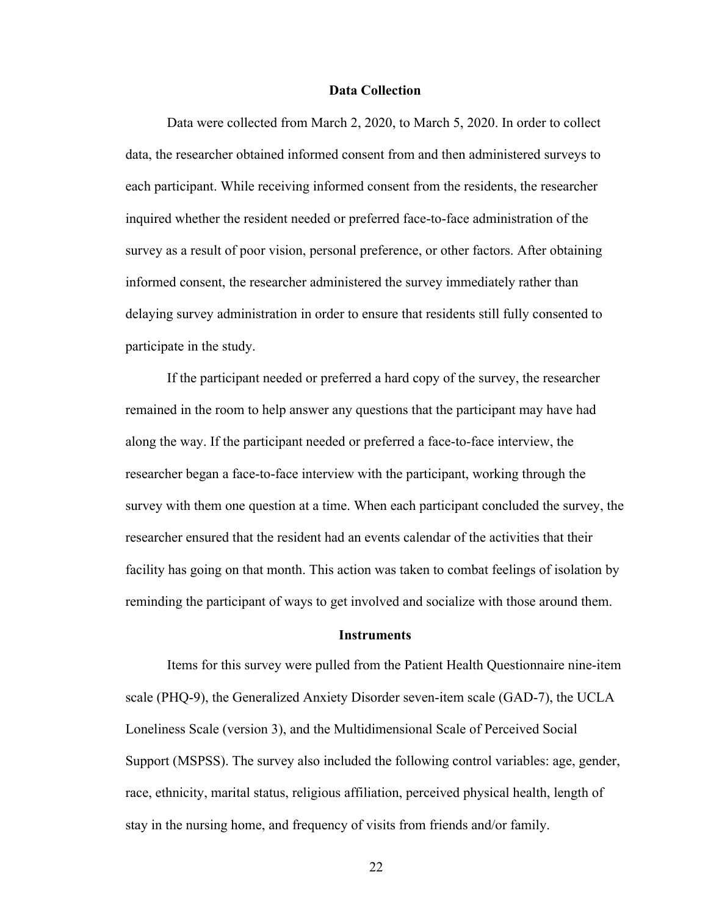## **Data Collection**

Data were collected from March 2, 2020, to March 5, 2020. In order to collect data, the researcher obtained informed consent from and then administered surveys to each participant. While receiving informed consent from the residents, the researcher inquired whether the resident needed or preferred face-to-face administration of the survey as a result of poor vision, personal preference, or other factors. After obtaining informed consent, the researcher administered the survey immediately rather than delaying survey administration in order to ensure that residents still fully consented to participate in the study.

If the participant needed or preferred a hard copy of the survey, the researcher remained in the room to help answer any questions that the participant may have had along the way. If the participant needed or preferred a face-to-face interview, the researcher began a face-to-face interview with the participant, working through the survey with them one question at a time. When each participant concluded the survey, the researcher ensured that the resident had an events calendar of the activities that their facility has going on that month. This action was taken to combat feelings of isolation by reminding the participant of ways to get involved and socialize with those around them.

#### **Instruments**

Items for this survey were pulled from the Patient Health Questionnaire nine-item scale (PHQ-9), the Generalized Anxiety Disorder seven-item scale (GAD-7), the UCLA Loneliness Scale (version 3), and the Multidimensional Scale of Perceived Social Support (MSPSS). The survey also included the following control variables: age, gender, race, ethnicity, marital status, religious affiliation, perceived physical health, length of stay in the nursing home, and frequency of visits from friends and/or family.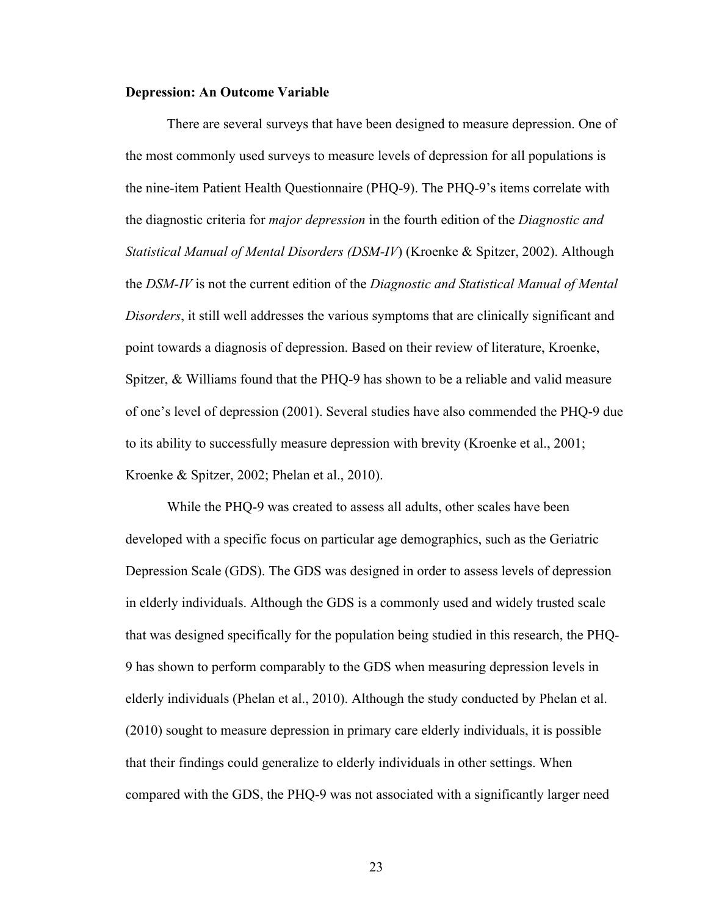## **Depression: An Outcome Variable**

There are several surveys that have been designed to measure depression. One of the most commonly used surveys to measure levels of depression for all populations is the nine-item Patient Health Questionnaire (PHQ-9). The PHQ-9's items correlate with the diagnostic criteria for *major depression* in the fourth edition of the *Diagnostic and Statistical Manual of Mental Disorders (DSM-IV*) (Kroenke & Spitzer, 2002). Although the *DSM-IV* is not the current edition of the *Diagnostic and Statistical Manual of Mental Disorders*, it still well addresses the various symptoms that are clinically significant and point towards a diagnosis of depression. Based on their review of literature, Kroenke, Spitzer, & Williams found that the PHQ-9 has shown to be a reliable and valid measure of one's level of depression (2001). Several studies have also commended the PHQ-9 due to its ability to successfully measure depression with brevity (Kroenke et al., 2001; Kroenke & Spitzer, 2002; Phelan et al., 2010).

While the PHQ-9 was created to assess all adults, other scales have been developed with a specific focus on particular age demographics, such as the Geriatric Depression Scale (GDS). The GDS was designed in order to assess levels of depression in elderly individuals. Although the GDS is a commonly used and widely trusted scale that was designed specifically for the population being studied in this research, the PHQ-9 has shown to perform comparably to the GDS when measuring depression levels in elderly individuals (Phelan et al., 2010). Although the study conducted by Phelan et al. (2010) sought to measure depression in primary care elderly individuals, it is possible that their findings could generalize to elderly individuals in other settings. When compared with the GDS, the PHQ-9 was not associated with a significantly larger need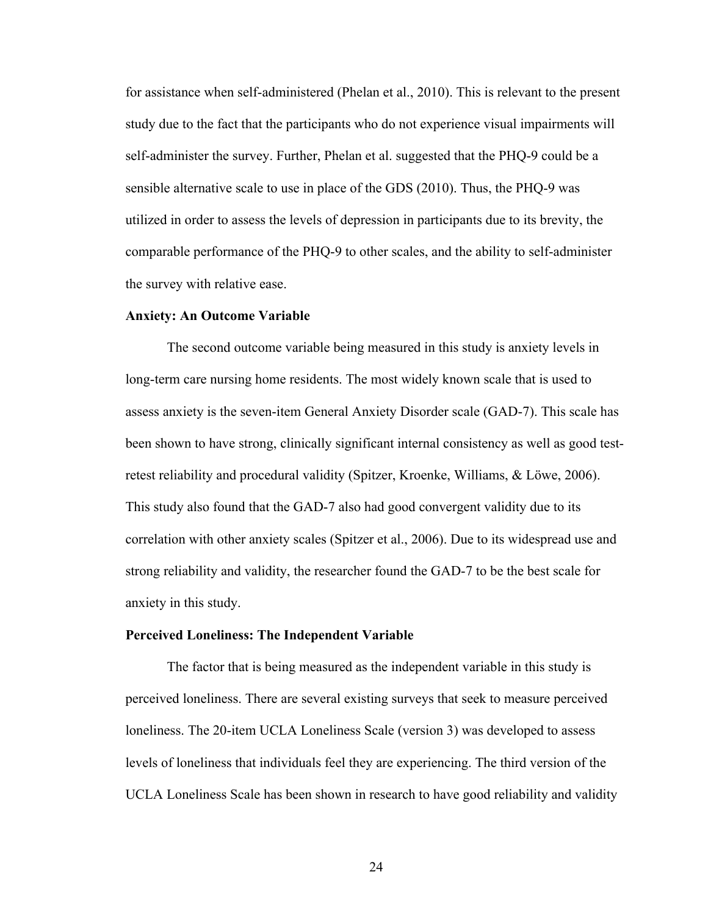for assistance when self-administered (Phelan et al., 2010). This is relevant to the present study due to the fact that the participants who do not experience visual impairments will self-administer the survey. Further, Phelan et al. suggested that the PHQ-9 could be a sensible alternative scale to use in place of the GDS (2010). Thus, the PHQ-9 was utilized in order to assess the levels of depression in participants due to its brevity, the comparable performance of the PHQ-9 to other scales, and the ability to self-administer the survey with relative ease.

#### **Anxiety: An Outcome Variable**

The second outcome variable being measured in this study is anxiety levels in long-term care nursing home residents. The most widely known scale that is used to assess anxiety is the seven-item General Anxiety Disorder scale (GAD-7). This scale has been shown to have strong, clinically significant internal consistency as well as good testretest reliability and procedural validity (Spitzer, Kroenke, Williams, & Löwe, 2006). This study also found that the GAD-7 also had good convergent validity due to its correlation with other anxiety scales (Spitzer et al., 2006). Due to its widespread use and strong reliability and validity, the researcher found the GAD-7 to be the best scale for anxiety in this study.

#### **Perceived Loneliness: The Independent Variable**

 The factor that is being measured as the independent variable in this study is perceived loneliness. There are several existing surveys that seek to measure perceived loneliness. The 20-item UCLA Loneliness Scale (version 3) was developed to assess levels of loneliness that individuals feel they are experiencing. The third version of the UCLA Loneliness Scale has been shown in research to have good reliability and validity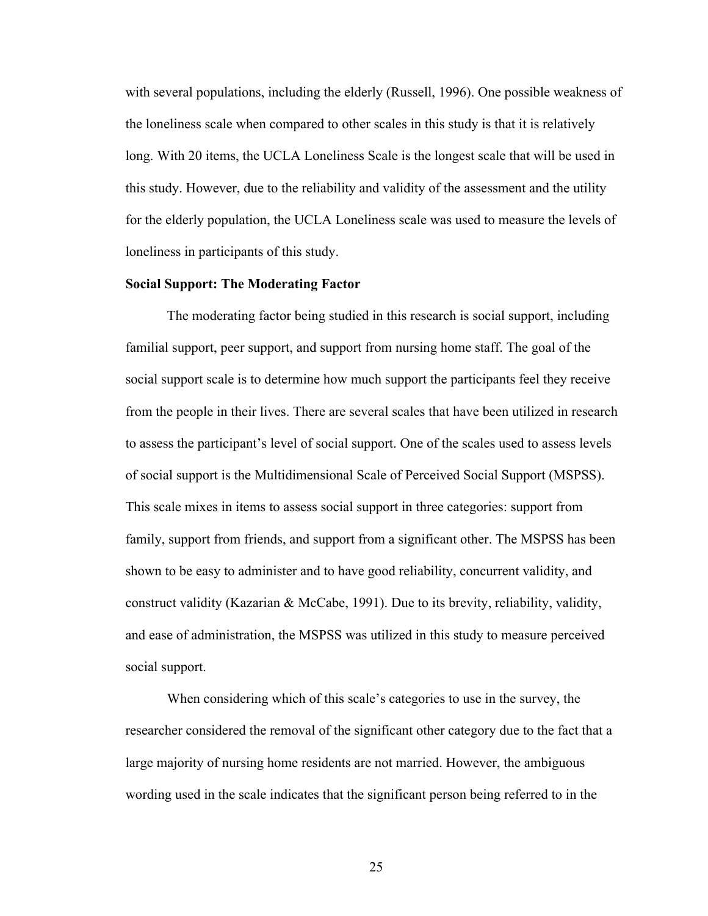with several populations, including the elderly (Russell, 1996). One possible weakness of the loneliness scale when compared to other scales in this study is that it is relatively long. With 20 items, the UCLA Loneliness Scale is the longest scale that will be used in this study. However, due to the reliability and validity of the assessment and the utility for the elderly population, the UCLA Loneliness scale was used to measure the levels of loneliness in participants of this study.

## **Social Support: The Moderating Factor**

The moderating factor being studied in this research is social support, including familial support, peer support, and support from nursing home staff. The goal of the social support scale is to determine how much support the participants feel they receive from the people in their lives. There are several scales that have been utilized in research to assess the participant's level of social support. One of the scales used to assess levels of social support is the Multidimensional Scale of Perceived Social Support (MSPSS). This scale mixes in items to assess social support in three categories: support from family, support from friends, and support from a significant other. The MSPSS has been shown to be easy to administer and to have good reliability, concurrent validity, and construct validity (Kazarian & McCabe, 1991). Due to its brevity, reliability, validity, and ease of administration, the MSPSS was utilized in this study to measure perceived social support.

When considering which of this scale's categories to use in the survey, the researcher considered the removal of the significant other category due to the fact that a large majority of nursing home residents are not married. However, the ambiguous wording used in the scale indicates that the significant person being referred to in the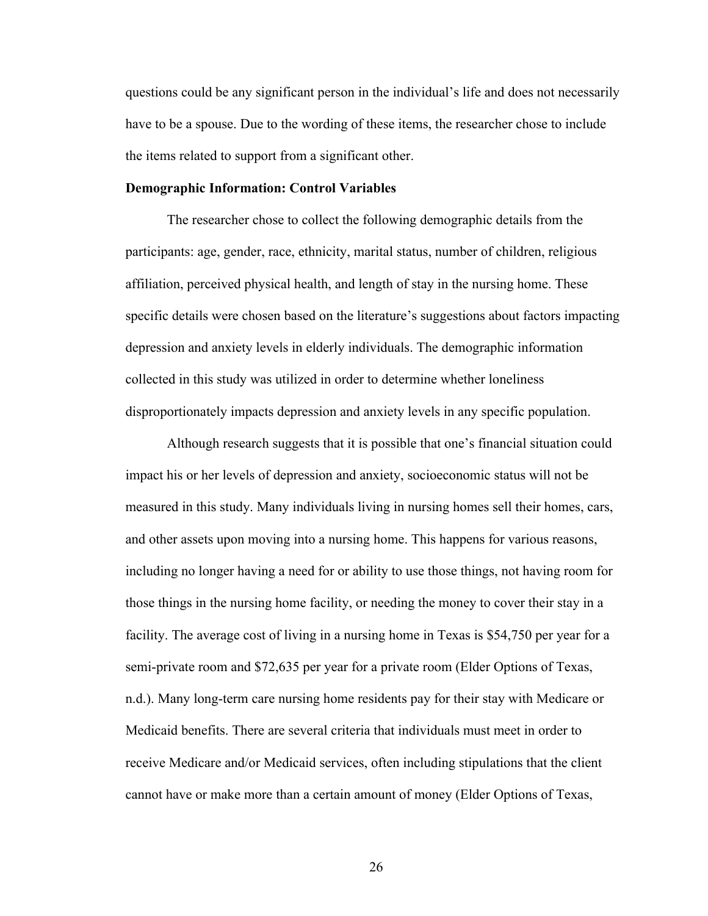questions could be any significant person in the individual's life and does not necessarily have to be a spouse. Due to the wording of these items, the researcher chose to include the items related to support from a significant other.

### **Demographic Information: Control Variables**

The researcher chose to collect the following demographic details from the participants: age, gender, race, ethnicity, marital status, number of children, religious affiliation, perceived physical health, and length of stay in the nursing home. These specific details were chosen based on the literature's suggestions about factors impacting depression and anxiety levels in elderly individuals. The demographic information collected in this study was utilized in order to determine whether loneliness disproportionately impacts depression and anxiety levels in any specific population.

Although research suggests that it is possible that one's financial situation could impact his or her levels of depression and anxiety, socioeconomic status will not be measured in this study. Many individuals living in nursing homes sell their homes, cars, and other assets upon moving into a nursing home. This happens for various reasons, including no longer having a need for or ability to use those things, not having room for those things in the nursing home facility, or needing the money to cover their stay in a facility. The average cost of living in a nursing home in Texas is \$54,750 per year for a semi-private room and \$72,635 per year for a private room (Elder Options of Texas, n.d.). Many long-term care nursing home residents pay for their stay with Medicare or Medicaid benefits. There are several criteria that individuals must meet in order to receive Medicare and/or Medicaid services, often including stipulations that the client cannot have or make more than a certain amount of money (Elder Options of Texas,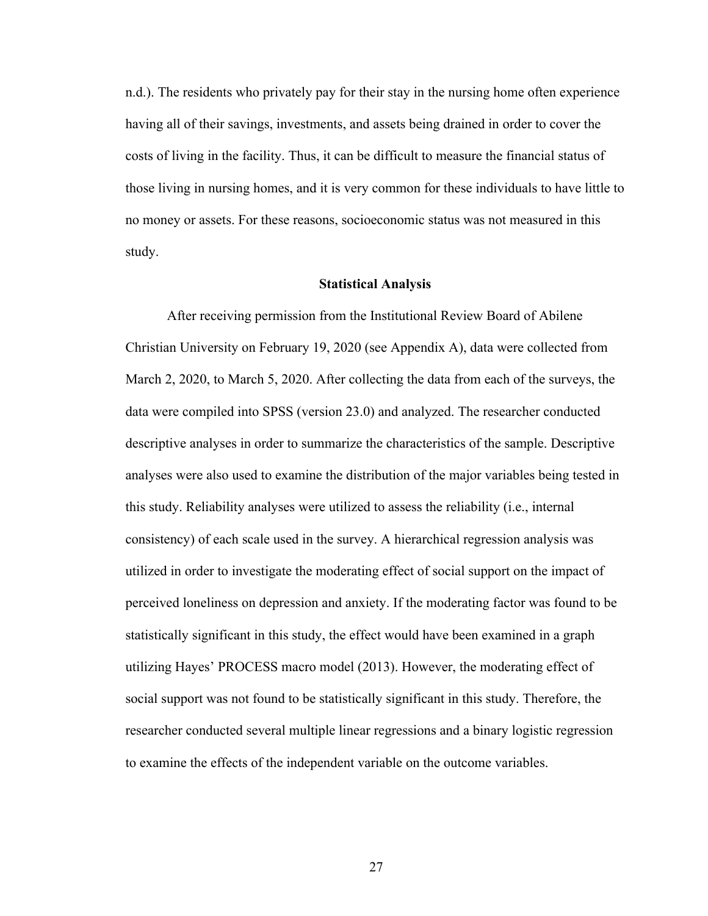n.d.). The residents who privately pay for their stay in the nursing home often experience having all of their savings, investments, and assets being drained in order to cover the costs of living in the facility. Thus, it can be difficult to measure the financial status of those living in nursing homes, and it is very common for these individuals to have little to no money or assets. For these reasons, socioeconomic status was not measured in this study.

#### **Statistical Analysis**

After receiving permission from the Institutional Review Board of Abilene Christian University on February 19, 2020 (see Appendix A), data were collected from March 2, 2020, to March 5, 2020. After collecting the data from each of the surveys, the data were compiled into SPSS (version 23.0) and analyzed. The researcher conducted descriptive analyses in order to summarize the characteristics of the sample. Descriptive analyses were also used to examine the distribution of the major variables being tested in this study. Reliability analyses were utilized to assess the reliability (i.e., internal consistency) of each scale used in the survey. A hierarchical regression analysis was utilized in order to investigate the moderating effect of social support on the impact of perceived loneliness on depression and anxiety. If the moderating factor was found to be statistically significant in this study, the effect would have been examined in a graph utilizing Hayes' PROCESS macro model (2013). However, the moderating effect of social support was not found to be statistically significant in this study. Therefore, the researcher conducted several multiple linear regressions and a binary logistic regression to examine the effects of the independent variable on the outcome variables.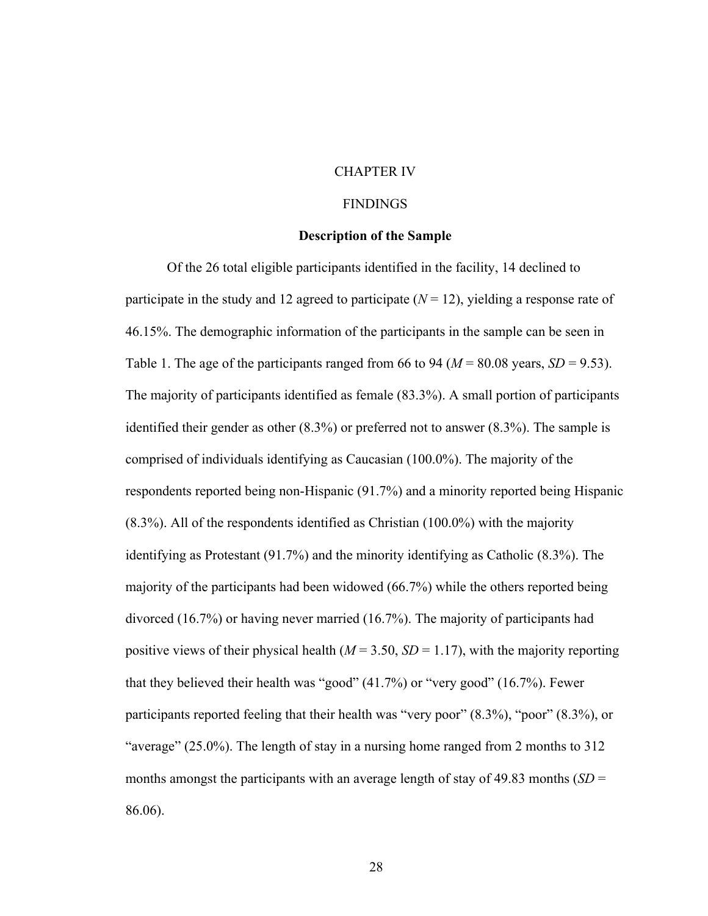## CHAPTER IV

## **FINDINGS**

#### **Description of the Sample**

Of the 26 total eligible participants identified in the facility, 14 declined to participate in the study and 12 agreed to participate  $(N = 12)$ , yielding a response rate of 46.15%. The demographic information of the participants in the sample can be seen in Table 1. The age of the participants ranged from 66 to 94 ( $M = 80.08$  years,  $SD = 9.53$ ). The majority of participants identified as female (83.3%). A small portion of participants identified their gender as other (8.3%) or preferred not to answer (8.3%). The sample is comprised of individuals identifying as Caucasian (100.0%). The majority of the respondents reported being non-Hispanic (91.7%) and a minority reported being Hispanic (8.3%). All of the respondents identified as Christian (100.0%) with the majority identifying as Protestant (91.7%) and the minority identifying as Catholic (8.3%). The majority of the participants had been widowed (66.7%) while the others reported being divorced (16.7%) or having never married (16.7%). The majority of participants had positive views of their physical health  $(M = 3.50, SD = 1.17)$ , with the majority reporting that they believed their health was "good" (41.7%) or "very good" (16.7%). Fewer participants reported feeling that their health was "very poor" (8.3%), "poor" (8.3%), or "average" (25.0%). The length of stay in a nursing home ranged from 2 months to 312 months amongst the participants with an average length of stay of 49.83 months  $(SD =$ 86.06).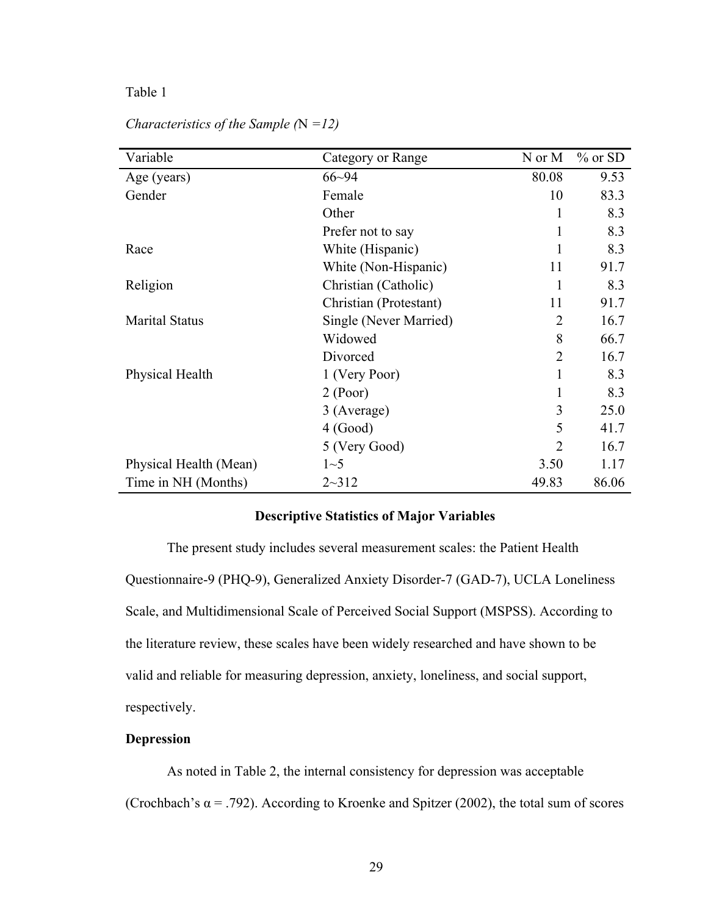| Variable               | Category or Range      | N or M         | $%$ or SD |
|------------------------|------------------------|----------------|-----------|
| Age (years)            | $66 - 94$              | 80.08          | 9.53      |
| Gender                 | Female                 | 10             | 83.3      |
|                        | Other                  | 1              | 8.3       |
|                        | Prefer not to say      | $\mathbf{1}$   | 8.3       |
| Race                   | White (Hispanic)       | 1              | 8.3       |
|                        | White (Non-Hispanic)   | 11             | 91.7      |
| Religion               | Christian (Catholic)   | 1              | 8.3       |
|                        | Christian (Protestant) | 11             | 91.7      |
| <b>Marital Status</b>  | Single (Never Married) | $\overline{2}$ | 16.7      |
|                        | Widowed                | 8              | 66.7      |
|                        | Divorced               | $\overline{2}$ | 16.7      |
| Physical Health        | 1 (Very Poor)          | 1              | 8.3       |
|                        | 2 (Poor)               | 1              | 8.3       |
|                        | 3 (Average)            | 3              | 25.0      |
|                        | 4 (Good)               | 5              | 41.7      |
|                        | 5 (Very Good)          | $\overline{2}$ | 16.7      |
| Physical Health (Mean) | $1\sim5$               | 3.50           | 1.17      |
| Time in NH (Months)    | $2 - 312$              | 49.83          | 86.06     |

*Characteristics of the Sample (*N *=12)*

### **Descriptive Statistics of Major Variables**

The present study includes several measurement scales: the Patient Health Questionnaire-9 (PHQ-9), Generalized Anxiety Disorder-7 (GAD-7), UCLA Loneliness Scale, and Multidimensional Scale of Perceived Social Support (MSPSS). According to the literature review, these scales have been widely researched and have shown to be valid and reliable for measuring depression, anxiety, loneliness, and social support, respectively.

### **Depression**

As noted in Table 2, the internal consistency for depression was acceptable (Crochbach's  $\alpha$  = .792). According to Kroenke and Spitzer (2002), the total sum of scores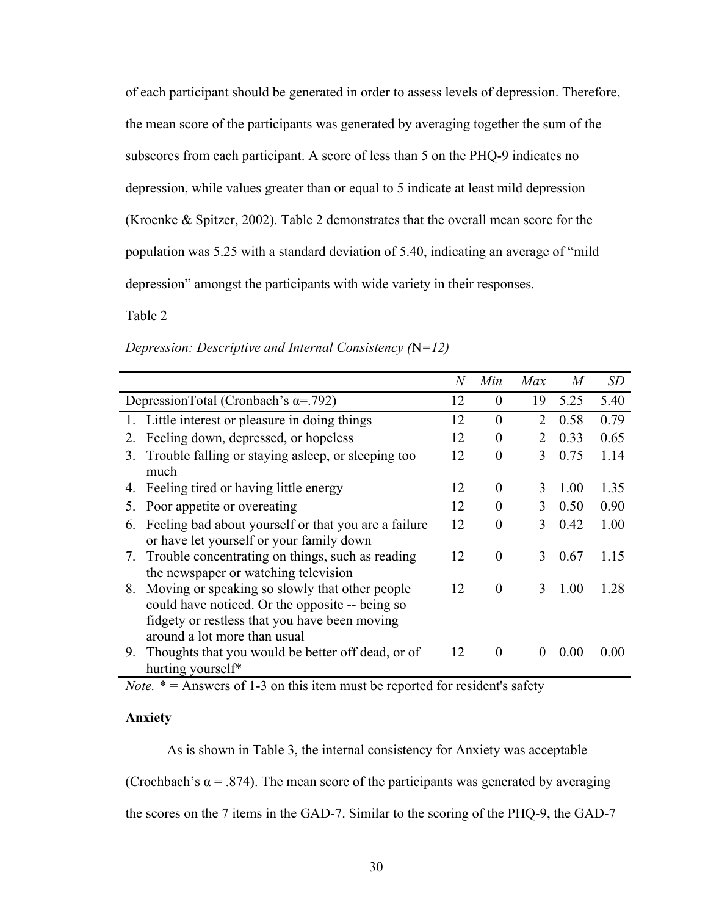of each participant should be generated in order to assess levels of depression. Therefore, the mean score of the participants was generated by averaging together the sum of the subscores from each participant. A score of less than 5 on the PHQ-9 indicates no depression, while values greater than or equal to 5 indicate at least mild depression (Kroenke & Spitzer, 2002). Table 2 demonstrates that the overall mean score for the population was 5.25 with a standard deviation of 5.40, indicating an average of "mild depression" amongst the participants with wide variety in their responses.

Table 2

|                                                                                                                                                                                          | N  | Min            | Max      | M      | <i>SD</i> |
|------------------------------------------------------------------------------------------------------------------------------------------------------------------------------------------|----|----------------|----------|--------|-----------|
| DepressionTotal (Cronbach's $\alpha$ =.792)                                                                                                                                              | 12 | $\theta$       | 19       | 5.25   | 5.40      |
| 1. Little interest or pleasure in doing things                                                                                                                                           | 12 | $\theta$       | 2        | 0.58   | 0.79      |
| Feeling down, depressed, or hopeless<br>2.                                                                                                                                               | 12 | $\theta$       | 2        | 0.33   | 0.65      |
| Trouble falling or staying asleep, or sleeping too<br>3.<br>much                                                                                                                         | 12 | $\theta$       | 3        | 0.75   | 1.14      |
| 4. Feeling tired or having little energy                                                                                                                                                 | 12 | $\theta$       | 3        | 1.00   | 1.35      |
| Poor appetite or overeating<br>5 <sub>1</sub>                                                                                                                                            | 12 | $\Omega$       | 3        | 0.50   | 0.90      |
| Feeling bad about yourself or that you are a failure<br>6.<br>or have let yourself or your family down                                                                                   | 12 | $\theta$       | 3        | 0.42   | 1.00      |
| Trouble concentrating on things, such as reading<br>7.<br>the newspaper or watching television                                                                                           | 12 | $\theta$       | 3        | 0.67   | 1.15      |
| Moving or speaking so slowly that other people<br>8.<br>could have noticed. Or the opposite -- being so<br>fidgety or restless that you have been moving<br>around a lot more than usual | 12 | $\overline{0}$ | 3        | 1.00   | 1.28      |
| Thoughts that you would be better off dead, or of<br>9.<br>hurting yourself*                                                                                                             | 12 | $\theta$       | $\theta$ | (0.00) | 0.00      |

*Depression: Descriptive and Internal Consistency (*N*=12)*

*Note.* \* = Answers of 1-3 on this item must be reported for resident's safety

### **Anxiety**

As is shown in Table 3, the internal consistency for Anxiety was acceptable

(Crochbach's  $\alpha$  = .874). The mean score of the participants was generated by averaging

the scores on the 7 items in the GAD-7. Similar to the scoring of the PHQ-9, the GAD-7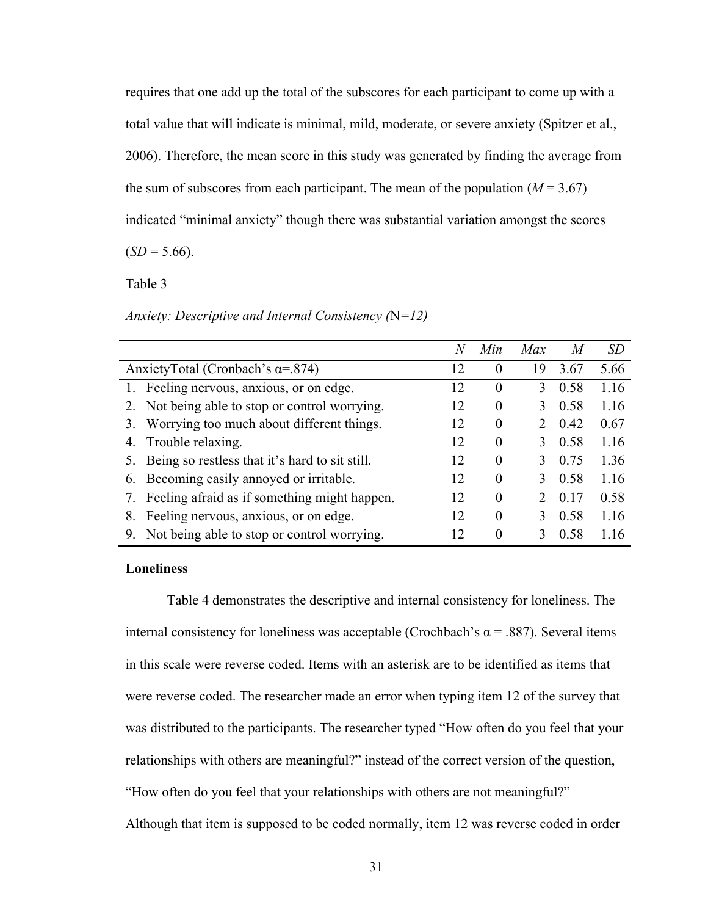requires that one add up the total of the subscores for each participant to come up with a total value that will indicate is minimal, mild, moderate, or severe anxiety (Spitzer et al., 2006). Therefore, the mean score in this study was generated by finding the average from the sum of subscores from each participant. The mean of the population  $(M = 3.67)$ indicated "minimal anxiety" though there was substantial variation amongst the scores

 $(SD = 5.66)$ .

Table 3

*Anxiety: Descriptive and Internal Consistency (*N*=12)*

|                                                      | N  | Min      | Max | M    | <i>SD</i> |
|------------------------------------------------------|----|----------|-----|------|-----------|
| AnxietyTotal (Cronbach's $\alpha$ =.874)             | 12 | 0        | 19  | 3.67 | 5.66      |
| 1. Feeling nervous, anxious, or on edge.             | 12 | 0        | 3   | 0.58 | 1.16      |
| 2. Not being able to stop or control worrying.       | 12 | 0        | 3   | 0.58 | 1.16      |
| Worrying too much about different things.<br>3.      | 12 | 0        |     | 0.42 | 0.67      |
| 4. Trouble relaxing.                                 | 12 | $\theta$ | 3   | 0.58 | 1.16      |
| Being so restless that it's hard to sit still.<br>5. | 12 | 0        | 3   | 0.75 | 1.36      |
| 6. Becoming easily annoyed or irritable.             | 12 | 0        | 3   | 0.58 | 1.16      |
| Feeling afraid as if something might happen.         | 12 | 0        |     | 0.17 | 0.58      |
| Feeling nervous, anxious, or on edge.<br>8.          | 12 | 0        | 3   | 0.58 | 1.16      |
| 9. Not being able to stop or control worrying.       | 12 | 0        |     | 0.58 | 116       |

# **Loneliness**

Table 4 demonstrates the descriptive and internal consistency for loneliness. The internal consistency for loneliness was acceptable (Crochbach's α = .887). Several items in this scale were reverse coded. Items with an asterisk are to be identified as items that were reverse coded. The researcher made an error when typing item 12 of the survey that was distributed to the participants. The researcher typed "How often do you feel that your relationships with others are meaningful?" instead of the correct version of the question, "How often do you feel that your relationships with others are not meaningful?"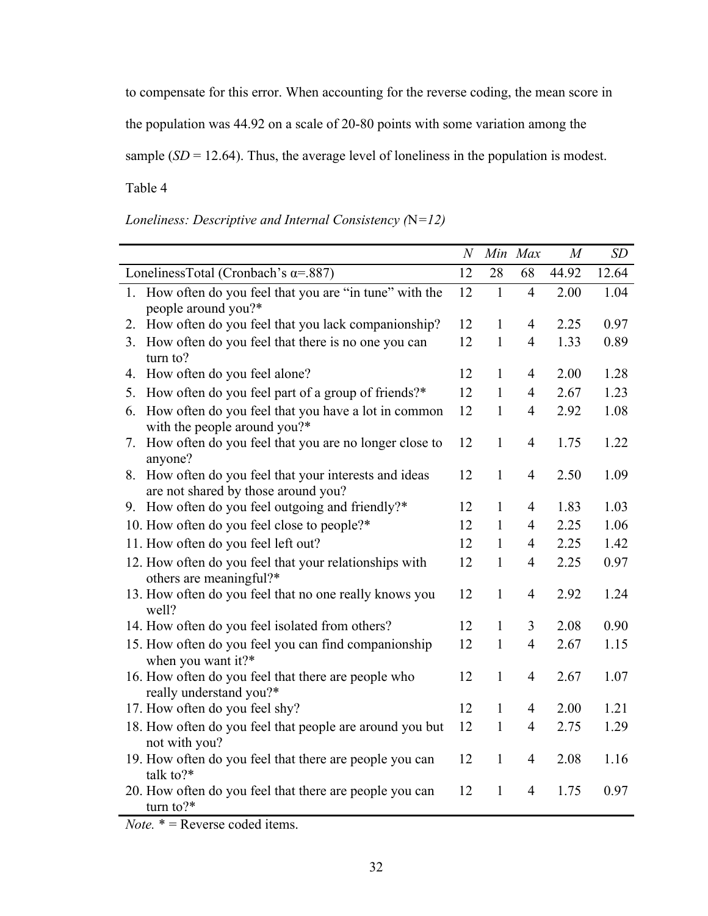to compensate for this error. When accounting for the reverse coding, the mean score in

the population was 44.92 on a scale of 20-80 points with some variation among the

sample  $(SD = 12.64)$ . Thus, the average level of loneliness in the population is modest.

Table 4

|                                                                                        | N               | Min Max |                | M     | SD    |
|----------------------------------------------------------------------------------------|-----------------|---------|----------------|-------|-------|
| LonelinessTotal (Cronbach's $\alpha$ =.887)                                            | 12              | 28      | 68             | 44.92 | 12.64 |
| 1. How often do you feel that you are "in tune" with the<br>people around you?*        | 12              |         | 4              | 2.00  | 1.04  |
| How often do you feel that you lack companionship?<br>2.                               | 12              |         | 4              | 2.25  | 0.97  |
| How often do you feel that there is no one you can<br>3.<br>turn to?                   | 12              | 1       | 4              | 1.33  | 0.89  |
| 4. How often do you feel alone?                                                        | 12              | 1       | 4              | 2.00  | 1.28  |
| 5. How often do you feel part of a group of friends?*                                  | 12              | 1       | 4              | 2.67  | 1.23  |
| 6. How often do you feel that you have a lot in common<br>with the people around you?* | 12              | 1       | $\overline{4}$ | 2.92  | 1.08  |
| How often do you feel that you are no longer close to<br>$\gamma$ .<br>anyone?         | 12              | 1       | 4              | 1.75  | 1.22  |
| How often do you feel that your interests and ideas<br>$\mathbf{x}$                    | 12 <sup>1</sup> |         | $\Delta$       | 2.50  | 1 N.  |

*Loneliness: Descriptive and Internal Consistency (*N*=12)*

|    | TIOW OILON GO YOU TOOI DUIT OF a group of fillenus:                                           | ∸  |              |                |      | 1.ZJ |
|----|-----------------------------------------------------------------------------------------------|----|--------------|----------------|------|------|
| 6. | How often do you feel that you have a lot in common<br>with the people around you?*           | 12 | 1            | $\overline{4}$ | 2.92 | 1.08 |
| 7. | How often do you feel that you are no longer close to<br>anyone?                              | 12 | $\mathbf{1}$ | $\overline{4}$ | 1.75 | 1.22 |
|    | 8. How often do you feel that your interests and ideas<br>are not shared by those around you? | 12 | $\mathbf{1}$ | $\overline{4}$ | 2.50 | 1.09 |
|    | 9. How often do you feel outgoing and friendly?*                                              | 12 | 1            | $\overline{4}$ | 1.83 | 1.03 |
|    | 10. How often do you feel close to people?*                                                   | 12 | 1            | 4              | 2.25 | 1.06 |
|    | 11. How often do you feel left out?                                                           | 12 | $\mathbf{1}$ | $\overline{4}$ | 2.25 | 1.42 |
|    | 12. How often do you feel that your relationships with<br>others are meaningful?*             | 12 | 1            | $\overline{4}$ | 2.25 | 0.97 |
|    | 13. How often do you feel that no one really knows you<br>well?                               | 12 | $\mathbf{1}$ | $\overline{4}$ | 2.92 | 1.24 |
|    | 14. How often do you feel isolated from others?                                               | 12 | $\mathbf{1}$ | 3              | 2.08 | 0.90 |
|    | 15. How often do you feel you can find companionship<br>when you want it?*                    | 12 | $\mathbf{1}$ | $\overline{4}$ | 2.67 | 1.15 |
|    | 16. How often do you feel that there are people who<br>really understand you?*                | 12 | $\mathbf{1}$ | $\overline{4}$ | 2.67 | 1.07 |
|    | 17. How often do you feel shy?                                                                | 12 | $\mathbf{1}$ | $\overline{4}$ | 2.00 | 1.21 |
|    | 18. How often do you feel that people are around you but<br>not with you?                     | 12 | $\mathbf{1}$ | $\overline{4}$ | 2.75 | 1.29 |
|    | 19. How often do you feel that there are people you can<br>talk to? $*$                       | 12 | 1            | $\overline{4}$ | 2.08 | 1.16 |
|    | 20. How often do you feel that there are people you can<br>turn to? $*$                       | 12 | 1            | 4              | 1.75 | 0.97 |
|    | $N_{\alpha\beta\alpha}$ * $\equiv D_{\alpha\beta\alpha}$ and $\alpha$ it and                  |    |              |                |      |      |

*Note.*  $* =$  Reverse coded items.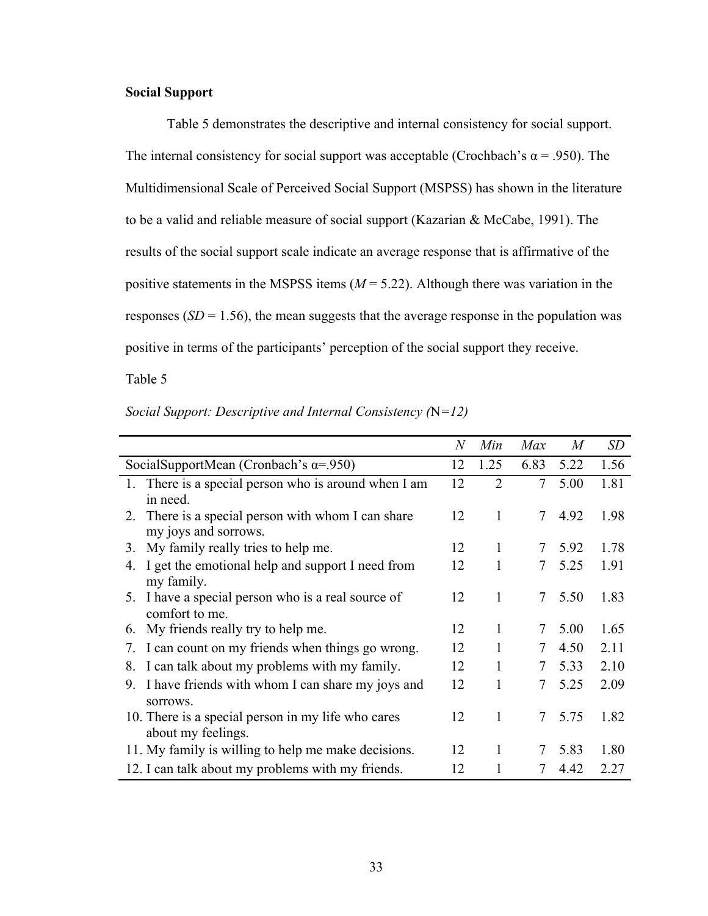## **Social Support**

Table 5 demonstrates the descriptive and internal consistency for social support. The internal consistency for social support was acceptable (Crochbach's  $\alpha$  = .950). The Multidimensional Scale of Perceived Social Support (MSPSS) has shown in the literature to be a valid and reliable measure of social support (Kazarian & McCabe, 1991). The results of the social support scale indicate an average response that is affirmative of the positive statements in the MSPSS items (*M* = 5.22). Although there was variation in the responses ( $SD = 1.56$ ), the mean suggests that the average response in the population was positive in terms of the participants' perception of the social support they receive.

Table 5

|                                                        | $\it N$ | Min            | Max             | M      | SD   |
|--------------------------------------------------------|---------|----------------|-----------------|--------|------|
| SocialSupportMean (Cronbach's $\alpha$ =.950)          | 12      | 1.25           | 6.83            | 5.22   | 1.56 |
| 1. There is a special person who is around when I am   | 12      | $\overline{2}$ | 7               | 5.00   | 1.81 |
| in need.                                               |         |                |                 |        |      |
| 2. There is a special person with whom I can share     | 12      | 1              | 7               | 4.92   | 1.98 |
| my joys and sorrows.                                   |         |                |                 |        |      |
| My family really tries to help me.<br>3.               | 12      | 1              |                 | 7 5.92 | 1.78 |
| I get the emotional help and support I need from<br>4. | 12      | 1              | 7               | 5.25   | 1.91 |
| my family.                                             |         |                |                 |        |      |
| 5. I have a special person who is a real source of     | 12      | 1              | 7               | 5.50   | 1.83 |
| comfort to me.                                         |         |                |                 |        |      |
| My friends really try to help me.<br>6.                | 12      | 1              | 7               | 5.00   | 1.65 |
| I can count on my friends when things go wrong.<br>7.  | 12      | 1              | 7               | 4.50   | 2.11 |
| I can talk about my problems with my family.<br>8.     | 12      | 1              | 7               | 5.33   | 2.10 |
| I have friends with whom I can share my joys and<br>9. | 12      | 1              | 7               | 5.25   | 2.09 |
| sorrows.                                               |         |                |                 |        |      |
| 10. There is a special person in my life who cares     | 12      | 1              | $7\overline{ }$ | 5.75   | 1.82 |
| about my feelings.                                     |         |                |                 |        |      |
| 11. My family is willing to help me make decisions.    | 12      | 1              | 7               | 5.83   | 1.80 |
| 12. I can talk about my problems with my friends.      | 12      |                |                 | 4.42   | 2.27 |

*Social Support: Descriptive and Internal Consistency (*N*=12)*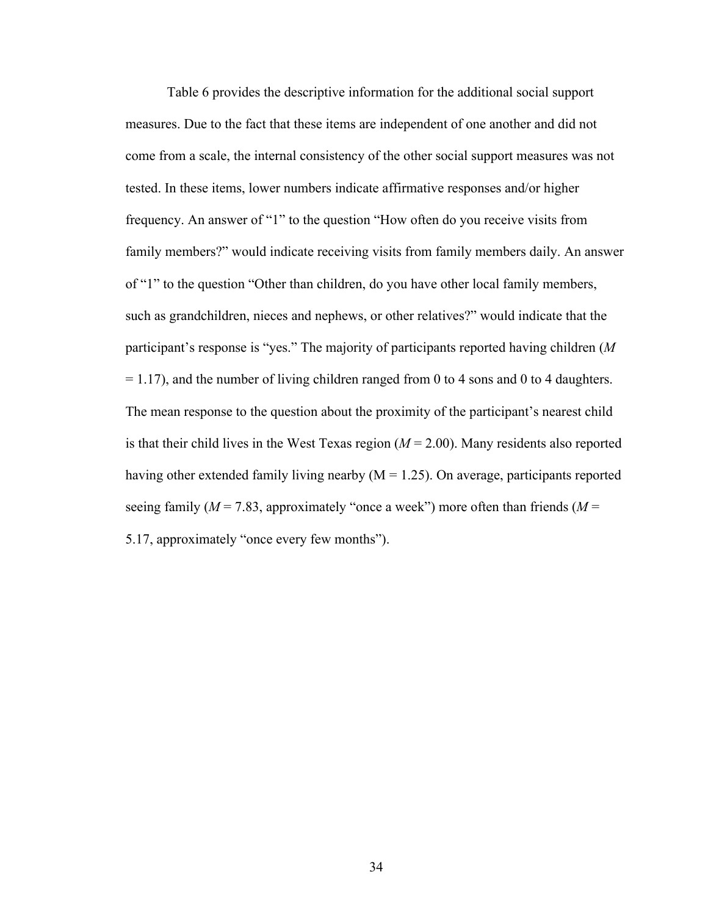Table 6 provides the descriptive information for the additional social support measures. Due to the fact that these items are independent of one another and did not come from a scale, the internal consistency of the other social support measures was not tested. In these items, lower numbers indicate affirmative responses and/or higher frequency. An answer of "1" to the question "How often do you receive visits from family members?" would indicate receiving visits from family members daily. An answer of "1" to the question "Other than children, do you have other local family members, such as grandchildren, nieces and nephews, or other relatives?" would indicate that the participant's response is "yes." The majority of participants reported having children (*M*  $= 1.17$ ), and the number of living children ranged from 0 to 4 sons and 0 to 4 daughters. The mean response to the question about the proximity of the participant's nearest child is that their child lives in the West Texas region  $(M = 2.00)$ . Many residents also reported having other extended family living nearby  $(M = 1.25)$ . On average, participants reported seeing family ( $M = 7.83$ , approximately "once a week") more often than friends ( $M =$ 5.17, approximately "once every few months").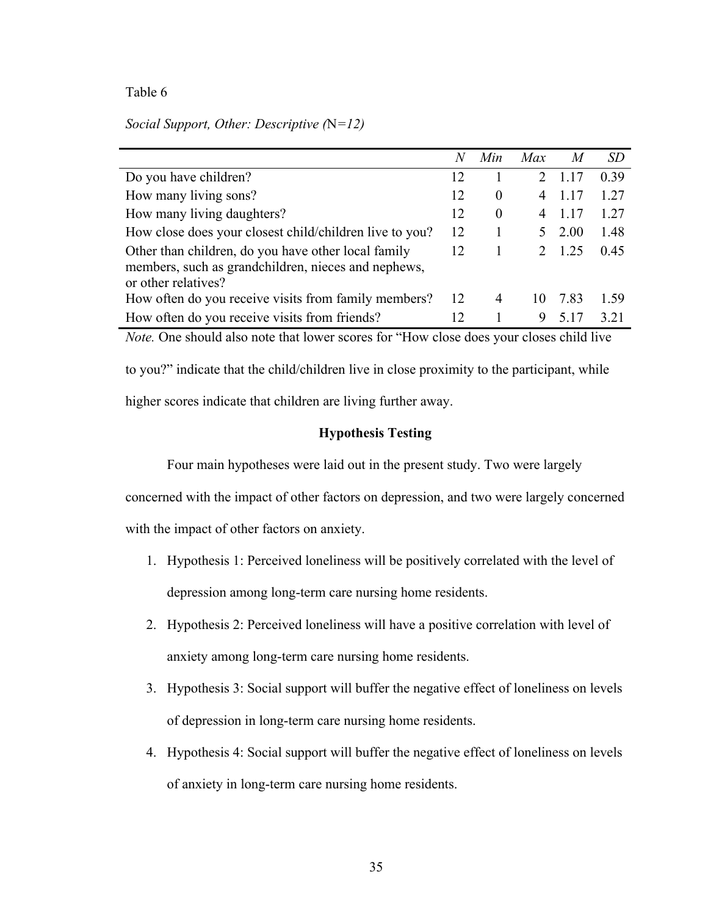| Social Support, Other: Descriptive $(N=12)$ |  |  |  |  |
|---------------------------------------------|--|--|--|--|
|---------------------------------------------|--|--|--|--|

|                                                                                                                                   | N  | Min            | Max                      | M     | SD   |
|-----------------------------------------------------------------------------------------------------------------------------------|----|----------------|--------------------------|-------|------|
| Do you have children?                                                                                                             | 12 |                |                          | 1.17  | 0.39 |
| How many living sons?                                                                                                             | 12 | $\theta$       | 4                        | 1 1 7 | 1.27 |
| How many living daughters?                                                                                                        | 12 | $\theta$       | 4                        |       | 1.27 |
| How close does your closest child/children live to you?                                                                           | 12 |                |                          | 2.00  | 1.48 |
| Other than children, do you have other local family<br>members, such as grandchildren, nieces and nephews,<br>or other relatives? | 12 |                | $\mathcal{D}$            | 1 25  | 0.45 |
| How often do you receive visits from family members?                                                                              | 12 | $\overline{4}$ | $\mathbf{I}(\mathbf{0})$ | 783   | 1.59 |
| How often do you receive visits from friends?                                                                                     | 12 |                | 9                        |       | 3.21 |

*Note.* One should also note that lower scores for "How close does your closes child live

to you?" indicate that the child/children live in close proximity to the participant, while

higher scores indicate that children are living further away.

## **Hypothesis Testing**

Four main hypotheses were laid out in the present study. Two were largely

concerned with the impact of other factors on depression, and two were largely concerned

with the impact of other factors on anxiety.

- 1. Hypothesis 1: Perceived loneliness will be positively correlated with the level of depression among long-term care nursing home residents.
- 2. Hypothesis 2: Perceived loneliness will have a positive correlation with level of anxiety among long-term care nursing home residents.
- 3. Hypothesis 3: Social support will buffer the negative effect of loneliness on levels of depression in long-term care nursing home residents.
- 4. Hypothesis 4: Social support will buffer the negative effect of loneliness on levels of anxiety in long-term care nursing home residents.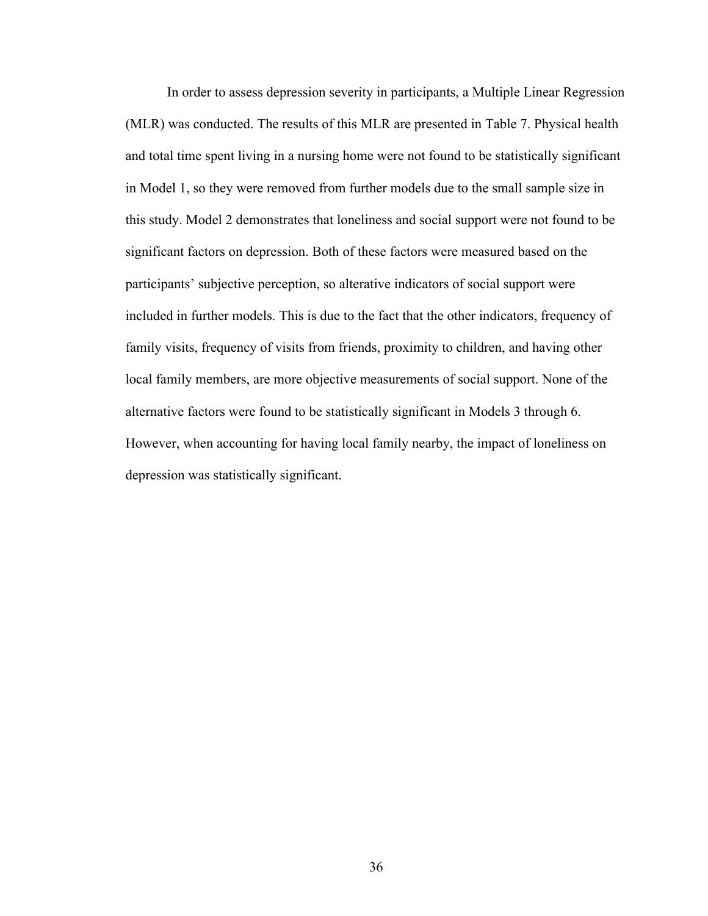In order to assess depression severity in participants, a Multiple Linear Regression (MLR) was conducted. The results of this MLR are presented in Table 7. Physical health and total time spent living in a nursing home were not found to be statistically significant in Model 1, so they were removed from further models due to the small sample size in this study. Model 2 demonstrates that loneliness and social support were not found to be significant factors on depression. Both of these factors were measured based on the participants' subjective perception, so alterative indicators of social support were included in further models. This is due to the fact that the other indicators, frequency of family visits, frequency of visits from friends, proximity to children, and having other local family members, are more objective measurements of social support. None of the alternative factors were found to be statistically significant in Models 3 through 6. However, when accounting for having local family nearby, the impact of loneliness on depression was statistically significant.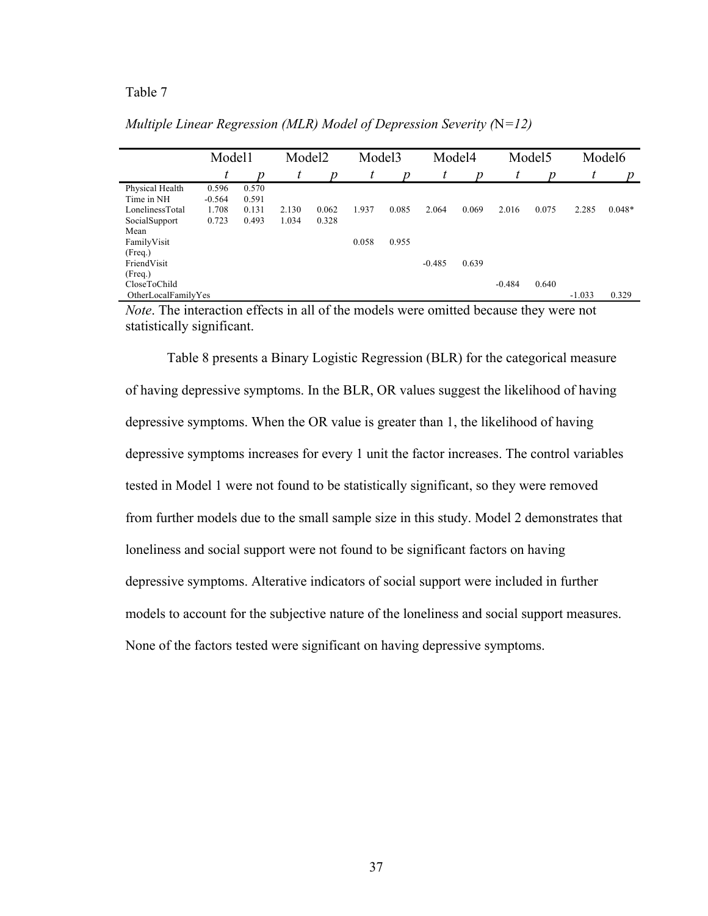|                     | Model1   |       | Model <sub>2</sub> |       | Model <sub>3</sub> |       |          | Model4 |          | Model <sub>5</sub> | Model <sub>6</sub> |          |
|---------------------|----------|-------|--------------------|-------|--------------------|-------|----------|--------|----------|--------------------|--------------------|----------|
|                     | t        | n     | t                  | Ŋ     | t                  | n     | t        | n      | t        | n                  | t                  | n        |
| Physical Health     | 0.596    | 0.570 |                    |       |                    |       |          |        |          |                    |                    |          |
| Time in NH          | $-0.564$ | 0.591 |                    |       |                    |       |          |        |          |                    |                    |          |
| LonelinessTotal     | 1.708    | 0.131 | 2.130              | 0.062 | 1.937              | 0.085 | 2.064    | 0.069  | 2.016    | 0.075              | 2.285              | $0.048*$ |
| SocialSupport       | 0.723    | 0.493 | 1.034              | 0.328 |                    |       |          |        |          |                    |                    |          |
| Mean                |          |       |                    |       |                    |       |          |        |          |                    |                    |          |
| FamilyVisit         |          |       |                    |       | 0.058              | 0.955 |          |        |          |                    |                    |          |
| (Freq.)             |          |       |                    |       |                    |       |          |        |          |                    |                    |          |
| FriendVisit         |          |       |                    |       |                    |       | $-0.485$ | 0.639  |          |                    |                    |          |
| (Freq.)             |          |       |                    |       |                    |       |          |        |          |                    |                    |          |
| CloseToChild        |          |       |                    |       |                    |       |          |        | $-0.484$ | 0.640              |                    |          |
| OtherLocalFamilyYes |          |       |                    |       |                    |       |          |        |          |                    | $-1.033$           | 0.329    |

*Multiple Linear Regression (MLR) Model of Depression Severity (*N*=12)*

*Note*. The interaction effects in all of the models were omitted because they were not statistically significant.

Table 8 presents a Binary Logistic Regression (BLR) for the categorical measure of having depressive symptoms. In the BLR, OR values suggest the likelihood of having depressive symptoms. When the OR value is greater than 1, the likelihood of having depressive symptoms increases for every 1 unit the factor increases. The control variables tested in Model 1 were not found to be statistically significant, so they were removed from further models due to the small sample size in this study. Model 2 demonstrates that loneliness and social support were not found to be significant factors on having depressive symptoms. Alterative indicators of social support were included in further models to account for the subjective nature of the loneliness and social support measures. None of the factors tested were significant on having depressive symptoms.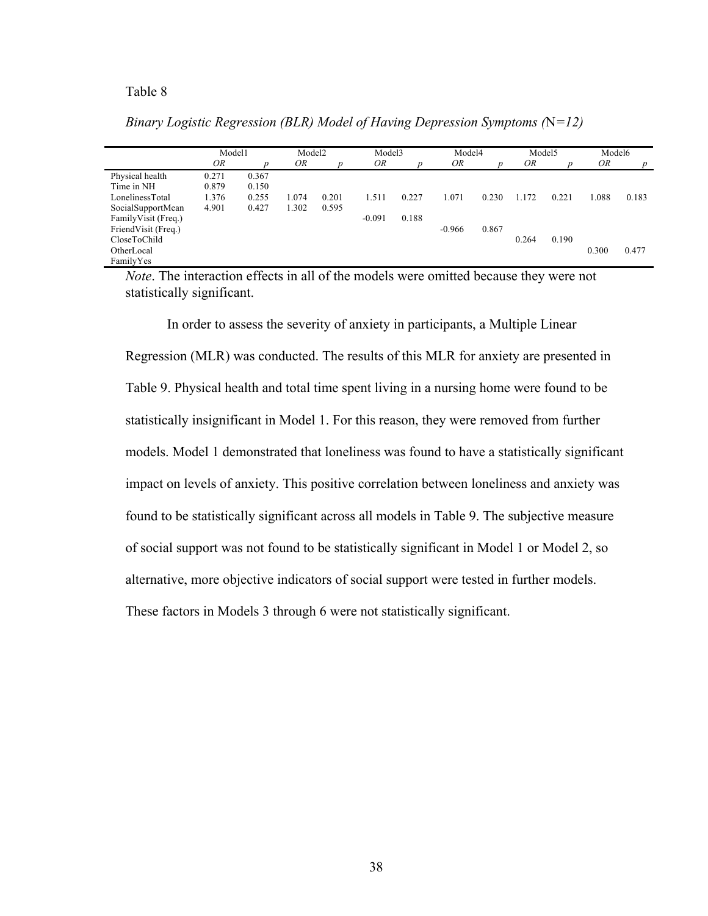|                      | Model1 |       | Model <sub>2</sub> |       |          | Model3 |          | Model4 |       | Model <sub>5</sub> | Model6 |       |  |  |
|----------------------|--------|-------|--------------------|-------|----------|--------|----------|--------|-------|--------------------|--------|-------|--|--|
|                      | OR     |       | ΟR                 |       | OR       |        |          |        |       |                    | OR     |       |  |  |
| Physical health      | 0.271  | 0.367 |                    |       |          |        |          |        |       |                    |        |       |  |  |
| Time in NH           | 0.879  | 0.150 |                    |       |          |        |          |        |       |                    |        |       |  |  |
| LonelinessTotal      | 1.376  | 0.255 | 1.074              | 0.201 | 1.511    | 0.227  | 1.071    | 0.230  | 1.172 | 0.221              | 1.088  | 0.183 |  |  |
| SocialSupportMean    | 4.901  | 0.427 | 1.302              | 0.595 |          |        |          |        |       |                    |        |       |  |  |
| Family Visit (Freq.) |        |       |                    |       | $-0.091$ | 0.188  |          |        |       |                    |        |       |  |  |
| FriendVisit (Freq.)  |        |       |                    |       |          |        | $-0.966$ | 0.867  |       |                    |        |       |  |  |
| CloseToChild         |        |       |                    |       |          |        |          |        | 0.264 | 0.190              |        |       |  |  |
| OtherLocal           |        |       |                    |       |          |        |          |        |       |                    | 0.300  | 0.477 |  |  |
| FamilyYes            |        |       |                    |       |          |        |          |        |       |                    |        |       |  |  |

*Binary Logistic Regression (BLR) Model of Having Depression Symptoms (*N*=12)*

*Note*. The interaction effects in all of the models were omitted because they were not statistically significant.

In order to assess the severity of anxiety in participants, a Multiple Linear Regression (MLR) was conducted. The results of this MLR for anxiety are presented in Table 9. Physical health and total time spent living in a nursing home were found to be statistically insignificant in Model 1. For this reason, they were removed from further models. Model 1 demonstrated that loneliness was found to have a statistically significant impact on levels of anxiety. This positive correlation between loneliness and anxiety was found to be statistically significant across all models in Table 9. The subjective measure of social support was not found to be statistically significant in Model 1 or Model 2, so alternative, more objective indicators of social support were tested in further models. These factors in Models 3 through 6 were not statistically significant.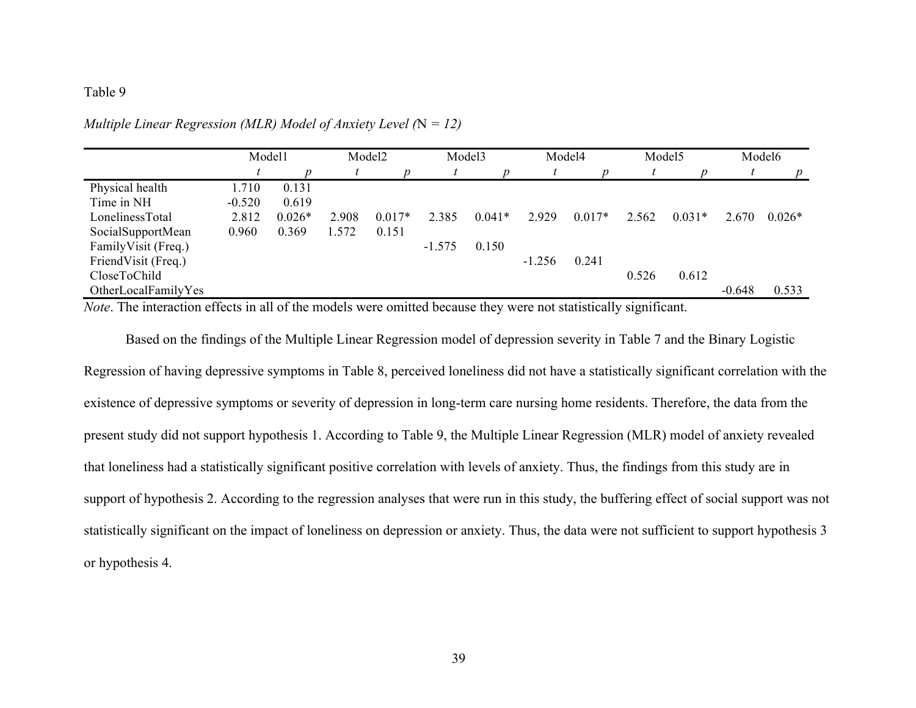| Model1   |          | Model2 |          |          | Model3   |          |          |        |          | Model6   |          |
|----------|----------|--------|----------|----------|----------|----------|----------|--------|----------|----------|----------|
|          |          |        |          |          |          |          |          |        |          |          |          |
| 1.710    | 0.131    |        |          |          |          |          |          |        |          |          |          |
| $-0.520$ | 0.619    |        |          |          |          |          |          |        |          |          |          |
| 2.812    | $0.026*$ | 2.908  | $0.017*$ | 2.385    | $0.041*$ | 2.929    | $0.017*$ | 2.562  | $0.031*$ | 2.670    | $0.026*$ |
| 0.960    | 0.369    | 1.572  | 0.151    |          |          |          |          |        |          |          |          |
|          |          |        |          | $-1.575$ | 0.150    |          |          |        |          |          |          |
|          |          |        |          |          |          | $-1.256$ | 0.241    |        |          |          |          |
|          |          |        |          |          |          |          |          | 0.526  | 0.612    |          |          |
|          |          |        |          |          |          |          |          |        |          | $-0.648$ | 0.533    |
|          |          |        |          |          |          |          |          | Model4 |          | Model5   |          |

*Multiple Linear Regression (MLR) Model of Anxiety Level (*N *= 12)*

*Note*. The interaction effects in all of the models were omitted because they were not statistically significant.

Based on the findings of the Multiple Linear Regression model of depression severity in Table 7 and the Binary Logistic Regression of having depressive symptoms in Table 8, perceived loneliness did not have a statistically significant correlation with the existence of depressive symptoms or severity of depression in long-term care nursing home residents. Therefore, the data from the present study did not support hypothesis 1. According to Table 9, the Multiple Linear Regression (MLR) model of anxiety revealed that loneliness had a statistically significant positive correlation with levels of anxiety. Thus, the findings from this study are in support of hypothesis 2. According to the regression analyses that were run in this study, the buffering effect of social support was not statistically significant on the impact of loneliness on depression or anxiety. Thus, the data were not sufficient to support hypothesis 3 or hypothesis 4.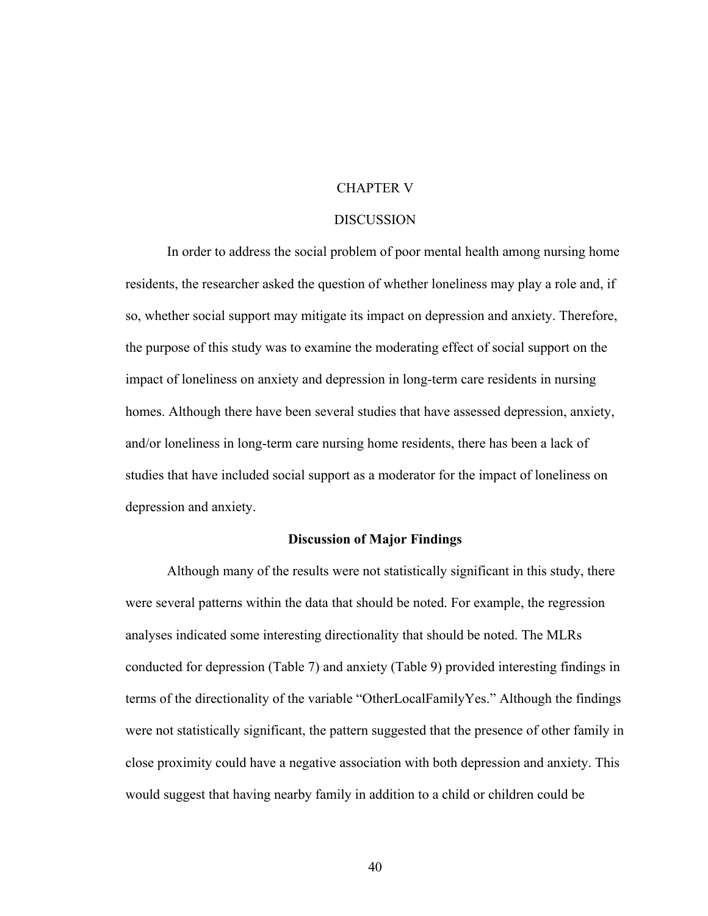### CHAPTER V

#### **DISCUSSION**

In order to address the social problem of poor mental health among nursing home residents, the researcher asked the question of whether loneliness may play a role and, if so, whether social support may mitigate its impact on depression and anxiety. Therefore, the purpose of this study was to examine the moderating effect of social support on the impact of loneliness on anxiety and depression in long-term care residents in nursing homes. Although there have been several studies that have assessed depression, anxiety, and/or loneliness in long-term care nursing home residents, there has been a lack of studies that have included social support as a moderator for the impact of loneliness on depression and anxiety.

#### **Discussion of Major Findings**

Although many of the results were not statistically significant in this study, there were several patterns within the data that should be noted. For example, the regression analyses indicated some interesting directionality that should be noted. The MLRs conducted for depression (Table 7) and anxiety (Table 9) provided interesting findings in terms of the directionality of the variable "OtherLocalFamilyYes." Although the findings were not statistically significant, the pattern suggested that the presence of other family in close proximity could have a negative association with both depression and anxiety. This would suggest that having nearby family in addition to a child or children could be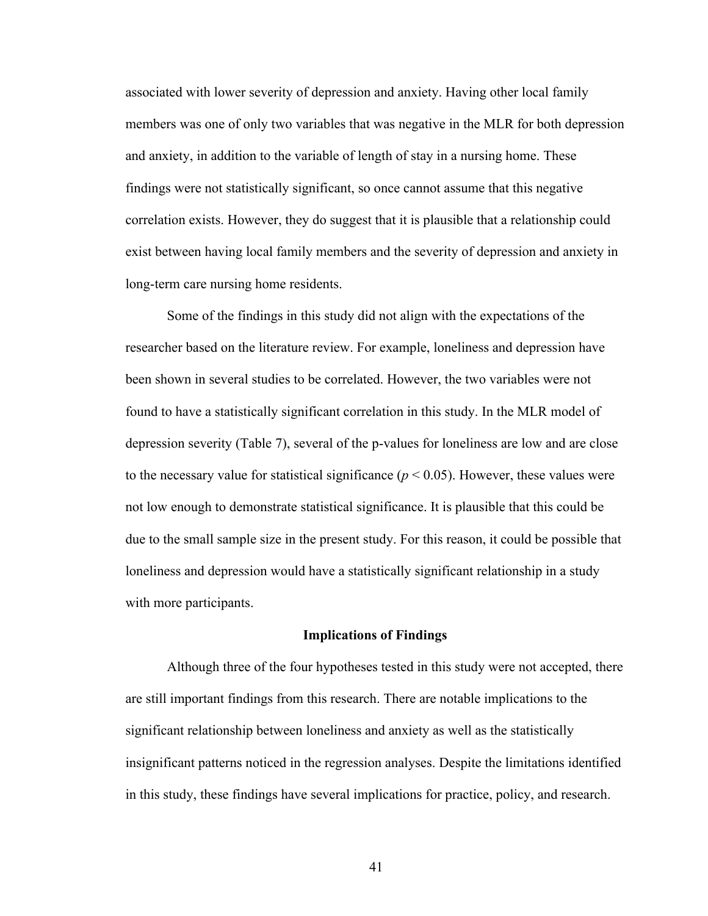associated with lower severity of depression and anxiety. Having other local family members was one of only two variables that was negative in the MLR for both depression and anxiety, in addition to the variable of length of stay in a nursing home. These findings were not statistically significant, so once cannot assume that this negative correlation exists. However, they do suggest that it is plausible that a relationship could exist between having local family members and the severity of depression and anxiety in long-term care nursing home residents.

Some of the findings in this study did not align with the expectations of the researcher based on the literature review. For example, loneliness and depression have been shown in several studies to be correlated. However, the two variables were not found to have a statistically significant correlation in this study. In the MLR model of depression severity (Table 7), several of the p-values for loneliness are low and are close to the necessary value for statistical significance ( $p < 0.05$ ). However, these values were not low enough to demonstrate statistical significance. It is plausible that this could be due to the small sample size in the present study. For this reason, it could be possible that loneliness and depression would have a statistically significant relationship in a study with more participants.

#### **Implications of Findings**

Although three of the four hypotheses tested in this study were not accepted, there are still important findings from this research. There are notable implications to the significant relationship between loneliness and anxiety as well as the statistically insignificant patterns noticed in the regression analyses. Despite the limitations identified in this study, these findings have several implications for practice, policy, and research.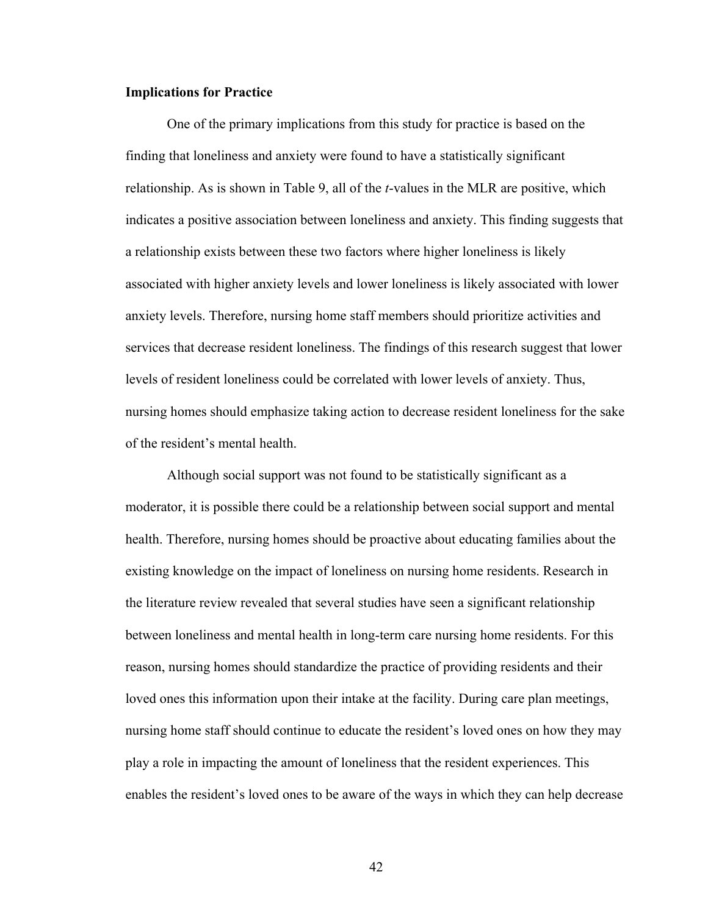### **Implications for Practice**

One of the primary implications from this study for practice is based on the finding that loneliness and anxiety were found to have a statistically significant relationship. As is shown in Table 9, all of the *t*-values in the MLR are positive, which indicates a positive association between loneliness and anxiety. This finding suggests that a relationship exists between these two factors where higher loneliness is likely associated with higher anxiety levels and lower loneliness is likely associated with lower anxiety levels. Therefore, nursing home staff members should prioritize activities and services that decrease resident loneliness. The findings of this research suggest that lower levels of resident loneliness could be correlated with lower levels of anxiety. Thus, nursing homes should emphasize taking action to decrease resident loneliness for the sake of the resident's mental health.

Although social support was not found to be statistically significant as a moderator, it is possible there could be a relationship between social support and mental health. Therefore, nursing homes should be proactive about educating families about the existing knowledge on the impact of loneliness on nursing home residents. Research in the literature review revealed that several studies have seen a significant relationship between loneliness and mental health in long-term care nursing home residents. For this reason, nursing homes should standardize the practice of providing residents and their loved ones this information upon their intake at the facility. During care plan meetings, nursing home staff should continue to educate the resident's loved ones on how they may play a role in impacting the amount of loneliness that the resident experiences. This enables the resident's loved ones to be aware of the ways in which they can help decrease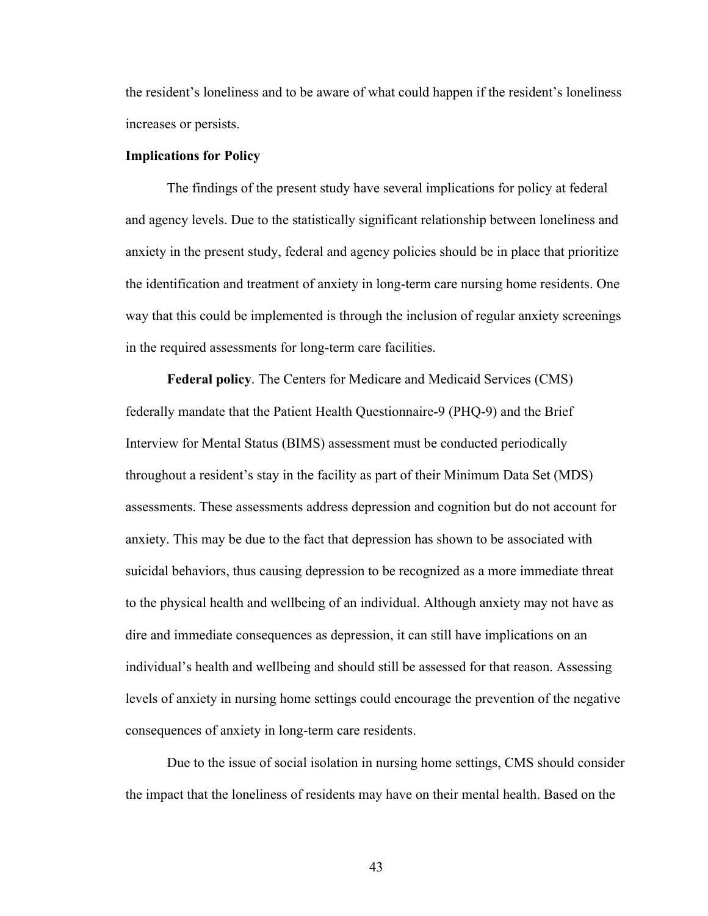the resident's loneliness and to be aware of what could happen if the resident's loneliness increases or persists.

#### **Implications for Policy**

The findings of the present study have several implications for policy at federal and agency levels. Due to the statistically significant relationship between loneliness and anxiety in the present study, federal and agency policies should be in place that prioritize the identification and treatment of anxiety in long-term care nursing home residents. One way that this could be implemented is through the inclusion of regular anxiety screenings in the required assessments for long-term care facilities.

**Federal policy**. The Centers for Medicare and Medicaid Services (CMS) federally mandate that the Patient Health Questionnaire-9 (PHQ-9) and the Brief Interview for Mental Status (BIMS) assessment must be conducted periodically throughout a resident's stay in the facility as part of their Minimum Data Set (MDS) assessments. These assessments address depression and cognition but do not account for anxiety. This may be due to the fact that depression has shown to be associated with suicidal behaviors, thus causing depression to be recognized as a more immediate threat to the physical health and wellbeing of an individual. Although anxiety may not have as dire and immediate consequences as depression, it can still have implications on an individual's health and wellbeing and should still be assessed for that reason. Assessing levels of anxiety in nursing home settings could encourage the prevention of the negative consequences of anxiety in long-term care residents.

Due to the issue of social isolation in nursing home settings, CMS should consider the impact that the loneliness of residents may have on their mental health. Based on the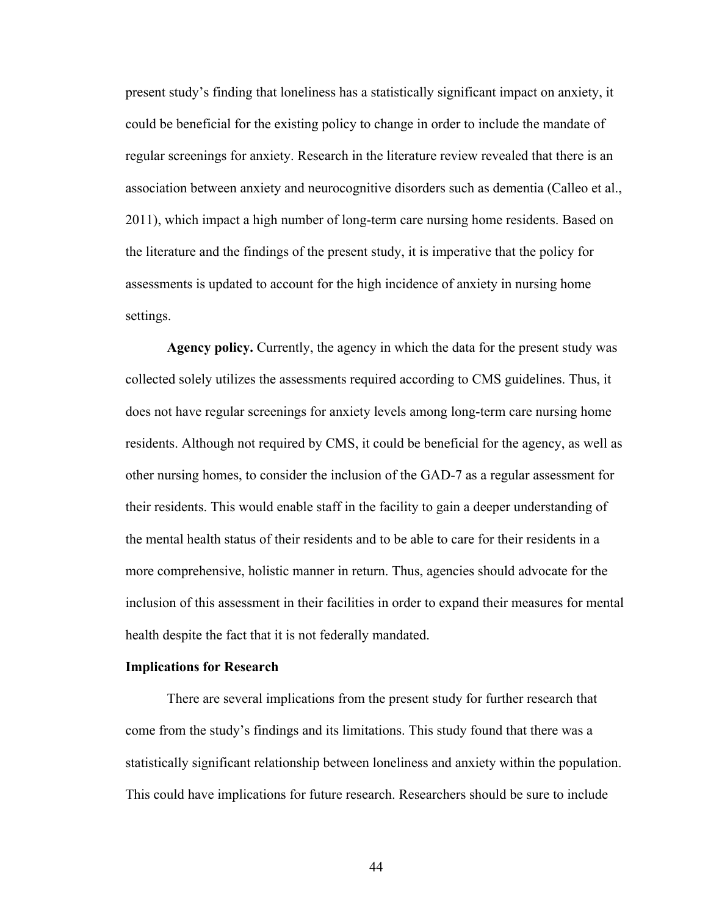present study's finding that loneliness has a statistically significant impact on anxiety, it could be beneficial for the existing policy to change in order to include the mandate of regular screenings for anxiety. Research in the literature review revealed that there is an association between anxiety and neurocognitive disorders such as dementia (Calleo et al., 2011), which impact a high number of long-term care nursing home residents. Based on the literature and the findings of the present study, it is imperative that the policy for assessments is updated to account for the high incidence of anxiety in nursing home settings.

**Agency policy.** Currently, the agency in which the data for the present study was collected solely utilizes the assessments required according to CMS guidelines. Thus, it does not have regular screenings for anxiety levels among long-term care nursing home residents. Although not required by CMS, it could be beneficial for the agency, as well as other nursing homes, to consider the inclusion of the GAD-7 as a regular assessment for their residents. This would enable staff in the facility to gain a deeper understanding of the mental health status of their residents and to be able to care for their residents in a more comprehensive, holistic manner in return. Thus, agencies should advocate for the inclusion of this assessment in their facilities in order to expand their measures for mental health despite the fact that it is not federally mandated.

### **Implications for Research**

There are several implications from the present study for further research that come from the study's findings and its limitations. This study found that there was a statistically significant relationship between loneliness and anxiety within the population. This could have implications for future research. Researchers should be sure to include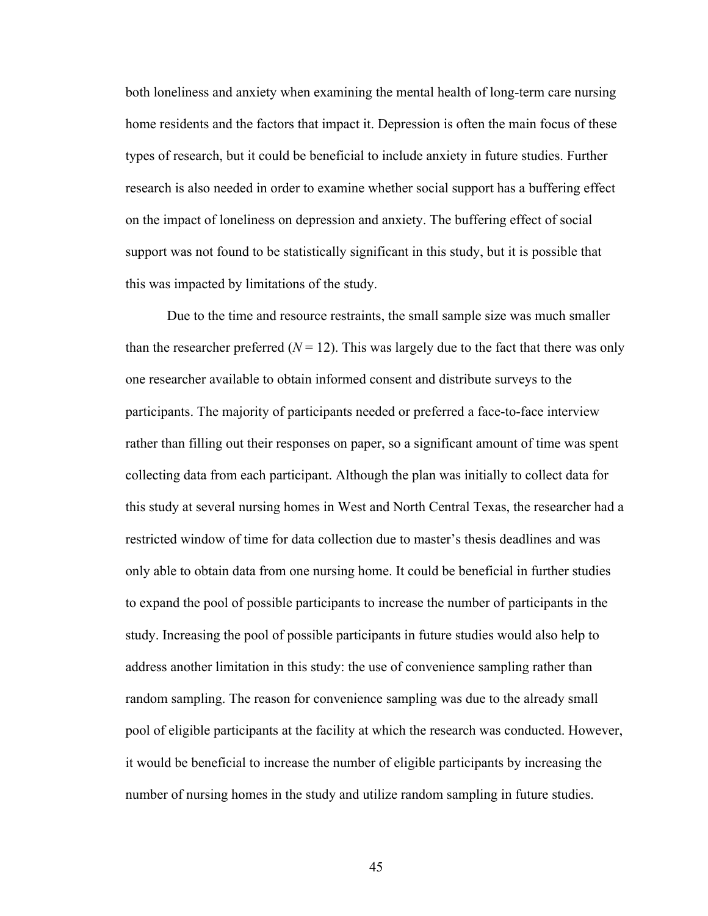both loneliness and anxiety when examining the mental health of long-term care nursing home residents and the factors that impact it. Depression is often the main focus of these types of research, but it could be beneficial to include anxiety in future studies. Further research is also needed in order to examine whether social support has a buffering effect on the impact of loneliness on depression and anxiety. The buffering effect of social support was not found to be statistically significant in this study, but it is possible that this was impacted by limitations of the study.

Due to the time and resource restraints, the small sample size was much smaller than the researcher preferred  $(N = 12)$ . This was largely due to the fact that there was only one researcher available to obtain informed consent and distribute surveys to the participants. The majority of participants needed or preferred a face-to-face interview rather than filling out their responses on paper, so a significant amount of time was spent collecting data from each participant. Although the plan was initially to collect data for this study at several nursing homes in West and North Central Texas, the researcher had a restricted window of time for data collection due to master's thesis deadlines and was only able to obtain data from one nursing home. It could be beneficial in further studies to expand the pool of possible participants to increase the number of participants in the study. Increasing the pool of possible participants in future studies would also help to address another limitation in this study: the use of convenience sampling rather than random sampling. The reason for convenience sampling was due to the already small pool of eligible participants at the facility at which the research was conducted. However, it would be beneficial to increase the number of eligible participants by increasing the number of nursing homes in the study and utilize random sampling in future studies.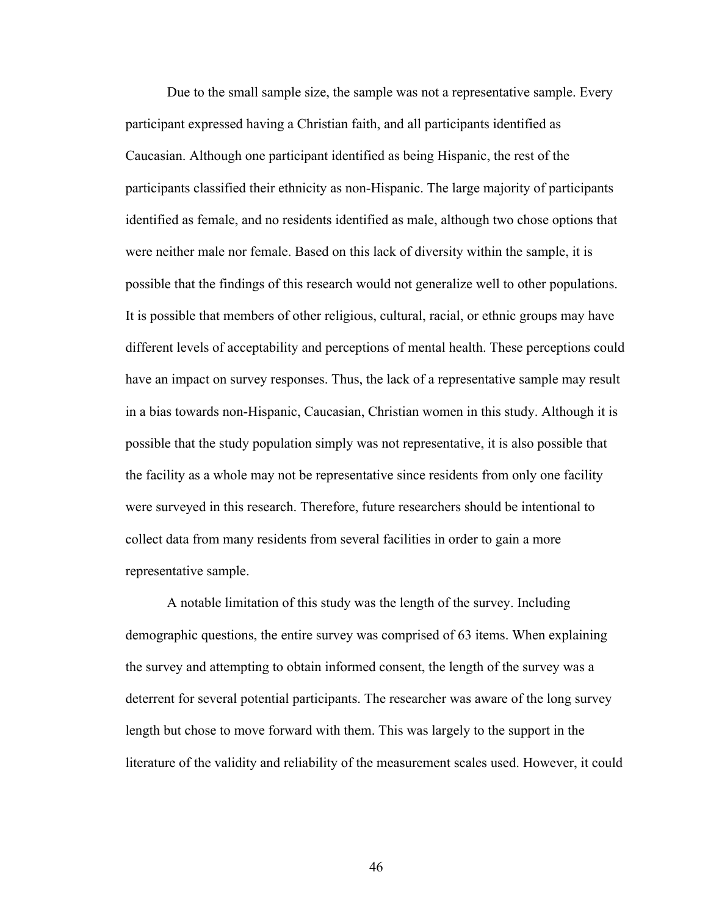Due to the small sample size, the sample was not a representative sample. Every participant expressed having a Christian faith, and all participants identified as Caucasian. Although one participant identified as being Hispanic, the rest of the participants classified their ethnicity as non-Hispanic. The large majority of participants identified as female, and no residents identified as male, although two chose options that were neither male nor female. Based on this lack of diversity within the sample, it is possible that the findings of this research would not generalize well to other populations. It is possible that members of other religious, cultural, racial, or ethnic groups may have different levels of acceptability and perceptions of mental health. These perceptions could have an impact on survey responses. Thus, the lack of a representative sample may result in a bias towards non-Hispanic, Caucasian, Christian women in this study. Although it is possible that the study population simply was not representative, it is also possible that the facility as a whole may not be representative since residents from only one facility were surveyed in this research. Therefore, future researchers should be intentional to collect data from many residents from several facilities in order to gain a more representative sample.

A notable limitation of this study was the length of the survey. Including demographic questions, the entire survey was comprised of 63 items. When explaining the survey and attempting to obtain informed consent, the length of the survey was a deterrent for several potential participants. The researcher was aware of the long survey length but chose to move forward with them. This was largely to the support in the literature of the validity and reliability of the measurement scales used. However, it could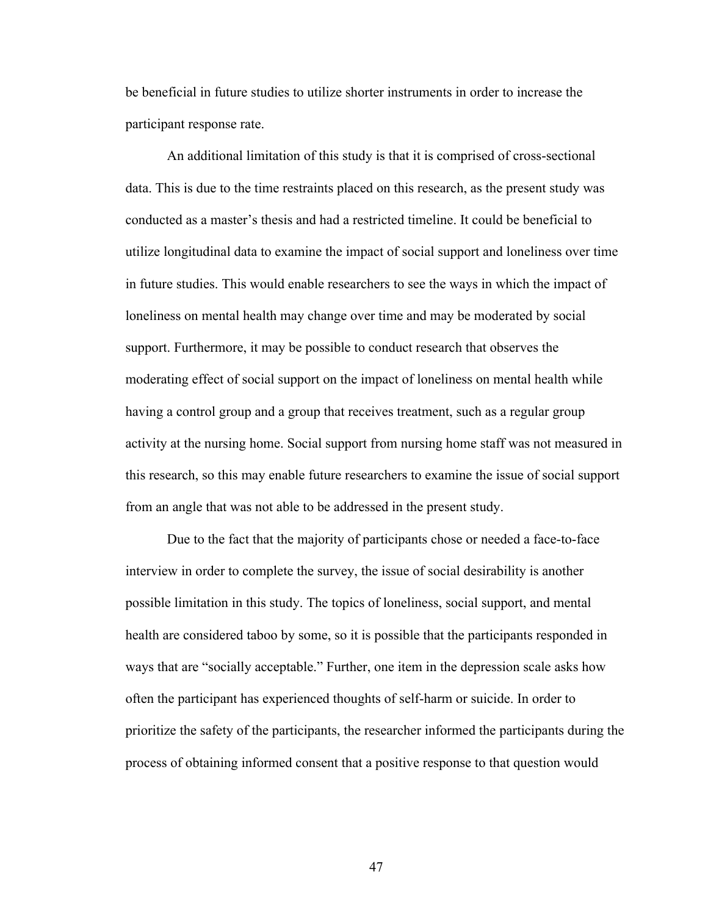be beneficial in future studies to utilize shorter instruments in order to increase the participant response rate.

An additional limitation of this study is that it is comprised of cross-sectional data. This is due to the time restraints placed on this research, as the present study was conducted as a master's thesis and had a restricted timeline. It could be beneficial to utilize longitudinal data to examine the impact of social support and loneliness over time in future studies. This would enable researchers to see the ways in which the impact of loneliness on mental health may change over time and may be moderated by social support. Furthermore, it may be possible to conduct research that observes the moderating effect of social support on the impact of loneliness on mental health while having a control group and a group that receives treatment, such as a regular group activity at the nursing home. Social support from nursing home staff was not measured in this research, so this may enable future researchers to examine the issue of social support from an angle that was not able to be addressed in the present study.

Due to the fact that the majority of participants chose or needed a face-to-face interview in order to complete the survey, the issue of social desirability is another possible limitation in this study. The topics of loneliness, social support, and mental health are considered taboo by some, so it is possible that the participants responded in ways that are "socially acceptable." Further, one item in the depression scale asks how often the participant has experienced thoughts of self-harm or suicide. In order to prioritize the safety of the participants, the researcher informed the participants during the process of obtaining informed consent that a positive response to that question would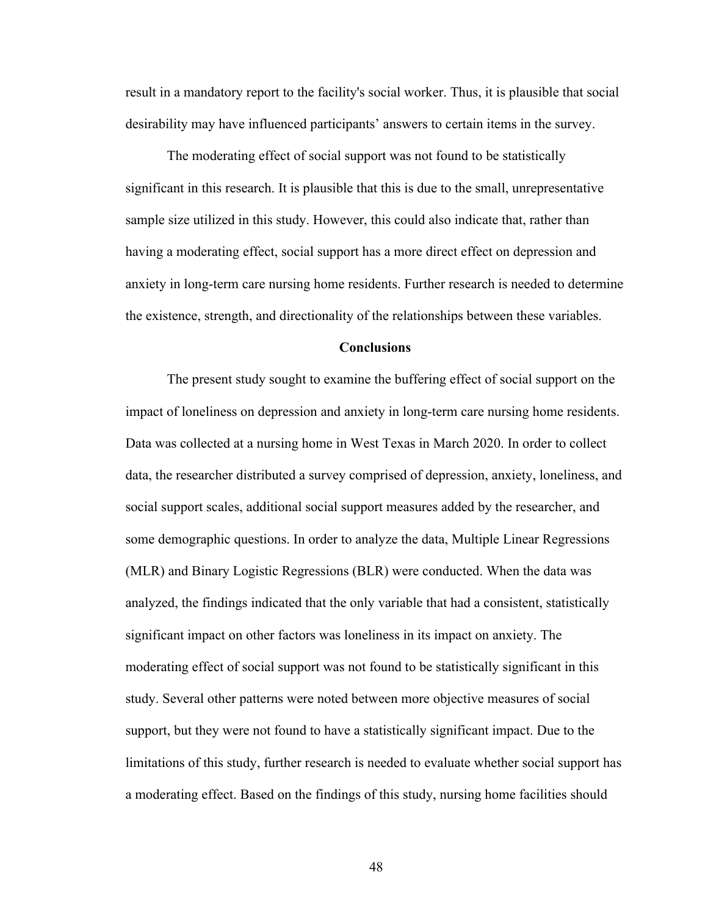result in a mandatory report to the facility's social worker. Thus, it is plausible that social desirability may have influenced participants' answers to certain items in the survey.

The moderating effect of social support was not found to be statistically significant in this research. It is plausible that this is due to the small, unrepresentative sample size utilized in this study. However, this could also indicate that, rather than having a moderating effect, social support has a more direct effect on depression and anxiety in long-term care nursing home residents. Further research is needed to determine the existence, strength, and directionality of the relationships between these variables.

### **Conclusions**

The present study sought to examine the buffering effect of social support on the impact of loneliness on depression and anxiety in long-term care nursing home residents. Data was collected at a nursing home in West Texas in March 2020. In order to collect data, the researcher distributed a survey comprised of depression, anxiety, loneliness, and social support scales, additional social support measures added by the researcher, and some demographic questions. In order to analyze the data, Multiple Linear Regressions (MLR) and Binary Logistic Regressions (BLR) were conducted. When the data was analyzed, the findings indicated that the only variable that had a consistent, statistically significant impact on other factors was loneliness in its impact on anxiety. The moderating effect of social support was not found to be statistically significant in this study. Several other patterns were noted between more objective measures of social support, but they were not found to have a statistically significant impact. Due to the limitations of this study, further research is needed to evaluate whether social support has a moderating effect. Based on the findings of this study, nursing home facilities should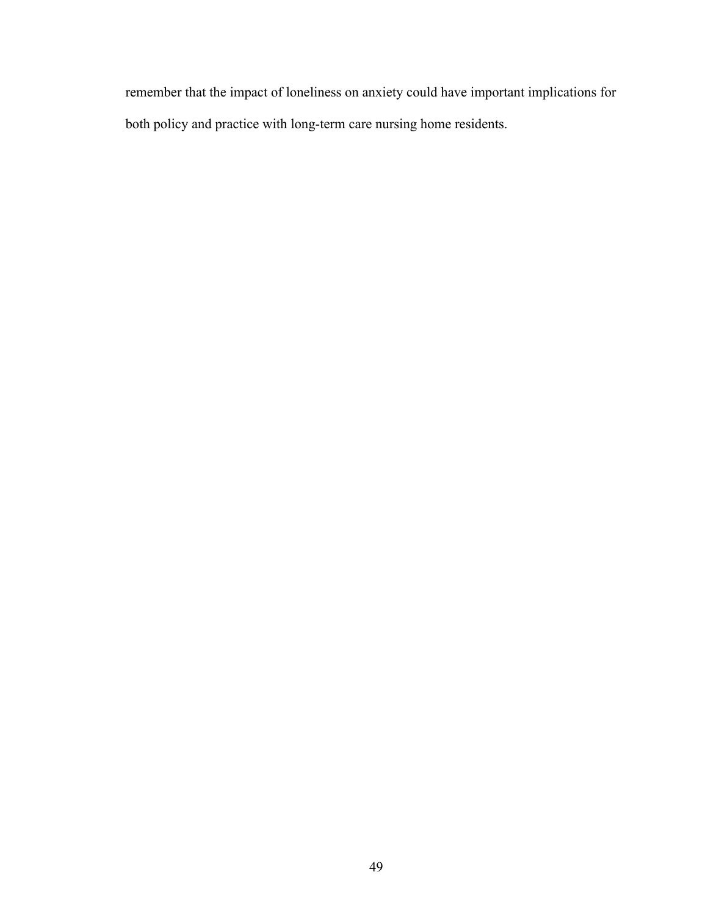remember that the impact of loneliness on anxiety could have important implications for both policy and practice with long-term care nursing home residents.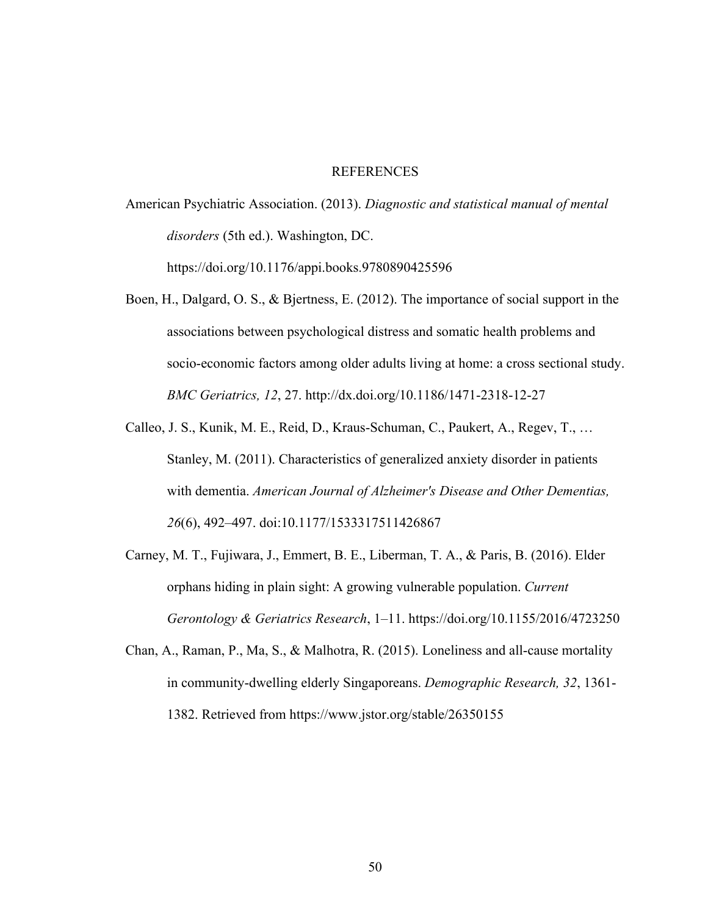### REFERENCES

American Psychiatric Association. (2013). *Diagnostic and statistical manual of mental disorders* (5th ed.). Washington, DC.

https://doi.org/10.1176/appi.books.9780890425596

- Boen, H., Dalgard, O. S., & Bjertness, E. (2012). The importance of social support in the associations between psychological distress and somatic health problems and socio-economic factors among older adults living at home: a cross sectional study. *BMC Geriatrics, 12*, 27. http://dx.doi.org/10.1186/1471-2318-12-27
- Calleo, J. S., Kunik, M. E., Reid, D., Kraus-Schuman, C., Paukert, A., Regev, T., … Stanley, M. (2011). Characteristics of generalized anxiety disorder in patients with dementia. *American Journal of Alzheimer's Disease and Other Dementias, 26*(6), 492–497. doi:10.1177/1533317511426867
- Carney, M. T., Fujiwara, J., Emmert, B. E., Liberman, T. A., & Paris, B. (2016). Elder orphans hiding in plain sight: A growing vulnerable population. *Current Gerontology & Geriatrics Research*, 1–11. https://doi.org/10.1155/2016/4723250
- Chan, A., Raman, P., Ma, S., & Malhotra, R. (2015). Loneliness and all-cause mortality in community-dwelling elderly Singaporeans. *Demographic Research, 32*, 1361- 1382. Retrieved from https://www.jstor.org/stable/26350155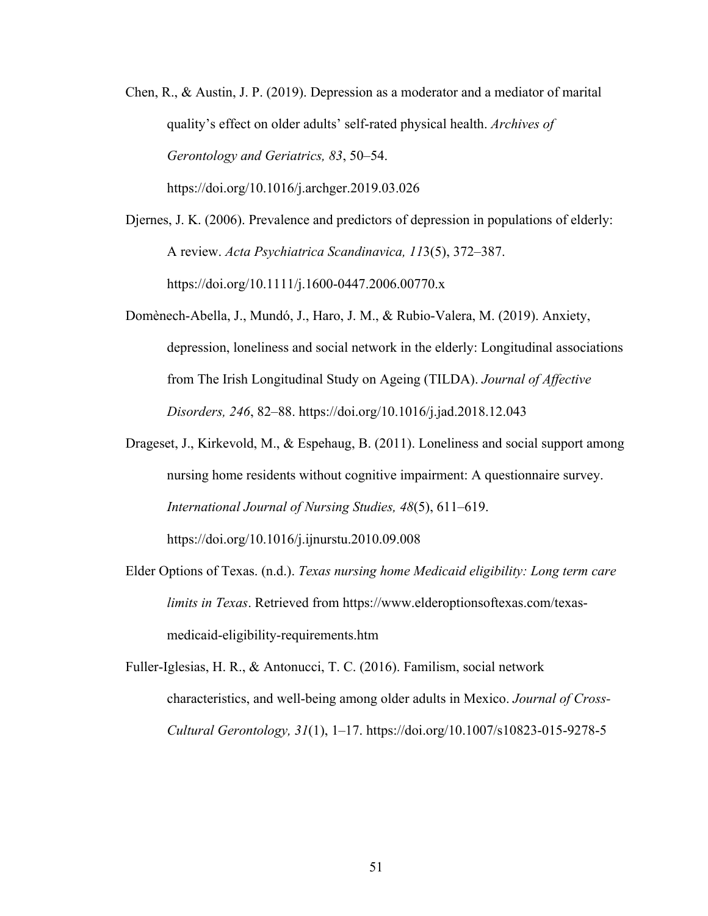- Chen, R., & Austin, J. P. (2019). Depression as a moderator and a mediator of marital quality's effect on older adults' self-rated physical health. *Archives of Gerontology and Geriatrics, 83*, 50–54. https://doi.org/10.1016/j.archger.2019.03.026
- Djernes, J. K. (2006). Prevalence and predictors of depression in populations of elderly: A review. *Acta Psychiatrica Scandinavica, 11*3(5), 372–387. https://doi.org/10.1111/j.1600-0447.2006.00770.x
- Domènech-Abella, J., Mundó, J., Haro, J. M., & Rubio-Valera, M. (2019). Anxiety, depression, loneliness and social network in the elderly: Longitudinal associations from The Irish Longitudinal Study on Ageing (TILDA). *Journal of Affective Disorders, 246*, 82–88. https://doi.org/10.1016/j.jad.2018.12.043
- Drageset, J., Kirkevold, M., & Espehaug, B. (2011). Loneliness and social support among nursing home residents without cognitive impairment: A questionnaire survey. *International Journal of Nursing Studies, 48*(5), 611–619. https://doi.org/10.1016/j.ijnurstu.2010.09.008
- Elder Options of Texas. (n.d.). *Texas nursing home Medicaid eligibility: Long term care limits in Texas*. Retrieved from https://www.elderoptionsoftexas.com/texasmedicaid-eligibility-requirements.htm
- Fuller-Iglesias, H. R., & Antonucci, T. C. (2016). Familism, social network characteristics, and well-being among older adults in Mexico. *Journal of Cross-Cultural Gerontology, 31*(1), 1–17. https://doi.org/10.1007/s10823-015-9278-5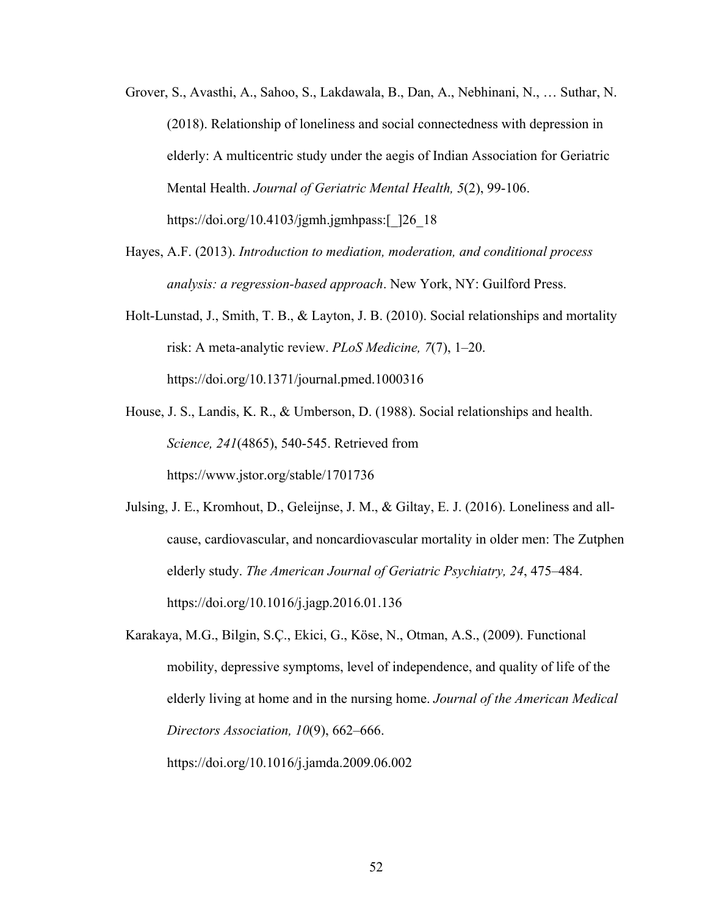- Grover, S., Avasthi, A., Sahoo, S., Lakdawala, B., Dan, A., Nebhinani, N., … Suthar, N. (2018). Relationship of loneliness and social connectedness with depression in elderly: A multicentric study under the aegis of Indian Association for Geriatric Mental Health. *Journal of Geriatric Mental Health, 5*(2), 99-106. https://doi.org/10.4103/jgmh.jgmhpass:[\_]26\_18
- Hayes, A.F. (2013). *Introduction to mediation, moderation, and conditional process analysis: a regression-based approach*. New York, NY: Guilford Press.
- Holt-Lunstad, J., Smith, T. B., & Layton, J. B. (2010). Social relationships and mortality risk: A meta-analytic review. *PLoS Medicine, 7*(7), 1–20. https://doi.org/10.1371/journal.pmed.1000316
- House, J. S., Landis, K. R., & Umberson, D. (1988). Social relationships and health. *Science, 241*(4865), 540-545. Retrieved from https://www.jstor.org/stable/1701736
- Julsing, J. E., Kromhout, D., Geleijnse, J. M., & Giltay, E. J. (2016). Loneliness and allcause, cardiovascular, and noncardiovascular mortality in older men: The Zutphen elderly study. *The American Journal of Geriatric Psychiatry, 24*, 475–484. https://doi.org/10.1016/j.jagp.2016.01.136
- Karakaya, M.G., Bilgin, S.Ç., Ekici, G., Köse, N., Otman, A.S., (2009). Functional mobility, depressive symptoms, level of independence, and quality of life of the elderly living at home and in the nursing home. *Journal of the American Medical Directors Association, 10*(9), 662–666. https://doi.org/10.1016/j.jamda.2009.06.002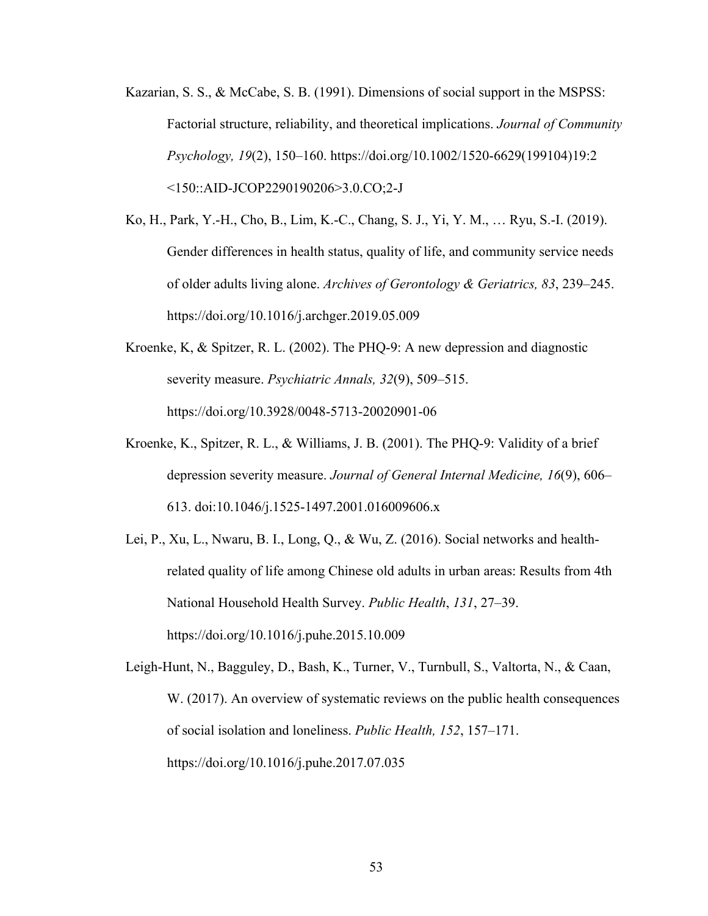- Kazarian, S. S., & McCabe, S. B. (1991). Dimensions of social support in the MSPSS: Factorial structure, reliability, and theoretical implications. *Journal of Community Psychology, 19*(2), 150–160. https://doi.org/10.1002/1520-6629(199104)19:2 <150::AID-JCOP2290190206>3.0.CO;2-J
- Ko, H., Park, Y.-H., Cho, B., Lim, K.-C., Chang, S. J., Yi, Y. M., … Ryu, S.-I. (2019). Gender differences in health status, quality of life, and community service needs of older adults living alone. *Archives of Gerontology & Geriatrics, 83*, 239–245. https://doi.org/10.1016/j.archger.2019.05.009
- Kroenke, K, & Spitzer, R. L. (2002). The PHQ-9: A new depression and diagnostic severity measure. *Psychiatric Annals, 32*(9), 509–515. https://doi.org/10.3928/0048-5713-20020901-06
- Kroenke, K., Spitzer, R. L., & Williams, J. B. (2001). The PHQ-9: Validity of a brief depression severity measure. *Journal of General Internal Medicine, 16*(9), 606– 613. doi:10.1046/j.1525-1497.2001.016009606.x
- Lei, P., Xu, L., Nwaru, B. I., Long, Q., & Wu, Z. (2016). Social networks and healthrelated quality of life among Chinese old adults in urban areas: Results from 4th National Household Health Survey. *Public Health*, *131*, 27–39. https://doi.org/10.1016/j.puhe.2015.10.009
- Leigh-Hunt, N., Bagguley, D., Bash, K., Turner, V., Turnbull, S., Valtorta, N., & Caan, W. (2017). An overview of systematic reviews on the public health consequences of social isolation and loneliness. *Public Health, 152*, 157–171. https://doi.org/10.1016/j.puhe.2017.07.035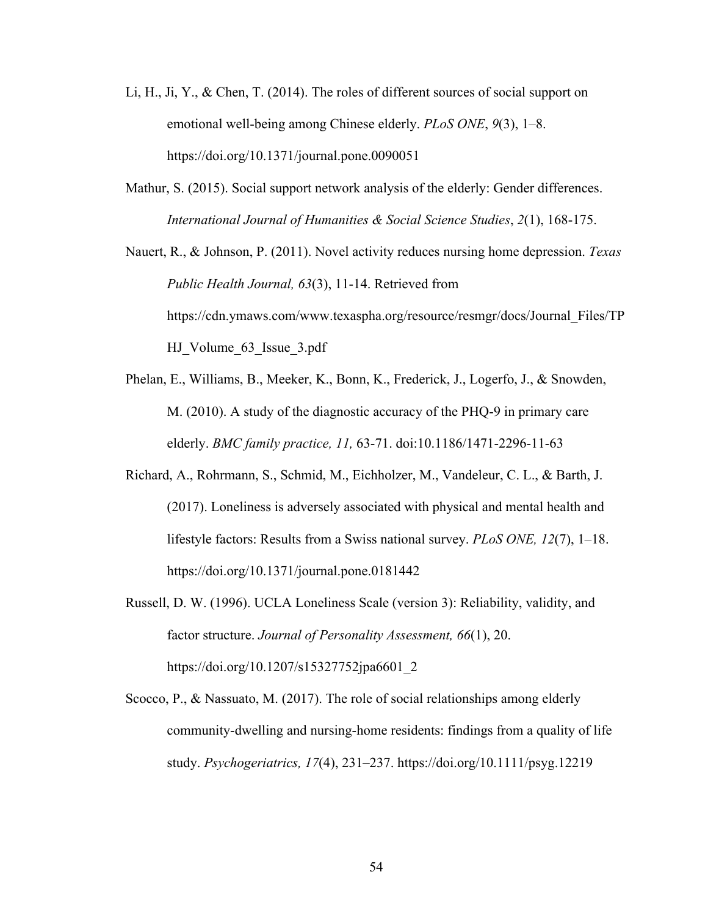- Li, H., Ji, Y., & Chen, T. (2014). The roles of different sources of social support on emotional well-being among Chinese elderly. *PLoS ONE*, *9*(3), 1–8. https://doi.org/10.1371/journal.pone.0090051
- Mathur, S. (2015). Social support network analysis of the elderly: Gender differences. *International Journal of Humanities & Social Science Studies*, *2*(1), 168-175.

Nauert, R., & Johnson, P. (2011). Novel activity reduces nursing home depression. *Texas Public Health Journal, 63*(3), 11-14. Retrieved from https://cdn.ymaws.com/www.texaspha.org/resource/resmgr/docs/Journal\_Files/TP HJ Volume 63 Issue 3.pdf

- Phelan, E., Williams, B., Meeker, K., Bonn, K., Frederick, J., Logerfo, J., & Snowden, M. (2010). A study of the diagnostic accuracy of the PHQ-9 in primary care elderly. *BMC family practice, 11,* 63-71. doi:10.1186/1471-2296-11-63
- Richard, A., Rohrmann, S., Schmid, M., Eichholzer, M., Vandeleur, C. L., & Barth, J. (2017). Loneliness is adversely associated with physical and mental health and lifestyle factors: Results from a Swiss national survey. *PLoS ONE, 12*(7), 1–18. https://doi.org/10.1371/journal.pone.0181442
- Russell, D. W. (1996). UCLA Loneliness Scale (version 3): Reliability, validity, and factor structure. *Journal of Personality Assessment, 66*(1), 20. https://doi.org/10.1207/s15327752jpa6601\_2
- Scocco, P., & Nassuato, M. (2017). The role of social relationships among elderly community-dwelling and nursing-home residents: findings from a quality of life study. *Psychogeriatrics, 17*(4), 231–237. https://doi.org/10.1111/psyg.12219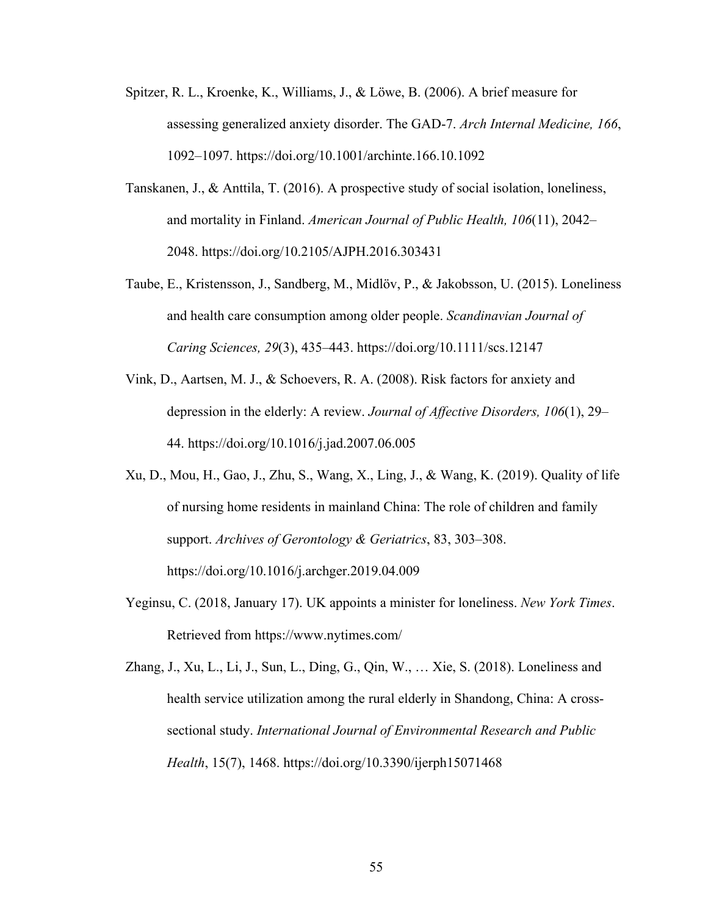- Spitzer, R. L., Kroenke, K., Williams, J., & Löwe, B. (2006). A brief measure for assessing generalized anxiety disorder. The GAD-7. *Arch Internal Medicine, 166*, 1092–1097. https://doi.org/10.1001/archinte.166.10.1092
- Tanskanen, J., & Anttila, T. (2016). A prospective study of social isolation, loneliness, and mortality in Finland. *American Journal of Public Health, 106*(11), 2042– 2048. https://doi.org/10.2105/AJPH.2016.303431
- Taube, E., Kristensson, J., Sandberg, M., Midlöv, P., & Jakobsson, U. (2015). Loneliness and health care consumption among older people. *Scandinavian Journal of Caring Sciences, 29*(3), 435–443. https://doi.org/10.1111/scs.12147
- Vink, D., Aartsen, M. J., & Schoevers, R. A. (2008). Risk factors for anxiety and depression in the elderly: A review. *Journal of Affective Disorders, 106*(1), 29– 44. https://doi.org/10.1016/j.jad.2007.06.005
- Xu, D., Mou, H., Gao, J., Zhu, S., Wang, X., Ling, J., & Wang, K. (2019). Quality of life of nursing home residents in mainland China: The role of children and family support. *Archives of Gerontology & Geriatrics*, 83, 303–308. https://doi.org/10.1016/j.archger.2019.04.009
- Yeginsu, C. (2018, January 17). UK appoints a minister for loneliness. *New York Times*. Retrieved from https://www.nytimes.com/

Zhang, J., Xu, L., Li, J., Sun, L., Ding, G., Qin, W., … Xie, S. (2018). Loneliness and health service utilization among the rural elderly in Shandong, China: A crosssectional study. *International Journal of Environmental Research and Public Health*, 15(7), 1468. https://doi.org/10.3390/ijerph15071468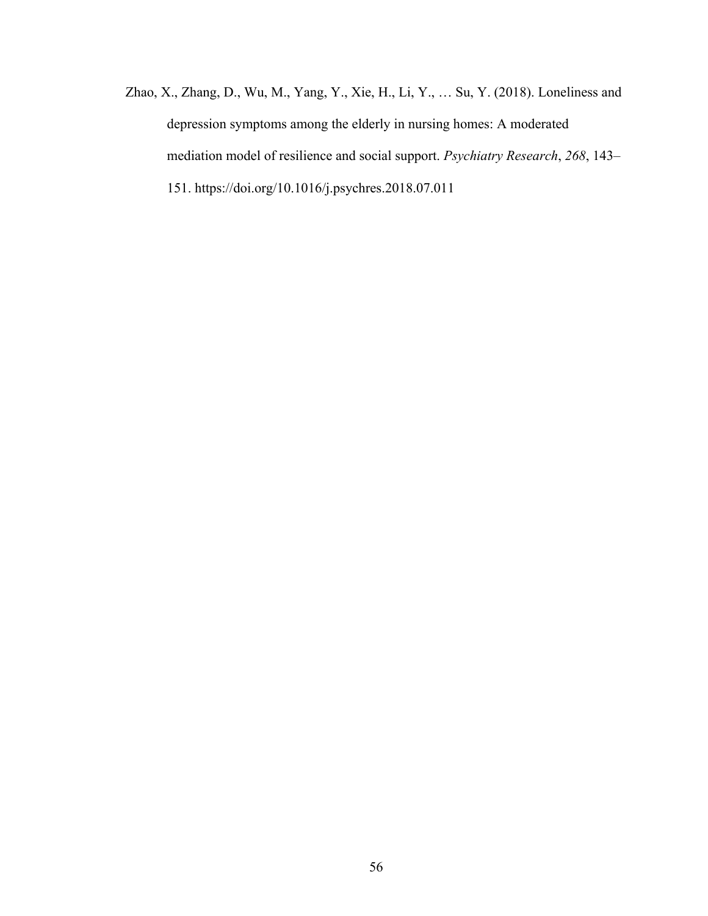Zhao, X., Zhang, D., Wu, M., Yang, Y., Xie, H., Li, Y., … Su, Y. (2018). Loneliness and depression symptoms among the elderly in nursing homes: A moderated mediation model of resilience and social support. *Psychiatry Research*, *268*, 143– 151. https://doi.org/10.1016/j.psychres.2018.07.011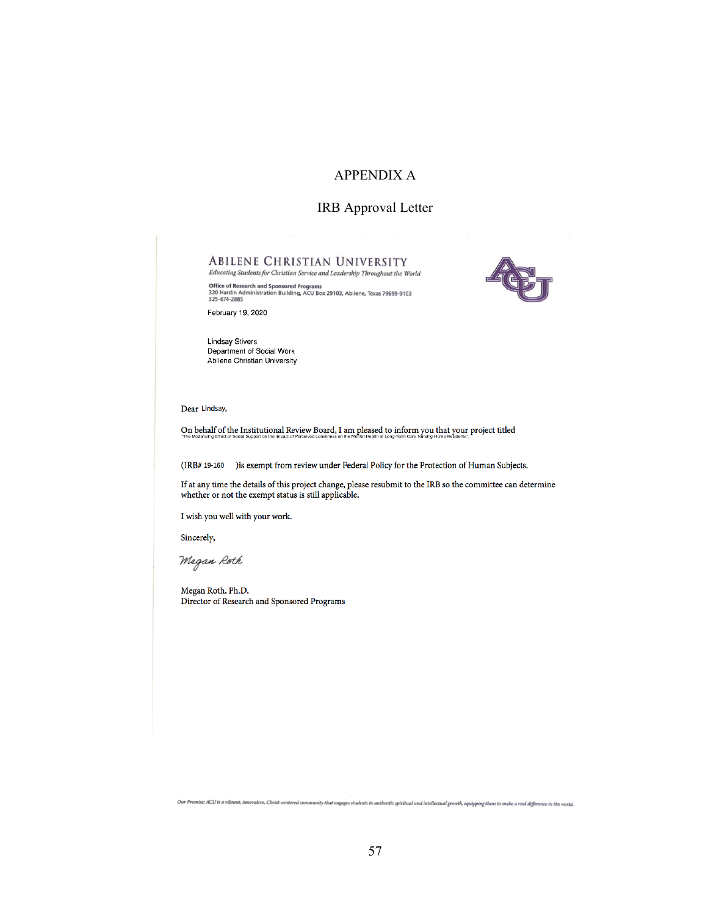## APPENDIX A

### IRB Approval Letter

### **ABILENE CHRISTIAN UNIVERSITY**

Educating Students for Christian Service and Leadership Throughout the World Office of Research and Sponsored Programs<br>320 Hardin Administration Building, ACU Box 29103, Abilene, Texas 79699-9103<br>325-674-2885



February 19, 2020

**Lindsay Stivers** Department of Social Work Abilene Christian University

Dear Lindsay,

On behalf of the Institutional Review Board, I am pleased to inform you that your project titled

(IRB# 19-160) ) is exempt from review under Federal Policy for the Protection of Human Subjects.

If at any time the details of this project change, please resubmit to the IRB so the committee can determine whether or not the exempt status is still applicable.

I wish you well with your work.

Sincerely,

Megan Roth

Megan Roth, Ph.D. Director of Research and Sponsored Programs

Our Promise: ACU is a vibrant, innovative, Christ-centered community that engages students in authentic spiritual and intellectual growth, equipping them to make a real difference in the world.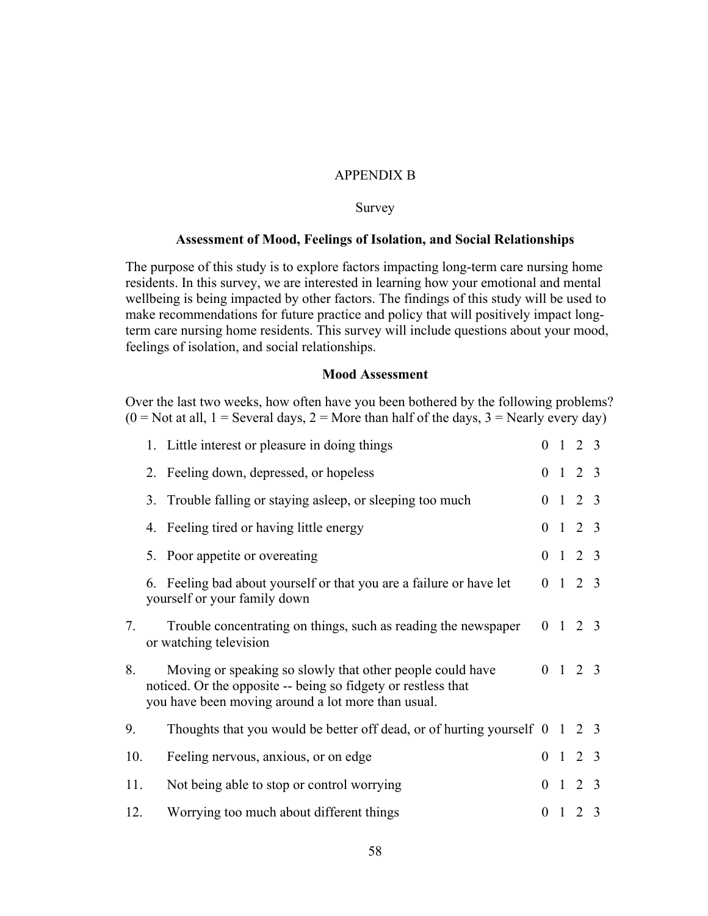### APPENDIX B

### Survey

#### **Assessment of Mood, Feelings of Isolation, and Social Relationships**

The purpose of this study is to explore factors impacting long-term care nursing home residents. In this survey, we are interested in learning how your emotional and mental wellbeing is being impacted by other factors. The findings of this study will be used to make recommendations for future practice and policy that will positively impact longterm care nursing home residents. This survey will include questions about your mood, feelings of isolation, and social relationships.

### **Mood Assessment**

Over the last two weeks, how often have you been bothered by the following problems?  $(0 = Not at all, 1 = Several days, 2 = More than half of the days, 3 = Nearly every day)$ 

|     | 1. Little interest or pleasure in doing things                                                                                                                                   |                |                | $0 \t1 \t2 \t3$ |               |
|-----|----------------------------------------------------------------------------------------------------------------------------------------------------------------------------------|----------------|----------------|-----------------|---------------|
|     | 2. Feeling down, depressed, or hopeless                                                                                                                                          |                |                | $0 \t1 \t2 \t3$ |               |
|     | 3. Trouble falling or staying asleep, or sleeping too much                                                                                                                       |                |                | $0 \t1 \t2 \t3$ |               |
|     | 4. Feeling tired or having little energy                                                                                                                                         |                |                | $0 \t1 \t2 \t3$ |               |
|     | 5. Poor appetite or overeating                                                                                                                                                   |                |                | $0 \t1 \t2 \t3$ |               |
|     | 6. Feeling bad about yourself or that you are a failure or have let<br>yourself or your family down                                                                              |                |                | $0 \t1 \t2 \t3$ |               |
| 7.  | Trouble concentrating on things, such as reading the newspaper<br>or watching television                                                                                         |                |                | $0 \t1 \t2 \t3$ |               |
| 8.  | Moving or speaking so slowly that other people could have<br>noticed. Or the opposite -- being so fidgety or restless that<br>you have been moving around a lot more than usual. |                |                | $0 \t1 \t2 \t3$ |               |
| 9.  | Thoughts that you would be better off dead, or of hurting yourself $\begin{pmatrix} 0 & 1 & 2 & 3 \end{pmatrix}$                                                                 |                |                |                 |               |
| 10. | Feeling nervous, anxious, or on edge                                                                                                                                             |                |                | $0 \t1 \t2 \t3$ |               |
| 11. | Not being able to stop or control worrying                                                                                                                                       |                |                | $0 \t1 \t2 \t3$ |               |
| 12. | Worrying too much about different things                                                                                                                                         | $\overline{0}$ | $\overline{1}$ | 2               | $\mathcal{R}$ |
|     |                                                                                                                                                                                  |                |                |                 |               |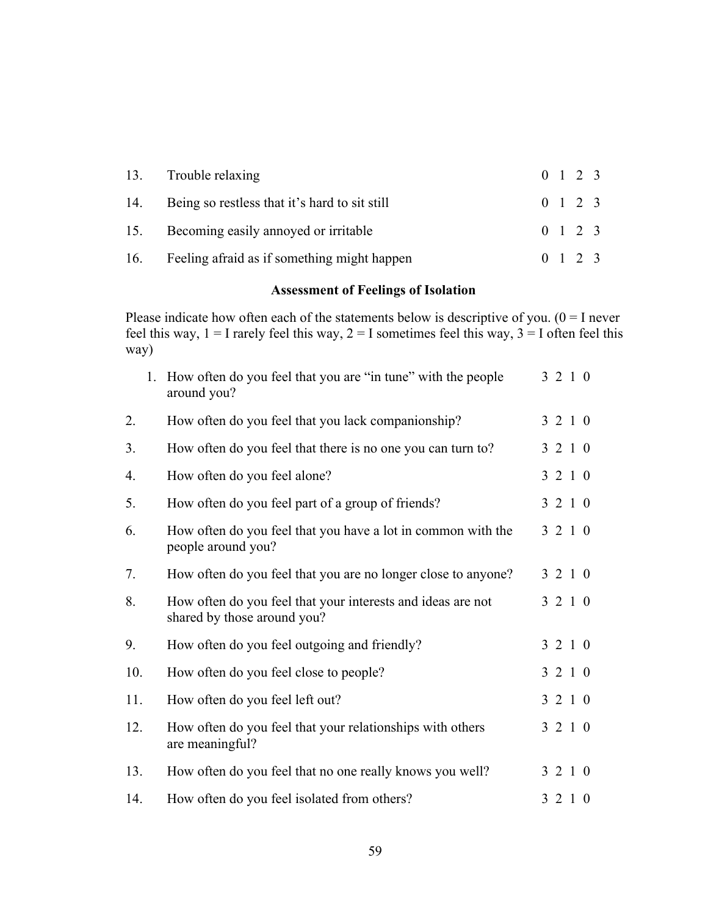| 13. Trouble relaxing                              |  | $0 \t1 \t2 \t3$ |  |
|---------------------------------------------------|--|-----------------|--|
| 14. Being so restless that it's hard to sit still |  | $0 \t1 \t2 \t3$ |  |
| 15. Becoming easily annoyed or irritable          |  | $0 \t1 \t2 \t3$ |  |
| 16. Feeling afraid as if something might happen   |  | $0 \t1 \t2 \t3$ |  |

# **Assessment of Feelings of Isolation**

Please indicate how often each of the statements below is descriptive of you.  $(0 = I$  never feel this way,  $1 = I$  rarely feel this way,  $2 = I$  sometimes feel this way,  $3 = I$  often feel this way)

|     | $1_{\cdot}$ | How often do you feel that you are "in tune" with the people<br>around you?                | 3 2 1 0 |
|-----|-------------|--------------------------------------------------------------------------------------------|---------|
| 2.  |             | How often do you feel that you lack companionship?                                         | 3 2 1 0 |
| 3.  |             | How often do you feel that there is no one you can turn to?                                | 3 2 1 0 |
| 4.  |             | How often do you feel alone?                                                               | 3 2 1 0 |
| 5.  |             | How often do you feel part of a group of friends?                                          | 3 2 1 0 |
| 6.  |             | How often do you feel that you have a lot in common with the<br>people around you?         | 3 2 1 0 |
| 7.  |             | How often do you feel that you are no longer close to anyone?                              | 3 2 1 0 |
| 8.  |             | How often do you feel that your interests and ideas are not<br>shared by those around you? | 3 2 1 0 |
| 9.  |             | How often do you feel outgoing and friendly?                                               | 3 2 1 0 |
| 10. |             | How often do you feel close to people?                                                     | 3 2 1 0 |
| 11. |             | How often do you feel left out?                                                            | 3 2 1 0 |
| 12. |             | How often do you feel that your relationships with others<br>are meaningful?               | 3 2 1 0 |
| 13. |             | How often do you feel that no one really knows you well?                                   | 3 2 1 0 |
| 14. |             | How often do you feel isolated from others?                                                | 3 2 1 0 |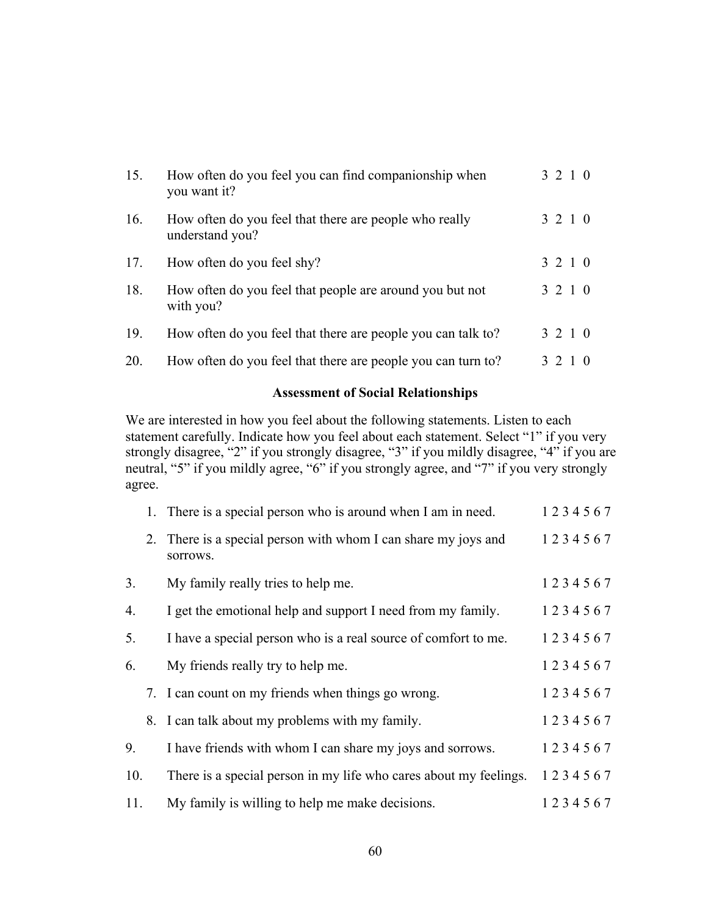| 15. | How often do you feel you can find companionship when<br>you want it?     | 3 2 1 0 |  |
|-----|---------------------------------------------------------------------------|---------|--|
| 16. | How often do you feel that there are people who really<br>understand you? | 3 2 1 0 |  |
| 17. | How often do you feel shy?                                                | 3 2 1 0 |  |
| 18. | How often do you feel that people are around you but not<br>with you?     | 3 2 1 0 |  |
| 19. | How often do you feel that there are people you can talk to?              | 3 2 1 0 |  |
| 20. | How often do you feel that there are people you can turn to?              | 3 2 1 0 |  |

# **Assessment of Social Relationships**

We are interested in how you feel about the following statements. Listen to each statement carefully. Indicate how you feel about each statement. Select "1" if you very strongly disagree, "2" if you strongly disagree, "3" if you mildly disagree, "4" if you are neutral, "5" if you mildly agree, "6" if you strongly agree, and "7" if you very strongly agree.

|     | 1. There is a special person who is around when I am in need.              | 1234567 |
|-----|----------------------------------------------------------------------------|---------|
|     | 2. There is a special person with whom I can share my joys and<br>sorrows. | 1234567 |
| 3.  | My family really tries to help me.                                         | 1234567 |
| 4.  | I get the emotional help and support I need from my family.                | 1234567 |
| 5.  | I have a special person who is a real source of comfort to me.             | 1234567 |
| 6.  | My friends really try to help me.                                          | 1234567 |
|     | 7. I can count on my friends when things go wrong.                         | 1234567 |
|     | 8. I can talk about my problems with my family.                            | 1234567 |
| 9.  | I have friends with whom I can share my joys and sorrows.                  | 1234567 |
| 10. | There is a special person in my life who cares about my feelings.          | 1234567 |
| 11. | My family is willing to help me make decisions.                            | 1234567 |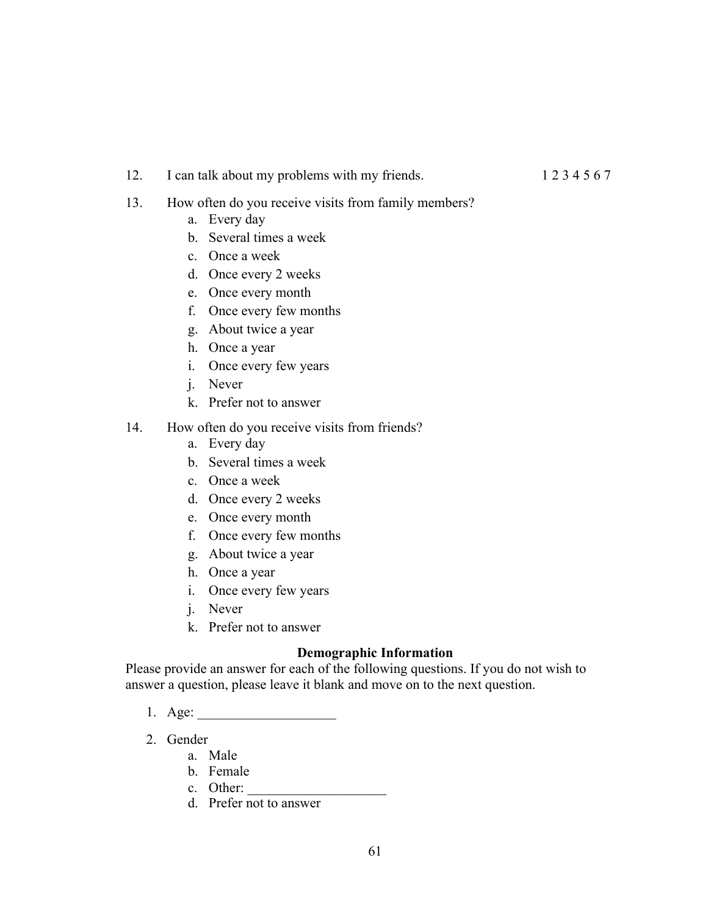12. I can talk about my problems with my friends. 1 2 3 4 5 6 7

- 13. How often do you receive visits from family members?
	- a. Every day
	- b. Several times a week
	- c. Once a week
	- d. Once every 2 weeks
	- e. Once every month
	- f. Once every few months
	- g. About twice a year
	- h. Once a year
	- i. Once every few years
	- j. Never
	- k. Prefer not to answer
- 14. How often do you receive visits from friends?
	- a. Every day
	- b. Several times a week
	- c. Once a week
	- d. Once every 2 weeks
	- e. Once every month
	- f. Once every few months
	- g. About twice a year
	- h. Once a year
	- i. Once every few years
	- j. Never
	- k. Prefer not to answer

### **Demographic Information**

Please provide an answer for each of the following questions. If you do not wish to answer a question, please leave it blank and move on to the next question.

- 1. Age:
- 2. Gender
	- a. Male
	- b. Female
	- c. Other:
	- d. Prefer not to answer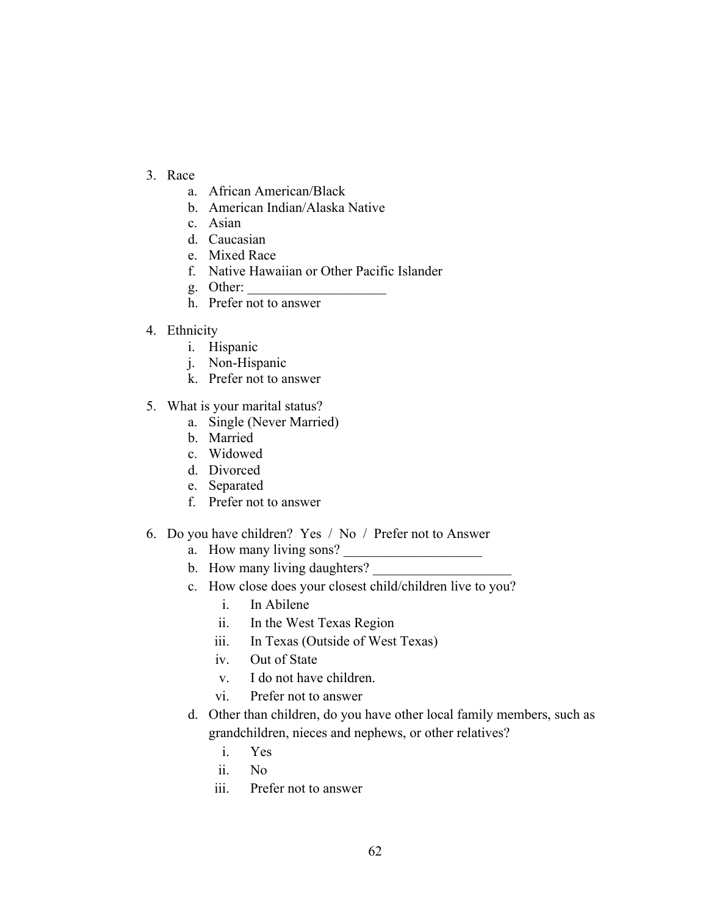- 3. Race
	- a. African American/Black
	- b. American Indian/Alaska Native
	- c. Asian
	- d. Caucasian
	- e. Mixed Race
	- f. Native Hawaiian or Other Pacific Islander
	- g. Other:
	- h. Prefer not to answer
- 4. Ethnicity
	- i. Hispanic
	- j. Non-Hispanic
	- k. Prefer not to answer
- 5. What is your marital status?
	- a. Single (Never Married)
	- b. Married
	- c. Widowed
	- d. Divorced
	- e. Separated
	- f. Prefer not to answer
- 6. Do you have children? Yes / No / Prefer not to Answer
	- a. How many living sons?
	- b. How many living daughters?
	- c. How close does your closest child/children live to you?
		- i. In Abilene
		- ii. In the West Texas Region
		- iii. In Texas (Outside of West Texas)
		- iv. Out of State
		- v. I do not have children.
		- vi. Prefer not to answer
	- d. Other than children, do you have other local family members, such as grandchildren, nieces and nephews, or other relatives?
		- i. Yes
		- ii. No
		- iii. Prefer not to answer